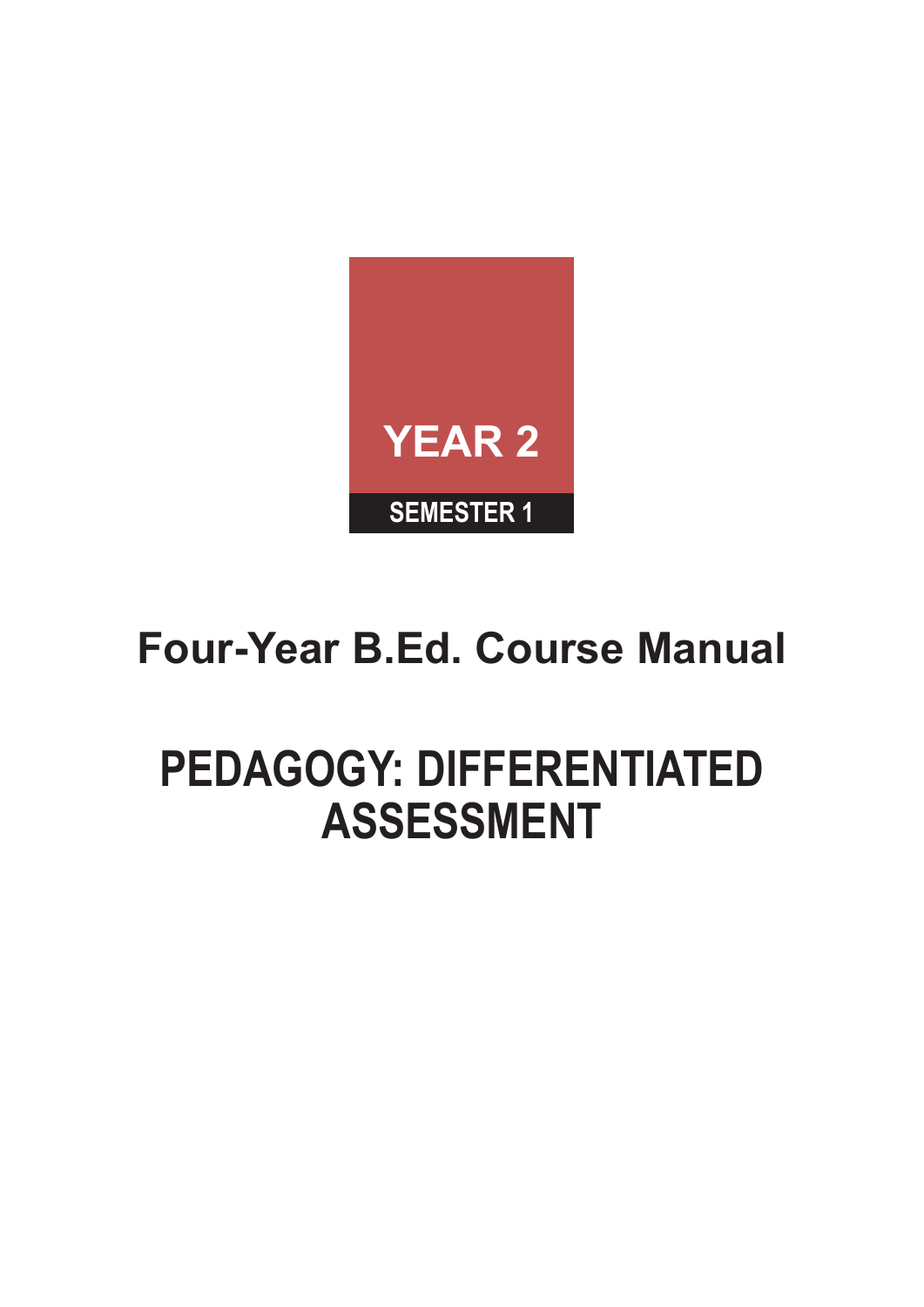

# **Four-Year B.Ed. Course Manual**

# **PEDAGOGY: DIFFERENTIATED ASSESSMENT**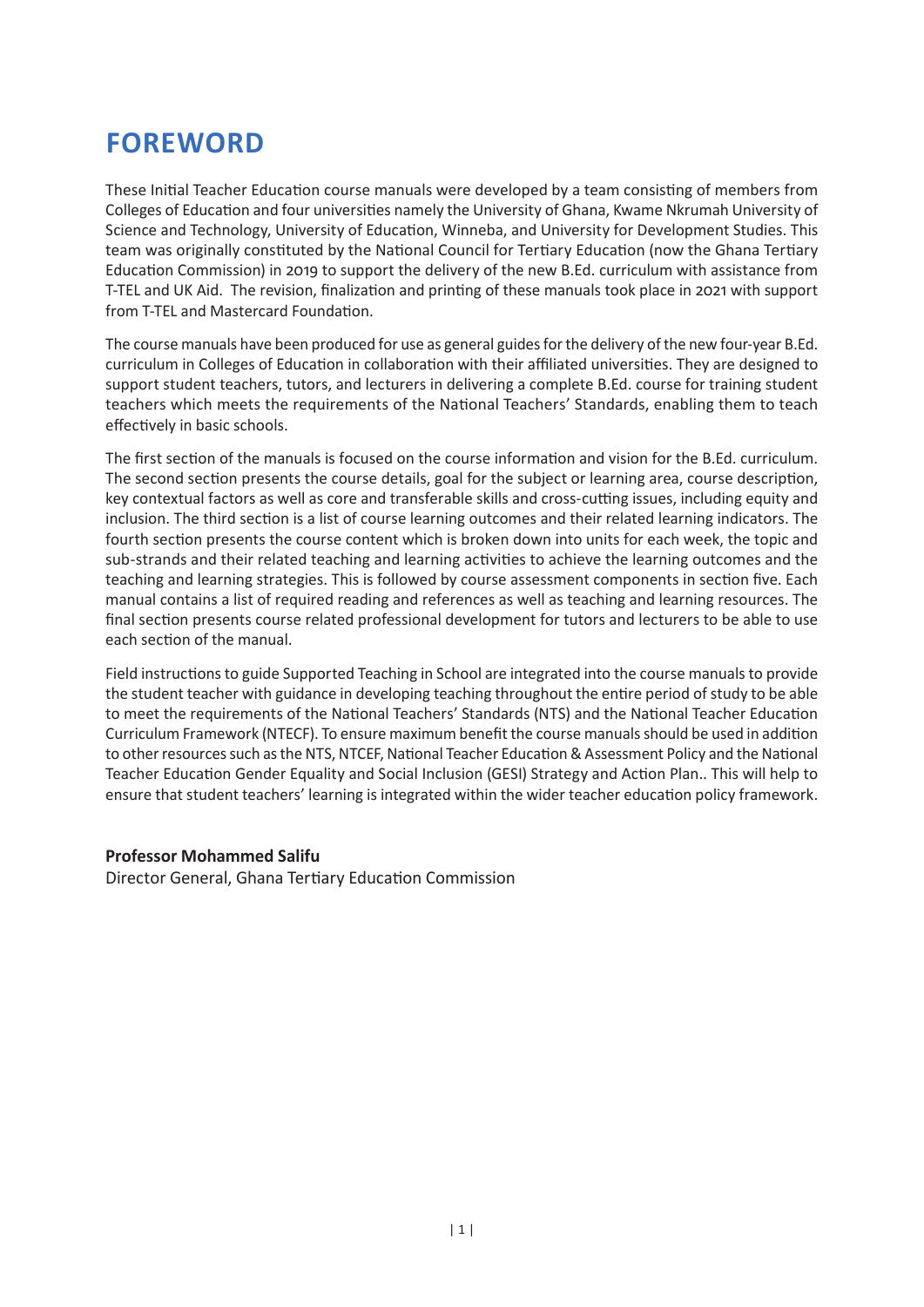## **FOREWORD**

These Initial Teacher Education course manuals were developed by a team consisting of members from Colleges of Education and four universities namely the University of Ghana, Kwame Nkrumah University of Science and Technology, University of Education, Winneba, and University for Development Studies. This team was originally constituted by the National Council for Tertiary Education (now the Ghana Tertiary Education Commission) in 2019 to support the delivery of the new B.Ed. curriculum with assistance from T-TEL and UK Aid. The revision, finalization and printing of these manuals took place in 2021 with support from T-TEL and Mastercard Foundation.

The course manuals have been produced for use as general guides for the delivery of the new four-year B.Ed. curriculum in Colleges of Education in collaboration with their affiliated universities. They are designed to support student teachers, tutors, and lecturers in delivering a complete B.Ed. course for training student teachers which meets the requirements of the National Teachers' Standards, enabling them to teach effectively in basic schools.

The first section of the manuals is focused on the course information and vision for the B.Ed. curriculum. The second section presents the course details, goal for the subject or learning area, course description, key contextual factors as well as core and transferable skills and cross-cutting issues, including equity and inclusion. The third section is a list of course learning outcomes and their related learning indicators. The fourth section presents the course content which is broken down into units for each week, the topic and sub-strands and their related teaching and learning activities to achieve the learning outcomes and the teaching and learning strategies. This is followed by course assessment components in section five. Each manual contains a list of required reading and references as well as teaching and learning resources. The final section presents course related professional development for tutors and lecturers to be able to use each section of the manual.

Field instructions to guide Supported Teaching in School are integrated into the course manuals to provide the student teacher with guidance in developing teaching throughout the entire period of study to be able to meet the requirements of the National Teachers' Standards (NTS) and the National Teacher Education Curriculum Framework (NTECF). To ensure maximum benefit the course manuals should be used in addition to other resources such as the NTS, NTCEF, National Teacher Education & Assessment Policy and the National Teacher Education Gender Equality and Social Inclusion (GESI) Strategy and Action Plan.. This will help to ensure that student teachers' learning is integrated within the wider teacher education policy framework.

#### **Professor Mohammed Salifu**

Director General, Ghana Tertiary Education Commission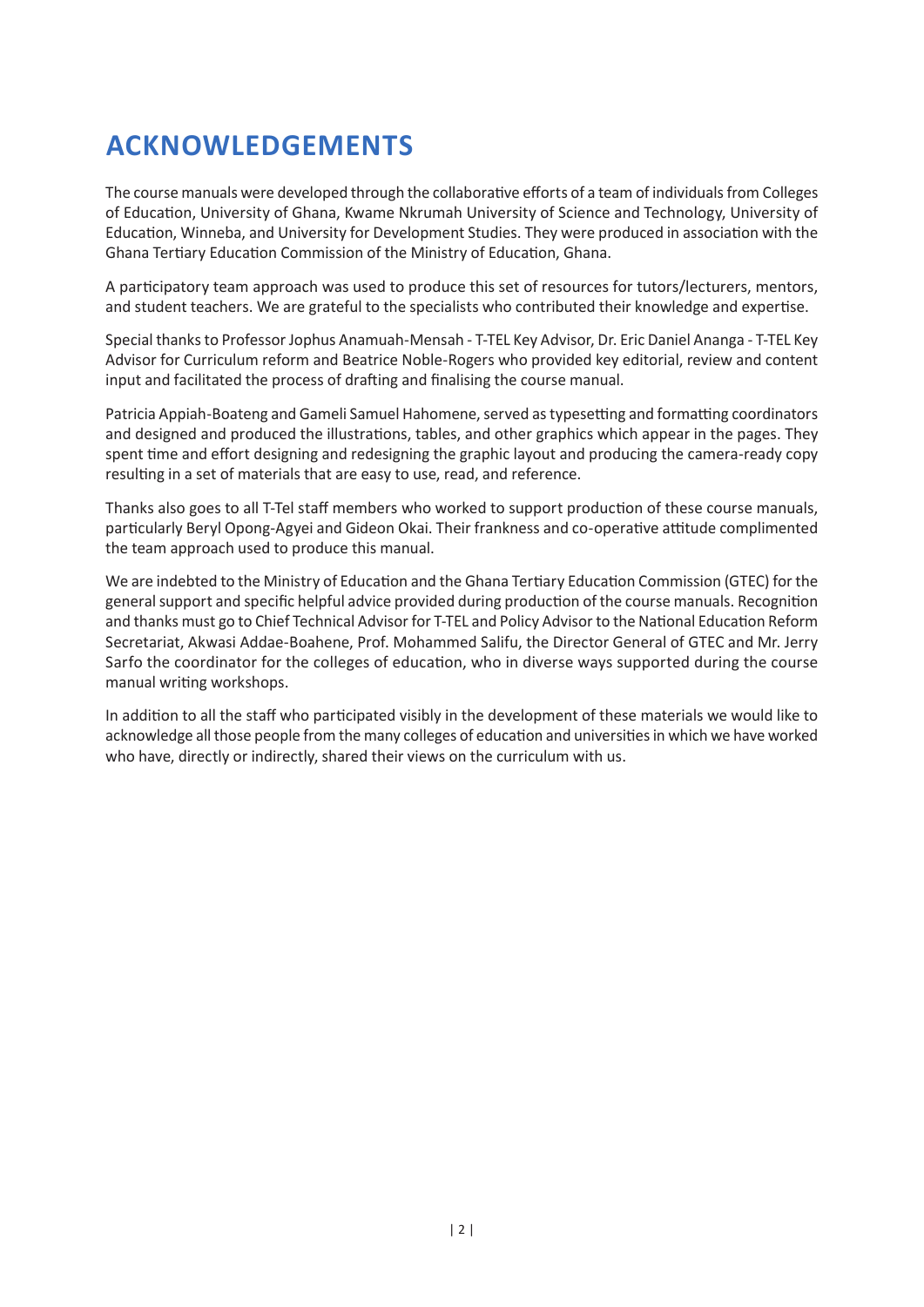# **ACKNOWLEDGEMENTS**

The course manuals were developed through the collaborative efforts of a team of individuals from Colleges of Education, University of Ghana, Kwame Nkrumah University of Science and Technology, University of Education, Winneba, and University for Development Studies. They were produced in association with the Ghana Tertiary Education Commission of the Ministry of Education, Ghana.

A participatory team approach was used to produce this set of resources for tutors/lecturers, mentors, and student teachers. We are grateful to the specialists who contributed their knowledge and expertise.

Special thanks to Professor Jophus Anamuah-Mensah - T-TEL Key Advisor, Dr. Eric Daniel Ananga - T-TEL Key Advisor for Curriculum reform and Beatrice Noble-Rogers who provided key editorial, review and content input and facilitated the process of drafting and finalising the course manual.

Patricia Appiah-Boateng and Gameli Samuel Hahomene, served as typesetting and formatting coordinators and designed and produced the illustrations, tables, and other graphics which appear in the pages. They spent time and effort designing and redesigning the graphic layout and producing the camera-ready copy resulting in a set of materials that are easy to use, read, and reference.

Thanks also goes to all T-Tel staff members who worked to support production of these course manuals, particularly Beryl Opong-Agyei and Gideon Okai. Their frankness and co-operative attitude complimented the team approach used to produce this manual.

We are indebted to the Ministry of Education and the Ghana Tertiary Education Commission (GTEC) for the general support and specific helpful advice provided during production of the course manuals. Recognition and thanks must go to Chief Technical Advisor for T-TEL and Policy Advisor to the National Education Reform Secretariat, Akwasi Addae-Boahene, Prof. Mohammed Salifu, the Director General of GTEC and Mr. Jerry Sarfo the coordinator for the colleges of education, who in diverse ways supported during the course manual writing workshops.

In addition to all the staff who participated visibly in the development of these materials we would like to acknowledge all those people from the many colleges of education and universities in which we have worked who have, directly or indirectly, shared their views on the curriculum with us.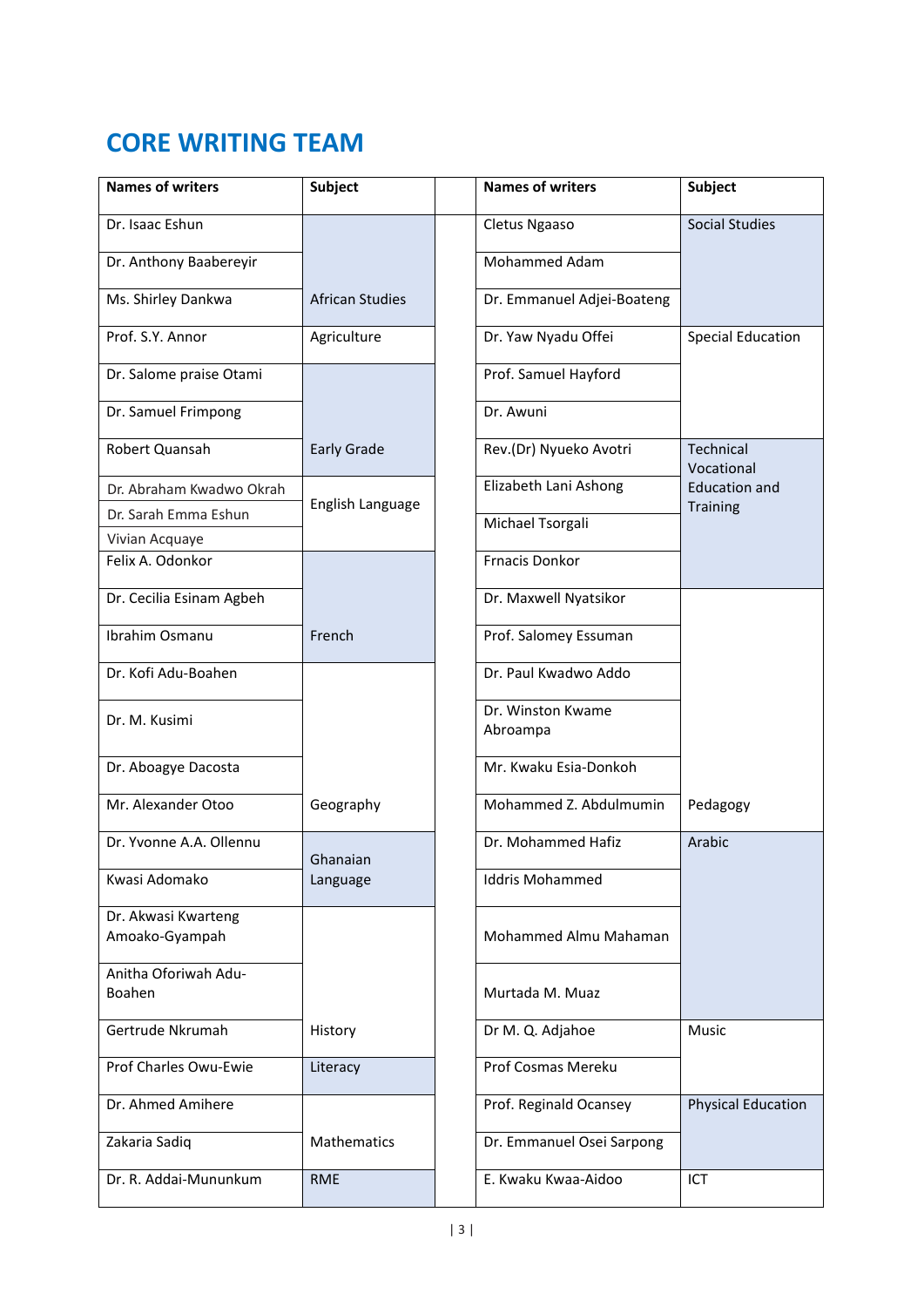## **CORE WRITING TEAM**

| <b>Names of writers</b>               | <b>Subject</b>         | <b>Names of writers</b>       | <b>Subject</b>            |
|---------------------------------------|------------------------|-------------------------------|---------------------------|
| Dr. Isaac Eshun                       |                        | Cletus Ngaaso                 | <b>Social Studies</b>     |
| Dr. Anthony Baabereyir                |                        | Mohammed Adam                 |                           |
| Ms. Shirley Dankwa                    | <b>African Studies</b> | Dr. Emmanuel Adjei-Boateng    |                           |
| Prof. S.Y. Annor                      | Agriculture            | Dr. Yaw Nyadu Offei           | <b>Special Education</b>  |
| Dr. Salome praise Otami               |                        | Prof. Samuel Hayford          |                           |
| Dr. Samuel Frimpong                   |                        | Dr. Awuni                     |                           |
| Robert Quansah                        | <b>Early Grade</b>     | Rev.(Dr) Nyueko Avotri        | Technical<br>Vocational   |
| Dr. Abraham Kwadwo Okrah              |                        | Elizabeth Lani Ashong         | <b>Education and</b>      |
| Dr. Sarah Emma Eshun                  | English Language       |                               | <b>Training</b>           |
| Vivian Acquaye                        |                        | Michael Tsorgali              |                           |
| Felix A. Odonkor                      |                        | <b>Frnacis Donkor</b>         |                           |
| Dr. Cecilia Esinam Agbeh              |                        | Dr. Maxwell Nyatsikor         |                           |
| Ibrahim Osmanu                        | French                 | Prof. Salomey Essuman         |                           |
| Dr. Kofi Adu-Boahen                   |                        | Dr. Paul Kwadwo Addo          |                           |
| Dr. M. Kusimi                         |                        | Dr. Winston Kwame<br>Abroampa |                           |
| Dr. Aboagye Dacosta                   |                        | Mr. Kwaku Esia-Donkoh         |                           |
| Mr. Alexander Otoo                    | Geography              | Mohammed Z. Abdulmumin        | Pedagogy                  |
| Dr. Yvonne A.A. Ollennu               | Ghanaian               | Dr. Mohammed Hafiz            | Arabic                    |
| Kwasi Adomako                         | Language               | <b>Iddris Mohammed</b>        |                           |
| Dr. Akwasi Kwarteng<br>Amoako-Gyampah |                        | Mohammed Almu Mahaman         |                           |
| Anitha Oforiwah Adu-<br>Boahen        |                        | Murtada M. Muaz               |                           |
| Gertrude Nkrumah                      | History                | Dr M. Q. Adjahoe              | <b>Music</b>              |
| Prof Charles Owu-Ewie                 | Literacy               | Prof Cosmas Mereku            |                           |
| Dr. Ahmed Amihere                     |                        | Prof. Reginald Ocansey        | <b>Physical Education</b> |
| Zakaria Sadiq                         | Mathematics            | Dr. Emmanuel Osei Sarpong     |                           |
| Dr. R. Addai-Mununkum                 | <b>RME</b>             | E. Kwaku Kwaa-Aidoo           | ICT                       |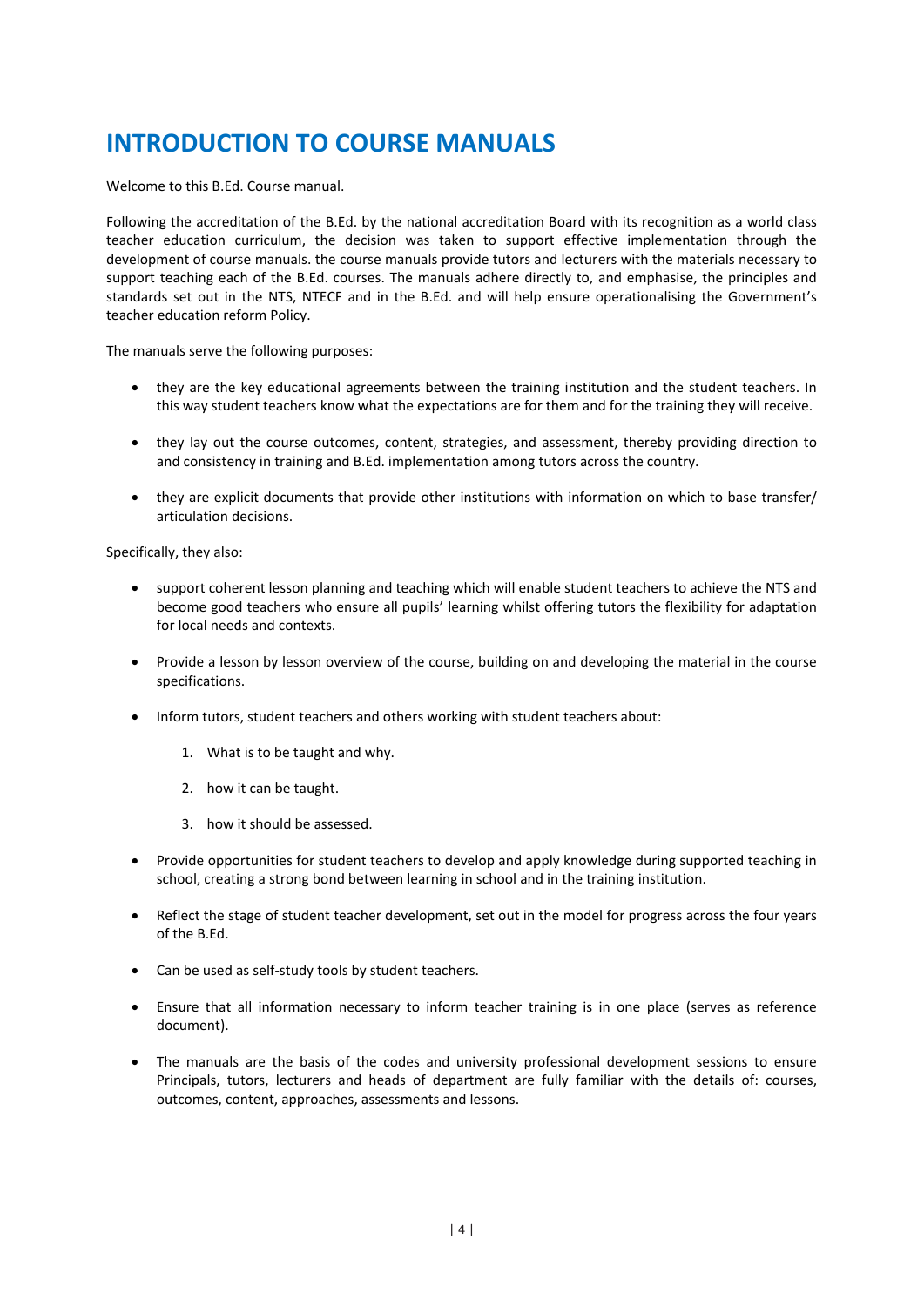### **INTRODUCTION TO COURSE MANUALS**

Welcome to this B.Ed. Course manual.

Following the accreditation of the B.Ed. by the national accreditation Board with its recognition as a world class teacher education curriculum, the decision was taken to support effective implementation through the development of course manuals. the course manuals provide tutors and lecturers with the materials necessary to support teaching each of the B.Ed. courses. The manuals adhere directly to, and emphasise, the principles and standards set out in the NTS, NTECF and in the B.Ed. and will help ensure operationalising the Government's teacher education reform Policy.

The manuals serve the following purposes:

- they are the key educational agreements between the training institution and the student teachers. In this way student teachers know what the expectations are for them and for the training they will receive.
- they lay out the course outcomes, content, strategies, and assessment, thereby providing direction to and consistency in training and B.Ed. implementation among tutors across the country.
- they are explicit documents that provide other institutions with information on which to base transfer/ articulation decisions.

Specifically, they also:

- support coherent lesson planning and teaching which will enable student teachers to achieve the NTS and become good teachers who ensure all pupils' learning whilst offering tutors the flexibility for adaptation for local needs and contexts.
- Provide a lesson by lesson overview of the course, building on and developing the material in the course specifications.
- Inform tutors, student teachers and others working with student teachers about:
	- 1. What is to be taught and why.
	- 2. how it can be taught.
	- 3. how it should be assessed.
- Provide opportunities for student teachers to develop and apply knowledge during supported teaching in school, creating a strong bond between learning in school and in the training institution.
- Reflect the stage of student teacher development, set out in the model for progress across the four years of the B.Ed.
- Can be used as self-study tools by student teachers.
- Ensure that all information necessary to inform teacher training is in one place (serves as reference document).
- The manuals are the basis of the codes and university professional development sessions to ensure Principals, tutors, lecturers and heads of department are fully familiar with the details of: courses, outcomes, content, approaches, assessments and lessons.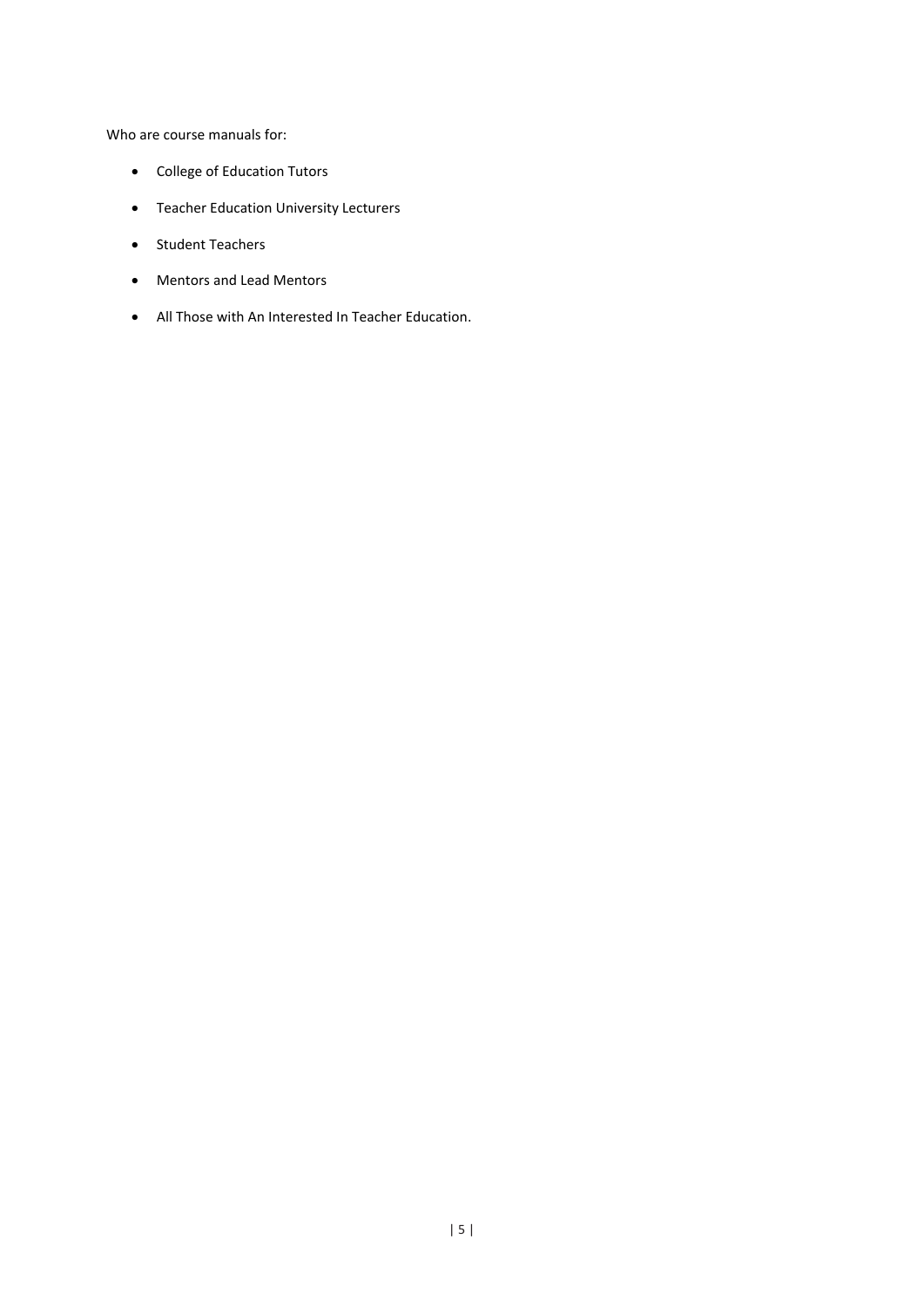Who are course manuals for:

- College of Education Tutors
- Teacher Education University Lecturers
- Student Teachers
- Mentors and Lead Mentors
- All Those with An Interested In Teacher Education.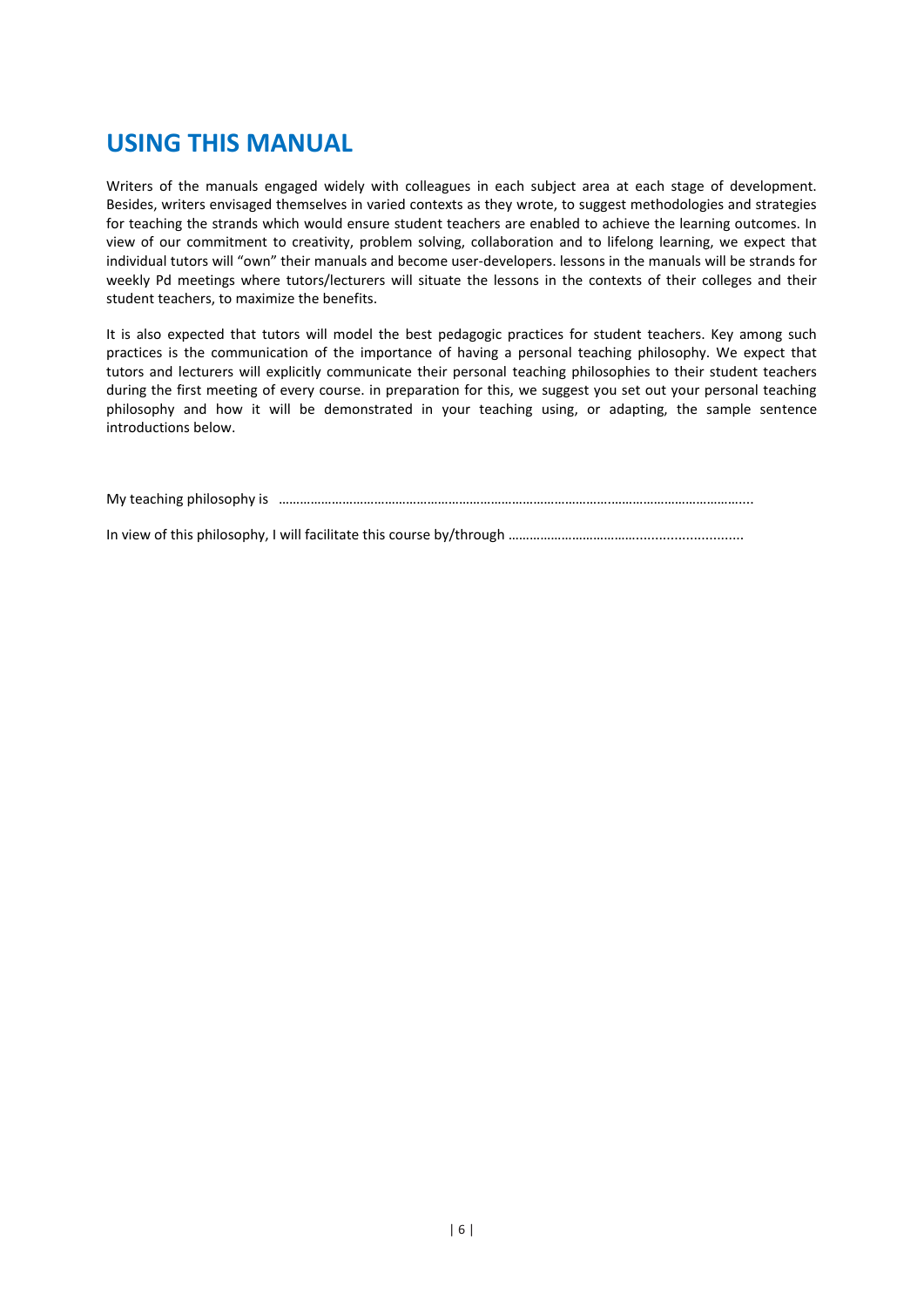#### **USING THIS MANUAL**

Writers of the manuals engaged widely with colleagues in each subject area at each stage of development. Besides, writers envisaged themselves in varied contexts as they wrote, to suggest methodologies and strategies for teaching the strands which would ensure student teachers are enabled to achieve the learning outcomes. In view of our commitment to creativity, problem solving, collaboration and to lifelong learning, we expect that individual tutors will "own" their manuals and become user-developers. lessons in the manuals will be strands for weekly Pd meetings where tutors/lecturers will situate the lessons in the contexts of their colleges and their student teachers, to maximize the benefits.

It is also expected that tutors will model the best pedagogic practices for student teachers. Key among such practices is the communication of the importance of having a personal teaching philosophy. We expect that tutors and lecturers will explicitly communicate their personal teaching philosophies to their student teachers during the first meeting of every course. in preparation for this, we suggest you set out your personal teaching philosophy and how it will be demonstrated in your teaching using, or adapting, the sample sentence introductions below.

My teaching philosophy is ………………………………………………………………………………….………………………………....

In view of this philosophy, I will facilitate this course by/through ……………………………………………………………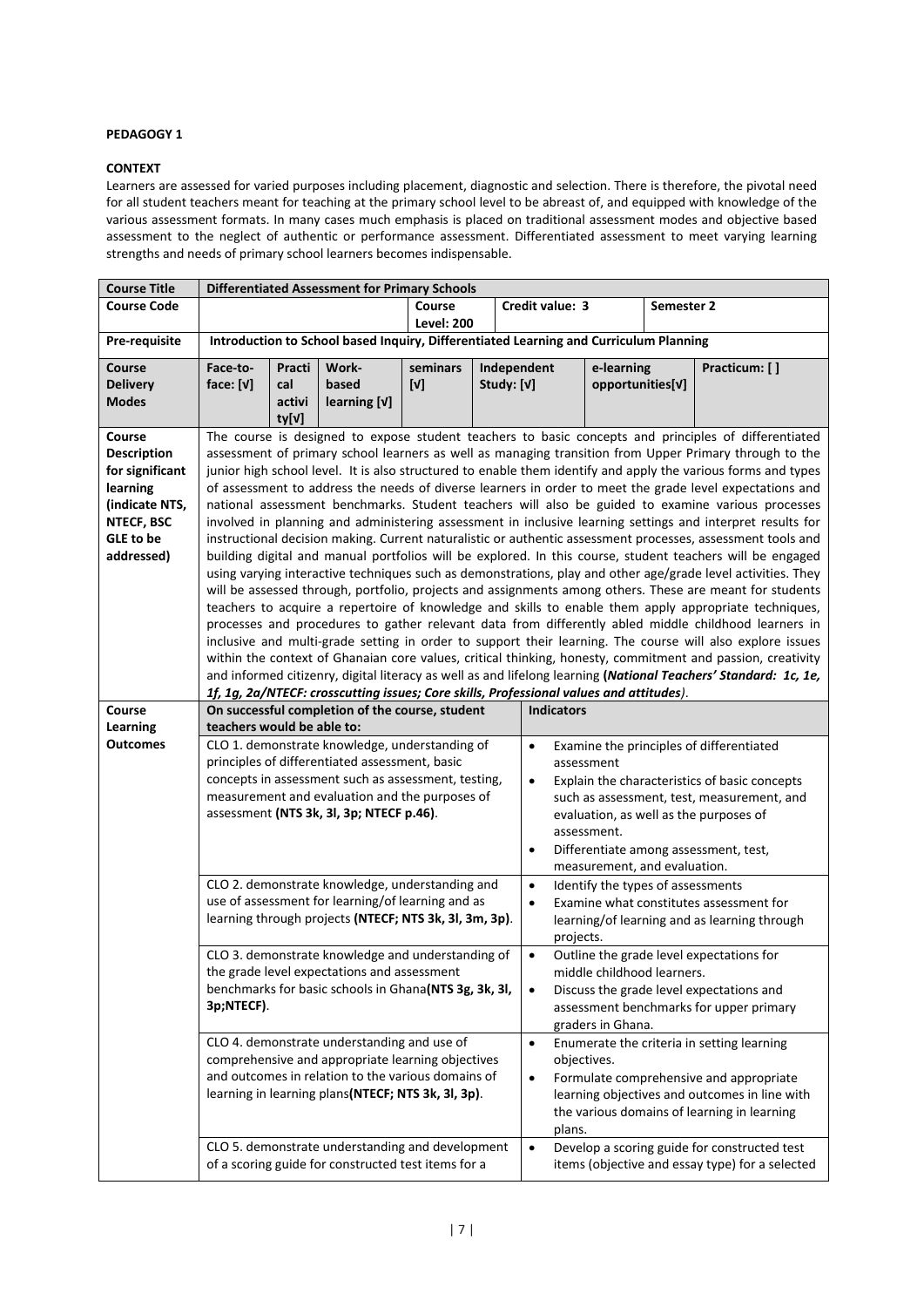#### **PEDAGOGY 1**

#### **CONTEXT**

Learners are assessed for varied purposes including placement, diagnostic and selection. There is therefore, the pivotal need for all student teachers meant for teaching at the primary school level to be abreast of, and equipped with knowledge of the various assessment formats. In many cases much emphasis is placed on traditional assessment modes and objective based assessment to the neglect of authentic or performance assessment. Differentiated assessment to meet varying learning strengths and needs of primary school learners becomes indispensable.

| <b>Course Title</b>         | <b>Differentiated Assessment for Primary Schools</b> |        |                                                                                         |                   |             |                                            |                   |                   |                                   |                                                                                                                                                                                                                           |
|-----------------------------|------------------------------------------------------|--------|-----------------------------------------------------------------------------------------|-------------------|-------------|--------------------------------------------|-------------------|-------------------|-----------------------------------|---------------------------------------------------------------------------------------------------------------------------------------------------------------------------------------------------------------------------|
| <b>Course Code</b>          | Course<br>Credit value: 3<br>Semester 2              |        |                                                                                         |                   |             |                                            |                   |                   |                                   |                                                                                                                                                                                                                           |
|                             |                                                      |        |                                                                                         | <b>Level: 200</b> |             |                                            |                   |                   |                                   |                                                                                                                                                                                                                           |
| Pre-requisite               |                                                      |        | Introduction to School based Inquiry, Differentiated Learning and Curriculum Planning   |                   |             |                                            |                   |                   |                                   |                                                                                                                                                                                                                           |
| Course                      | Face-to-                                             | Practi | Work-                                                                                   | seminars          | Independent |                                            |                   | e-learning        |                                   | Practicum: []                                                                                                                                                                                                             |
| <b>Delivery</b>             | face: $[V]$                                          | cal    | based                                                                                   | [V]               | Study: [V]  |                                            |                   | opportunities[v]  |                                   |                                                                                                                                                                                                                           |
| <b>Modes</b>                |                                                      | activi | learning [V]                                                                            |                   |             |                                            |                   |                   |                                   |                                                                                                                                                                                                                           |
|                             |                                                      | ty[v]  |                                                                                         |                   |             |                                            |                   |                   |                                   |                                                                                                                                                                                                                           |
| Course                      |                                                      |        |                                                                                         |                   |             |                                            |                   |                   |                                   | The course is designed to expose student teachers to basic concepts and principles of differentiated                                                                                                                      |
| <b>Description</b>          |                                                      |        |                                                                                         |                   |             |                                            |                   |                   |                                   | assessment of primary school learners as well as managing transition from Upper Primary through to the                                                                                                                    |
| for significant<br>learning |                                                      |        |                                                                                         |                   |             |                                            |                   |                   |                                   | junior high school level. It is also structured to enable them identify and apply the various forms and types<br>of assessment to address the needs of diverse learners in order to meet the grade level expectations and |
| (indicate NTS,              |                                                      |        |                                                                                         |                   |             |                                            |                   |                   |                                   | national assessment benchmarks. Student teachers will also be guided to examine various processes                                                                                                                         |
| NTECF, BSC                  |                                                      |        |                                                                                         |                   |             |                                            |                   |                   |                                   | involved in planning and administering assessment in inclusive learning settings and interpret results for                                                                                                                |
| GLE to be                   |                                                      |        |                                                                                         |                   |             |                                            |                   |                   |                                   | instructional decision making. Current naturalistic or authentic assessment processes, assessment tools and                                                                                                               |
| addressed)                  |                                                      |        |                                                                                         |                   |             |                                            |                   |                   |                                   | building digital and manual portfolios will be explored. In this course, student teachers will be engaged                                                                                                                 |
|                             |                                                      |        |                                                                                         |                   |             |                                            |                   |                   |                                   | using varying interactive techniques such as demonstrations, play and other age/grade level activities. They                                                                                                              |
|                             |                                                      |        |                                                                                         |                   |             |                                            |                   |                   |                                   | will be assessed through, portfolio, projects and assignments among others. These are meant for students                                                                                                                  |
|                             |                                                      |        |                                                                                         |                   |             |                                            |                   |                   |                                   | teachers to acquire a repertoire of knowledge and skills to enable them apply appropriate techniques,                                                                                                                     |
|                             |                                                      |        |                                                                                         |                   |             |                                            |                   |                   |                                   | processes and procedures to gather relevant data from differently abled middle childhood learners in                                                                                                                      |
|                             |                                                      |        |                                                                                         |                   |             |                                            |                   |                   |                                   | inclusive and multi-grade setting in order to support their learning. The course will also explore issues                                                                                                                 |
|                             |                                                      |        |                                                                                         |                   |             |                                            |                   |                   |                                   | within the context of Ghanaian core values, critical thinking, honesty, commitment and passion, creativity                                                                                                                |
|                             |                                                      |        | 1f, 1g, 2a/NTECF: crosscutting issues; Core skills, Professional values and attitudes). |                   |             |                                            |                   |                   |                                   | and informed citizenry, digital literacy as well as and lifelong learning (National Teachers' Standard: 1c, 1e,                                                                                                           |
| Course                      |                                                      |        | On successful completion of the course, student                                         |                   |             |                                            | <b>Indicators</b> |                   |                                   |                                                                                                                                                                                                                           |
| Learning                    | teachers would be able to:                           |        |                                                                                         |                   |             |                                            |                   |                   |                                   |                                                                                                                                                                                                                           |
| <b>Outcomes</b>             |                                                      |        | CLO 1. demonstrate knowledge, understanding of                                          |                   |             | $\bullet$                                  |                   |                   |                                   | Examine the principles of differentiated                                                                                                                                                                                  |
|                             |                                                      |        | principles of differentiated assessment, basic                                          |                   |             |                                            | assessment        |                   |                                   |                                                                                                                                                                                                                           |
|                             |                                                      |        | concepts in assessment such as assessment, testing,                                     |                   |             | $\bullet$                                  |                   |                   |                                   | Explain the characteristics of basic concepts                                                                                                                                                                             |
|                             |                                                      |        | measurement and evaluation and the purposes of                                          |                   |             | such as assessment, test, measurement, and |                   |                   |                                   |                                                                                                                                                                                                                           |
|                             |                                                      |        | assessment (NTS 3k, 3l, 3p; NTECF p.46).                                                |                   |             |                                            |                   |                   |                                   | evaluation, as well as the purposes of                                                                                                                                                                                    |
|                             |                                                      |        |                                                                                         |                   |             |                                            |                   | assessment.       |                                   |                                                                                                                                                                                                                           |
|                             |                                                      |        |                                                                                         |                   |             | $\bullet$                                  |                   |                   |                                   | Differentiate among assessment, test,                                                                                                                                                                                     |
|                             |                                                      |        | CLO 2. demonstrate knowledge, understanding and                                         |                   |             |                                            |                   |                   | measurement, and evaluation.      |                                                                                                                                                                                                                           |
|                             |                                                      |        | use of assessment for learning/of learning and as                                       |                   |             | $\bullet$<br>$\bullet$                     |                   |                   | Identify the types of assessments | Examine what constitutes assessment for                                                                                                                                                                                   |
|                             |                                                      |        | learning through projects (NTECF; NTS 3k, 3l, 3m, 3p).                                  |                   |             |                                            |                   |                   |                                   | learning/of learning and as learning through                                                                                                                                                                              |
|                             |                                                      |        |                                                                                         |                   |             |                                            | projects.         |                   |                                   |                                                                                                                                                                                                                           |
|                             |                                                      |        | CLO 3. demonstrate knowledge and understanding of                                       |                   |             | $\bullet$                                  |                   |                   |                                   | Outline the grade level expectations for                                                                                                                                                                                  |
|                             |                                                      |        | the grade level expectations and assessment                                             |                   |             |                                            |                   |                   | middle childhood learners.        |                                                                                                                                                                                                                           |
|                             |                                                      |        | benchmarks for basic schools in Ghana(NTS 3g, 3k, 3l,                                   |                   |             | $\bullet$                                  |                   |                   |                                   | Discuss the grade level expectations and                                                                                                                                                                                  |
|                             | 3p;NTECF).                                           |        |                                                                                         |                   |             |                                            |                   |                   |                                   | assessment benchmarks for upper primary                                                                                                                                                                                   |
|                             |                                                      |        |                                                                                         |                   |             |                                            |                   | graders in Ghana. |                                   |                                                                                                                                                                                                                           |
|                             |                                                      |        | CLO 4. demonstrate understanding and use of                                             |                   |             | $\bullet$                                  |                   |                   |                                   | Enumerate the criteria in setting learning                                                                                                                                                                                |
|                             |                                                      |        | comprehensive and appropriate learning objectives                                       |                   |             |                                            | objectives.       |                   |                                   |                                                                                                                                                                                                                           |
|                             |                                                      |        | and outcomes in relation to the various domains of                                      |                   |             | $\bullet$                                  |                   |                   |                                   | Formulate comprehensive and appropriate                                                                                                                                                                                   |
|                             |                                                      |        | learning in learning plans(NTECF; NTS 3k, 3l, 3p).                                      |                   |             |                                            |                   |                   |                                   | learning objectives and outcomes in line with<br>the various domains of learning in learning                                                                                                                              |
|                             |                                                      |        |                                                                                         |                   |             |                                            | plans.            |                   |                                   |                                                                                                                                                                                                                           |
|                             |                                                      |        | CLO 5. demonstrate understanding and development                                        |                   |             | $\bullet$                                  |                   |                   |                                   | Develop a scoring guide for constructed test                                                                                                                                                                              |
|                             |                                                      |        | of a scoring guide for constructed test items for a                                     |                   |             |                                            |                   |                   |                                   | items (objective and essay type) for a selected                                                                                                                                                                           |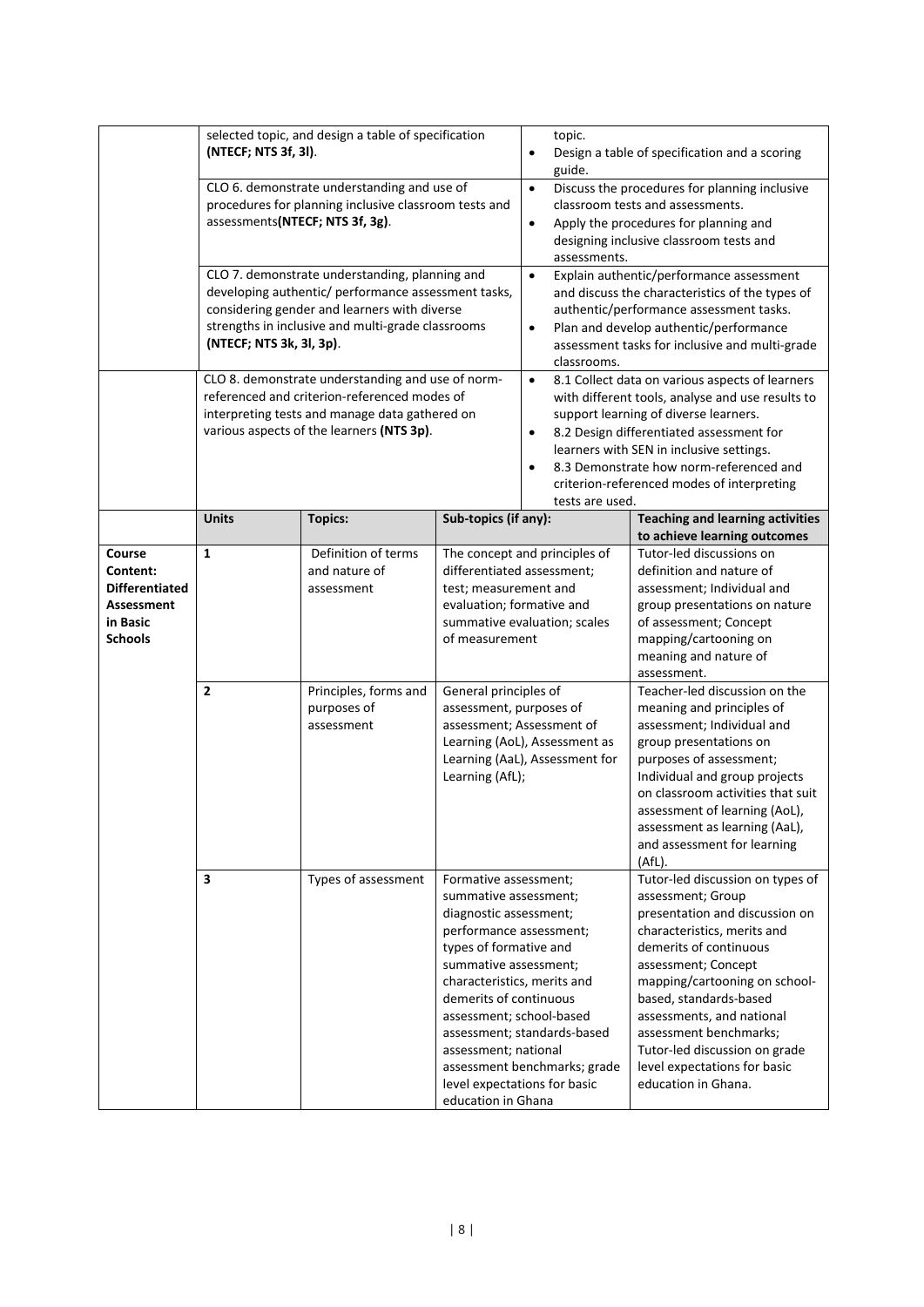|                                                                                  | selected topic, and design a table of specification<br>(NTECF; NTS 3f, 3l).<br>CLO 6. demonstrate understanding and use of<br>procedures for planning inclusive classroom tests and<br>assessments(NTECF; NTS 3f, 3g).<br>CLO 7. demonstrate understanding, planning and<br>developing authentic/ performance assessment tasks,<br>considering gender and learners with diverse<br>strengths in inclusive and multi-grade classrooms<br>(NTECF; NTS 3k, 3l, 3p). |                                                    |                                                                                                                                                                                                                                                                                                                                            | topic.<br>$\bullet$<br>Design a table of specification and a scoring<br>guide.<br>Discuss the procedures for planning inclusive<br>$\bullet$<br>classroom tests and assessments.<br>Apply the procedures for planning and<br>$\bullet$<br>designing inclusive classroom tests and<br>assessments.<br>Explain authentic/performance assessment<br>$\bullet$<br>and discuss the characteristics of the types of<br>authentic/performance assessment tasks.<br>Plan and develop authentic/performance<br>$\bullet$<br>assessment tasks for inclusive and multi-grade<br>classrooms. |                                                                                                                                                                                                                                                                                                                                                                                   |  |
|----------------------------------------------------------------------------------|------------------------------------------------------------------------------------------------------------------------------------------------------------------------------------------------------------------------------------------------------------------------------------------------------------------------------------------------------------------------------------------------------------------------------------------------------------------|----------------------------------------------------|--------------------------------------------------------------------------------------------------------------------------------------------------------------------------------------------------------------------------------------------------------------------------------------------------------------------------------------------|----------------------------------------------------------------------------------------------------------------------------------------------------------------------------------------------------------------------------------------------------------------------------------------------------------------------------------------------------------------------------------------------------------------------------------------------------------------------------------------------------------------------------------------------------------------------------------|-----------------------------------------------------------------------------------------------------------------------------------------------------------------------------------------------------------------------------------------------------------------------------------------------------------------------------------------------------------------------------------|--|
|                                                                                  | CLO 8. demonstrate understanding and use of norm-<br>referenced and criterion-referenced modes of<br>interpreting tests and manage data gathered on<br>various aspects of the learners (NTS 3p).                                                                                                                                                                                                                                                                 |                                                    |                                                                                                                                                                                                                                                                                                                                            | $\bullet$<br>8.1 Collect data on various aspects of learners<br>with different tools, analyse and use results to<br>support learning of diverse learners.<br>8.2 Design differentiated assessment for<br>$\bullet$<br>learners with SEN in inclusive settings.<br>8.3 Demonstrate how norm-referenced and<br>$\bullet$<br>criterion-referenced modes of interpreting<br>tests are used.                                                                                                                                                                                          |                                                                                                                                                                                                                                                                                                                                                                                   |  |
|                                                                                  | <b>Units</b>                                                                                                                                                                                                                                                                                                                                                                                                                                                     | <b>Topics:</b>                                     | Sub-topics (if any):                                                                                                                                                                                                                                                                                                                       |                                                                                                                                                                                                                                                                                                                                                                                                                                                                                                                                                                                  | <b>Teaching and learning activities</b><br>to achieve learning outcomes                                                                                                                                                                                                                                                                                                           |  |
| Course<br>Content:<br><b>Differentiated</b><br>Assessment<br>in Basic<br>Schools | $\mathbf{1}$                                                                                                                                                                                                                                                                                                                                                                                                                                                     | Definition of terms<br>and nature of<br>assessment | The concept and principles of<br>differentiated assessment;<br>test; measurement and<br>evaluation; formative and<br>summative evaluation; scales<br>of measurement<br>General principles of<br>assessment, purposes of<br>assessment; Assessment of<br>Learning (AoL), Assessment as<br>Learning (AaL), Assessment for<br>Learning (AfL); |                                                                                                                                                                                                                                                                                                                                                                                                                                                                                                                                                                                  | Tutor-led discussions on<br>definition and nature of<br>assessment; Individual and<br>group presentations on nature<br>of assessment; Concept<br>mapping/cartooning on<br>meaning and nature of<br>assessment.                                                                                                                                                                    |  |
|                                                                                  | $\overline{\mathbf{2}}$                                                                                                                                                                                                                                                                                                                                                                                                                                          | Principles, forms and<br>purposes of<br>assessment |                                                                                                                                                                                                                                                                                                                                            |                                                                                                                                                                                                                                                                                                                                                                                                                                                                                                                                                                                  | Teacher-led discussion on the<br>meaning and principles of<br>assessment; Individual and<br>group presentations on<br>purposes of assessment;<br>Individual and group projects<br>on classroom activities that suit<br>assessment of learning (AoL),<br>assessment as learning (AaL),<br>and assessment for learning<br>(AfL).                                                    |  |
|                                                                                  | 3                                                                                                                                                                                                                                                                                                                                                                                                                                                                | Types of assessment                                | Formative assessment;<br>summative assessment;<br>diagnostic assessment;<br>performance assessment;<br>types of formative and<br>summative assessment;<br>characteristics, merits and<br>demerits of continuous<br>assessment; school-based<br>assessment; national<br>education in Ghana                                                  | assessment; standards-based<br>assessment benchmarks; grade<br>level expectations for basic                                                                                                                                                                                                                                                                                                                                                                                                                                                                                      | Tutor-led discussion on types of<br>assessment; Group<br>presentation and discussion on<br>characteristics, merits and<br>demerits of continuous<br>assessment; Concept<br>mapping/cartooning on school-<br>based, standards-based<br>assessments, and national<br>assessment benchmarks;<br>Tutor-led discussion on grade<br>level expectations for basic<br>education in Ghana. |  |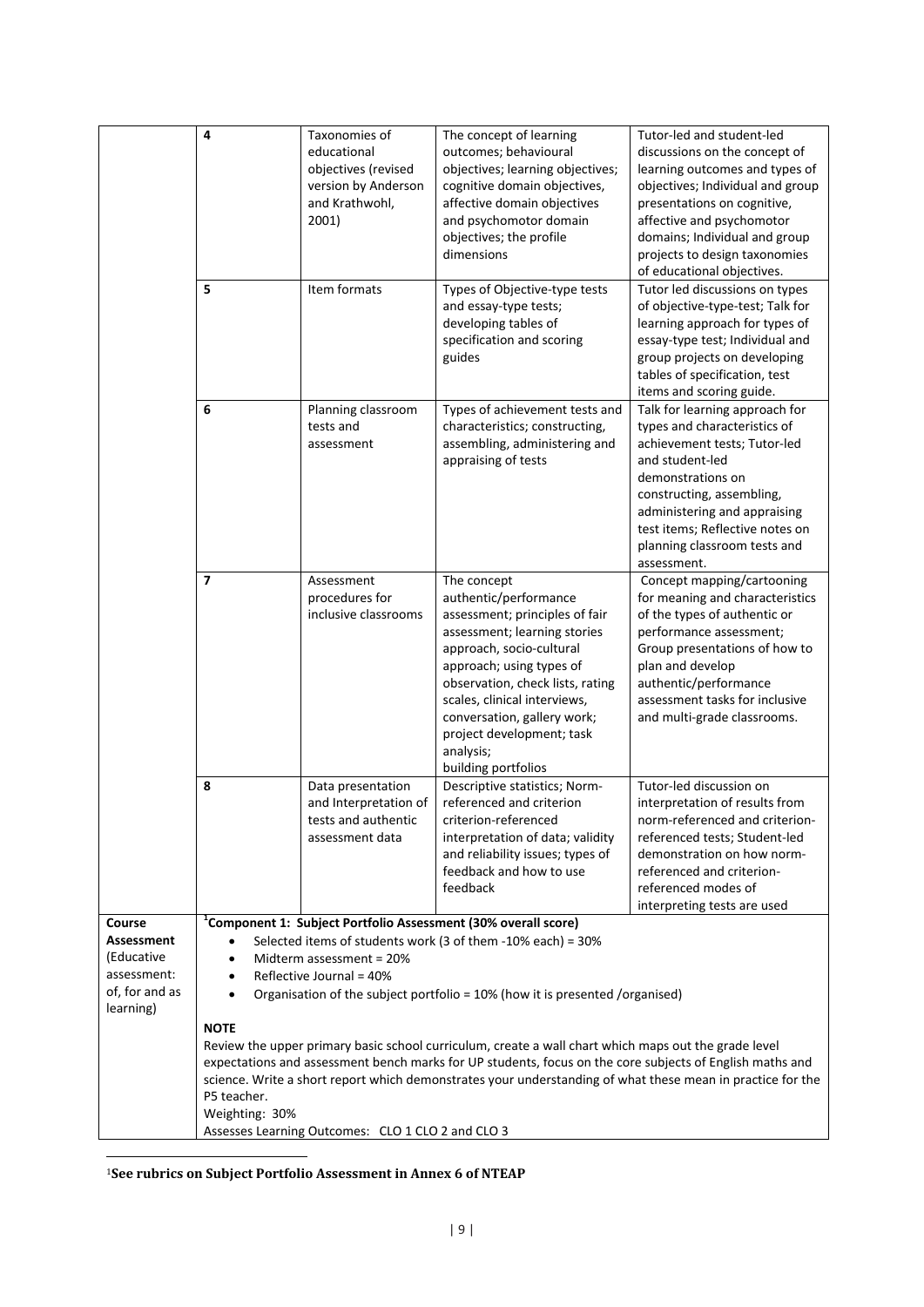|                                                                        | 4                                                                                                                                                                                                                                                                                                                                                                                                                                                                                                                   | Taxonomies of<br>educational<br>objectives (revised<br>version by Anderson<br>and Krathwohl,<br>2001) | The concept of learning<br>outcomes; behavioural<br>objectives; learning objectives;<br>cognitive domain objectives,<br>affective domain objectives<br>and psychomotor domain<br>objectives; the profile<br>dimensions                                                                                                             | Tutor-led and student-led<br>discussions on the concept of<br>learning outcomes and types of<br>objectives; Individual and group<br>presentations on cognitive,<br>affective and psychomotor<br>domains; Individual and group<br>projects to design taxonomies<br>of educational objectives. |  |  |
|------------------------------------------------------------------------|---------------------------------------------------------------------------------------------------------------------------------------------------------------------------------------------------------------------------------------------------------------------------------------------------------------------------------------------------------------------------------------------------------------------------------------------------------------------------------------------------------------------|-------------------------------------------------------------------------------------------------------|------------------------------------------------------------------------------------------------------------------------------------------------------------------------------------------------------------------------------------------------------------------------------------------------------------------------------------|----------------------------------------------------------------------------------------------------------------------------------------------------------------------------------------------------------------------------------------------------------------------------------------------|--|--|
|                                                                        | 5                                                                                                                                                                                                                                                                                                                                                                                                                                                                                                                   | Item formats                                                                                          | Types of Objective-type tests<br>and essay-type tests;<br>developing tables of<br>specification and scoring<br>guides                                                                                                                                                                                                              | Tutor led discussions on types<br>of objective-type-test; Talk for<br>learning approach for types of<br>essay-type test; Individual and<br>group projects on developing<br>tables of specification, test<br>items and scoring guide.                                                         |  |  |
|                                                                        | 6                                                                                                                                                                                                                                                                                                                                                                                                                                                                                                                   | Planning classroom<br>tests and<br>assessment                                                         | Types of achievement tests and<br>characteristics; constructing,<br>assembling, administering and<br>appraising of tests                                                                                                                                                                                                           | Talk for learning approach for<br>types and characteristics of<br>achievement tests; Tutor-led<br>and student-led<br>demonstrations on<br>constructing, assembling,<br>administering and appraising<br>test items; Reflective notes on<br>planning classroom tests and<br>assessment.        |  |  |
|                                                                        | $\overline{7}$                                                                                                                                                                                                                                                                                                                                                                                                                                                                                                      | Assessment<br>procedures for<br>inclusive classrooms                                                  | The concept<br>authentic/performance<br>assessment; principles of fair<br>assessment; learning stories<br>approach, socio-cultural<br>approach; using types of<br>observation, check lists, rating<br>scales, clinical interviews,<br>conversation, gallery work;<br>project development; task<br>analysis;<br>building portfolios | Concept mapping/cartooning<br>for meaning and characteristics<br>of the types of authentic or<br>performance assessment;<br>Group presentations of how to<br>plan and develop<br>authentic/performance<br>assessment tasks for inclusive<br>and multi-grade classrooms.                      |  |  |
|                                                                        | 8                                                                                                                                                                                                                                                                                                                                                                                                                                                                                                                   | Data presentation<br>and Interpretation of<br>tests and authentic<br>assessment data                  | Descriptive statistics; Norm-<br>referenced and criterion<br>criterion-referenced<br>interpretation of data; validity<br>and reliability issues; types of<br>feedback and how to use<br>feedback                                                                                                                                   | Tutor-led discussion on<br>interpretation of results from<br>norm-referenced and criterion-<br>referenced tests; Student-led<br>demonstration on how norm-<br>referenced and criterion-<br>referenced modes of<br>interpreting tests are used                                                |  |  |
| Course                                                                 |                                                                                                                                                                                                                                                                                                                                                                                                                                                                                                                     |                                                                                                       | <sup>1</sup> Component 1: Subject Portfolio Assessment (30% overall score)                                                                                                                                                                                                                                                         |                                                                                                                                                                                                                                                                                              |  |  |
| Assessment<br>(Educative<br>assessment:<br>of, for and as<br>learning) | $\bullet$<br>$\bullet$<br>$\bullet$                                                                                                                                                                                                                                                                                                                                                                                                                                                                                 | Midterm assessment = 20%<br>Reflective Journal = 40%                                                  | Selected items of students work (3 of them -10% each) = 30%                                                                                                                                                                                                                                                                        |                                                                                                                                                                                                                                                                                              |  |  |
|                                                                        | Organisation of the subject portfolio = 10% (how it is presented /organised)<br><b>NOTE</b><br>Review the upper primary basic school curriculum, create a wall chart which maps out the grade level<br>expectations and assessment bench marks for UP students, focus on the core subjects of English maths and<br>science. Write a short report which demonstrates your understanding of what these mean in practice for the<br>P5 teacher.<br>Weighting: 30%<br>Assesses Learning Outcomes: CLO 1 CLO 2 and CLO 3 |                                                                                                       |                                                                                                                                                                                                                                                                                                                                    |                                                                                                                                                                                                                                                                                              |  |  |

<sup>1</sup>**See rubrics on Subject Portfolio Assessment in Annex 6 of NTEAP**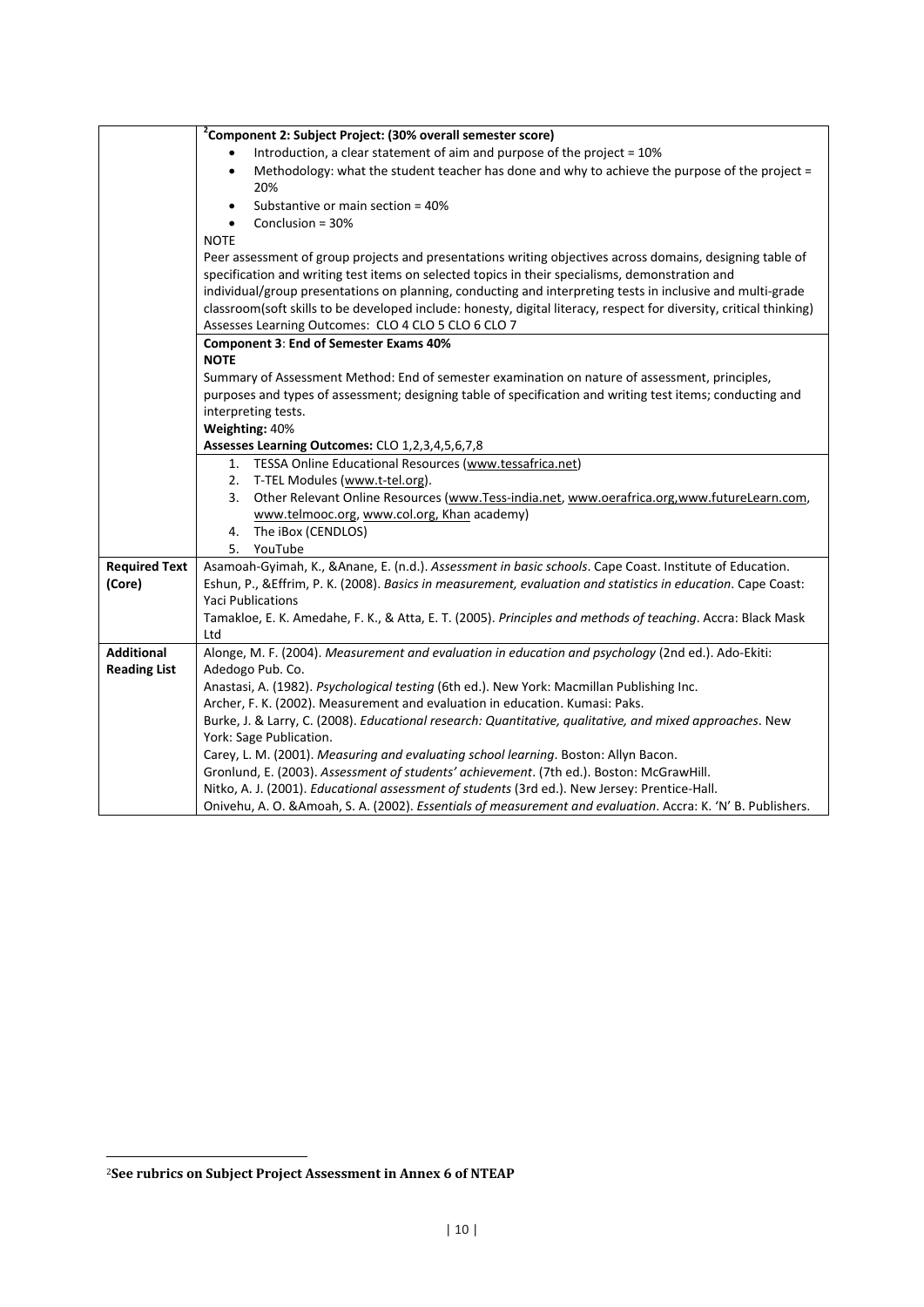|                      | <sup>2</sup> Component 2: Subject Project: (30% overall semester score)                                             |
|----------------------|---------------------------------------------------------------------------------------------------------------------|
|                      | Introduction, a clear statement of aim and purpose of the project = $10\%$                                          |
|                      | Methodology: what the student teacher has done and why to achieve the purpose of the project =<br>$\bullet$         |
|                      | 20%                                                                                                                 |
|                      | Substantive or main section = 40%<br>$\bullet$                                                                      |
|                      | Conclusion = 30%                                                                                                    |
|                      | <b>NOTE</b>                                                                                                         |
|                      | Peer assessment of group projects and presentations writing objectives across domains, designing table of           |
|                      | specification and writing test items on selected topics in their specialisms, demonstration and                     |
|                      | individual/group presentations on planning, conducting and interpreting tests in inclusive and multi-grade          |
|                      | classroom(soft skills to be developed include: honesty, digital literacy, respect for diversity, critical thinking) |
|                      | Assesses Learning Outcomes: CLO 4 CLO 5 CLO 6 CLO 7                                                                 |
|                      | <b>Component 3: End of Semester Exams 40%</b>                                                                       |
|                      | <b>NOTE</b>                                                                                                         |
|                      | Summary of Assessment Method: End of semester examination on nature of assessment, principles,                      |
|                      | purposes and types of assessment; designing table of specification and writing test items; conducting and           |
|                      | interpreting tests.                                                                                                 |
|                      | Weighting: 40%                                                                                                      |
|                      | Assesses Learning Outcomes: CLO 1,2,3,4,5,6,7,8<br>1. TESSA Online Educational Resources (www.tessafrica.net)       |
|                      | 2. T-TEL Modules (www.t-tel.org).                                                                                   |
|                      | Other Relevant Online Resources (www.Tess-india.net, www.oerafrica.org, www.futureLearn.com,<br>3.                  |
|                      | www.telmooc.org, www.col.org, Khan academy)                                                                         |
|                      | 4. The iBox (CENDLOS)                                                                                               |
|                      | YouTube<br>5.                                                                                                       |
| <b>Required Text</b> | Asamoah-Gyimah, K., & Anane, E. (n.d.). Assessment in basic schools. Cape Coast. Institute of Education.            |
| (Core)               | Eshun, P., & Effrim, P. K. (2008). Basics in measurement, evaluation and statistics in education. Cape Coast:       |
|                      | <b>Yaci Publications</b>                                                                                            |
|                      | Tamakloe, E. K. Amedahe, F. K., & Atta, E. T. (2005). Principles and methods of teaching. Accra: Black Mask         |
|                      | Ltd                                                                                                                 |
| <b>Additional</b>    | Alonge, M. F. (2004). Measurement and evaluation in education and psychology (2nd ed.). Ado-Ekiti:                  |
| <b>Reading List</b>  | Adedogo Pub. Co.                                                                                                    |
|                      | Anastasi, A. (1982). Psychological testing (6th ed.). New York: Macmillan Publishing Inc.                           |
|                      | Archer, F. K. (2002). Measurement and evaluation in education. Kumasi: Paks.                                        |
|                      | Burke, J. & Larry, C. (2008). Educational research: Quantitative, qualitative, and mixed approaches. New            |
|                      | York: Sage Publication.                                                                                             |
|                      | Carey, L. M. (2001). Measuring and evaluating school learning. Boston: Allyn Bacon.                                 |
|                      | Gronlund, E. (2003). Assessment of students' achievement. (7th ed.). Boston: McGrawHill.                            |
|                      | Nitko, A. J. (2001). Educational assessment of students (3rd ed.). New Jersey: Prentice-Hall.                       |
|                      | Onivehu, A. O. & Amoah, S. A. (2002). Essentials of measurement and evaluation. Accra: K. 'N' B. Publishers.        |

<sup>2</sup>**See rubrics on Subject Project Assessment in Annex 6 of NTEAP**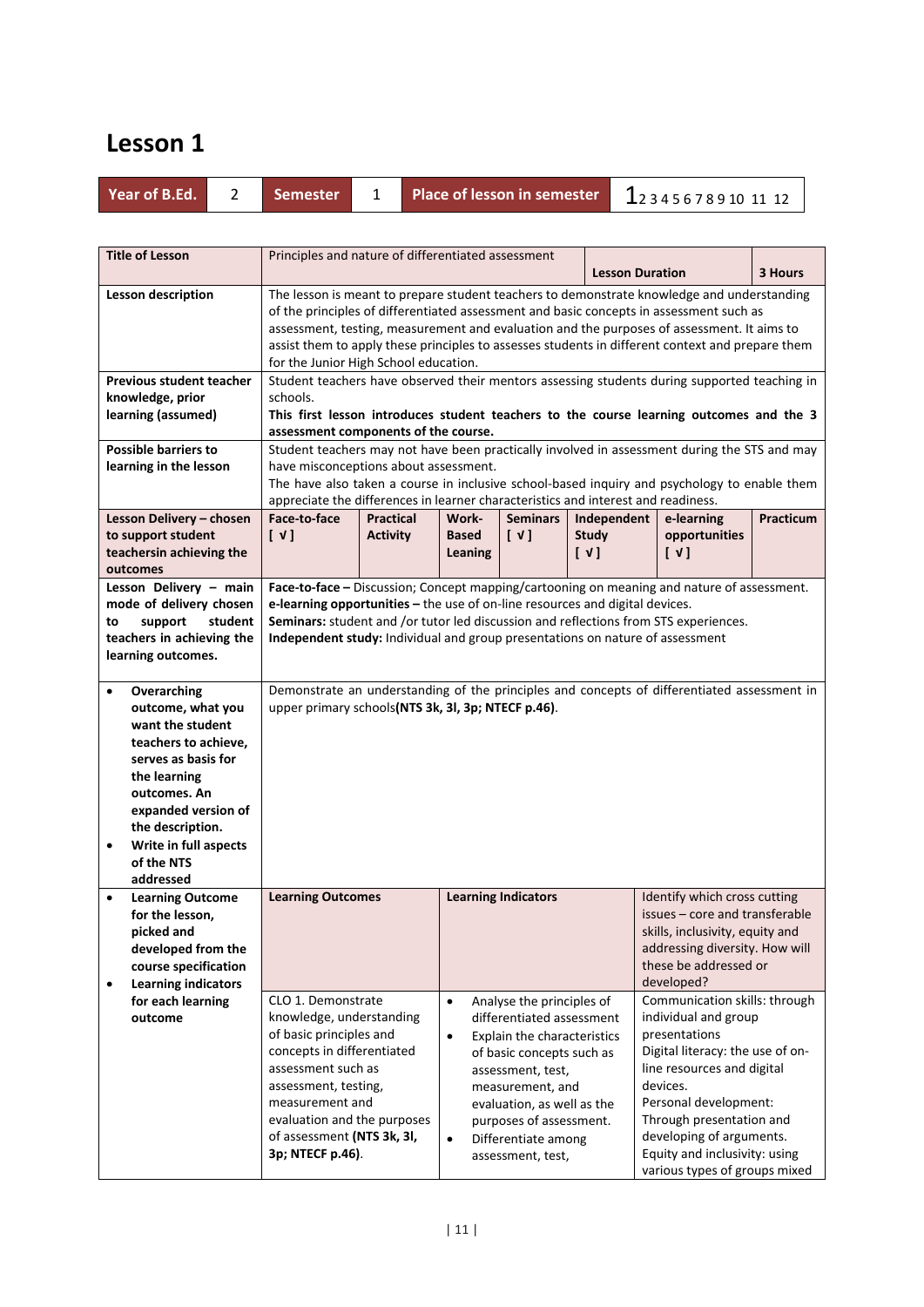| <b>Year of B.Ed.</b> |  |  |
|----------------------|--|--|
|                      |  |  |
|                      |  |  |

**Year of B.Ed.** <sup>2</sup> **Semester** <sup>1</sup> **Place of lesson in semester** 12 3 4 5 6 7 8 9 10 11 12

| <b>Title of Lesson</b>                            | Principles and nature of differentiated assessment<br><b>Lesson Duration</b>               |                                                                                                                                                                                       |              |                             |                                     | 3 Hours                                                                                      |           |
|---------------------------------------------------|--------------------------------------------------------------------------------------------|---------------------------------------------------------------------------------------------------------------------------------------------------------------------------------------|--------------|-----------------------------|-------------------------------------|----------------------------------------------------------------------------------------------|-----------|
|                                                   | The lesson is meant to prepare student teachers to demonstrate knowledge and understanding |                                                                                                                                                                                       |              |                             |                                     |                                                                                              |           |
| <b>Lesson description</b>                         |                                                                                            |                                                                                                                                                                                       |              |                             |                                     |                                                                                              |           |
|                                                   |                                                                                            | of the principles of differentiated assessment and basic concepts in assessment such as<br>assessment, testing, measurement and evaluation and the purposes of assessment. It aims to |              |                             |                                     |                                                                                              |           |
|                                                   |                                                                                            | assist them to apply these principles to assesses students in different context and prepare them                                                                                      |              |                             |                                     |                                                                                              |           |
|                                                   | for the Junior High School education.                                                      |                                                                                                                                                                                       |              |                             |                                     |                                                                                              |           |
| <b>Previous student teacher</b>                   |                                                                                            |                                                                                                                                                                                       |              |                             |                                     | Student teachers have observed their mentors assessing students during supported teaching in |           |
| knowledge, prior                                  | schools.                                                                                   |                                                                                                                                                                                       |              |                             |                                     |                                                                                              |           |
| learning (assumed)                                |                                                                                            |                                                                                                                                                                                       |              |                             |                                     | This first lesson introduces student teachers to the course learning outcomes and the 3      |           |
|                                                   | assessment components of the course.                                                       |                                                                                                                                                                                       |              |                             |                                     |                                                                                              |           |
| <b>Possible barriers to</b>                       |                                                                                            |                                                                                                                                                                                       |              |                             |                                     | Student teachers may not have been practically involved in assessment during the STS and may |           |
| learning in the lesson                            | have misconceptions about assessment.                                                      |                                                                                                                                                                                       |              |                             |                                     |                                                                                              |           |
|                                                   |                                                                                            |                                                                                                                                                                                       |              |                             |                                     | The have also taken a course in inclusive school-based inquiry and psychology to enable them |           |
|                                                   | appreciate the differences in learner characteristics and interest and readiness.          |                                                                                                                                                                                       |              |                             |                                     |                                                                                              |           |
| Lesson Delivery - chosen                          | Face-to-face                                                                               | <b>Practical</b>                                                                                                                                                                      | Work-        | <b>Seminars</b>             | Independent                         | e-learning                                                                                   | Practicum |
| to support student                                | [V]                                                                                        | <b>Activity</b>                                                                                                                                                                       | <b>Based</b> | $[\sqrt{1}]$                | <b>Study</b>                        | opportunities                                                                                |           |
| teachersin achieving the                          |                                                                                            |                                                                                                                                                                                       | Leaning      |                             | $\begin{bmatrix} \nu \end{bmatrix}$ | $\begin{bmatrix} \nu \end{bmatrix}$                                                          |           |
| outcomes                                          |                                                                                            |                                                                                                                                                                                       |              |                             |                                     |                                                                                              |           |
| Lesson Delivery - main<br>mode of delivery chosen | e-learning opportunities - the use of on-line resources and digital devices.               |                                                                                                                                                                                       |              |                             |                                     | Face-to-face - Discussion; Concept mapping/cartooning on meaning and nature of assessment.   |           |
| student<br>to<br>support                          |                                                                                            |                                                                                                                                                                                       |              |                             |                                     | Seminars: student and /or tutor led discussion and reflections from STS experiences.         |           |
| teachers in achieving the                         | Independent study: Individual and group presentations on nature of assessment              |                                                                                                                                                                                       |              |                             |                                     |                                                                                              |           |
| learning outcomes.                                |                                                                                            |                                                                                                                                                                                       |              |                             |                                     |                                                                                              |           |
|                                                   |                                                                                            |                                                                                                                                                                                       |              |                             |                                     |                                                                                              |           |
| Overarching<br>$\bullet$                          |                                                                                            |                                                                                                                                                                                       |              |                             |                                     | Demonstrate an understanding of the principles and concepts of differentiated assessment in  |           |
| outcome, what you                                 | upper primary schools(NTS 3k, 3l, 3p; NTECF p.46).                                         |                                                                                                                                                                                       |              |                             |                                     |                                                                                              |           |
| want the student                                  |                                                                                            |                                                                                                                                                                                       |              |                             |                                     |                                                                                              |           |
| teachers to achieve,                              |                                                                                            |                                                                                                                                                                                       |              |                             |                                     |                                                                                              |           |
| serves as basis for                               |                                                                                            |                                                                                                                                                                                       |              |                             |                                     |                                                                                              |           |
| the learning                                      |                                                                                            |                                                                                                                                                                                       |              |                             |                                     |                                                                                              |           |
| outcomes. An                                      |                                                                                            |                                                                                                                                                                                       |              |                             |                                     |                                                                                              |           |
| expanded version of                               |                                                                                            |                                                                                                                                                                                       |              |                             |                                     |                                                                                              |           |
| the description.                                  |                                                                                            |                                                                                                                                                                                       |              |                             |                                     |                                                                                              |           |
| Write in full aspects<br>$\bullet$                |                                                                                            |                                                                                                                                                                                       |              |                             |                                     |                                                                                              |           |
| of the NTS<br>addressed                           |                                                                                            |                                                                                                                                                                                       |              |                             |                                     |                                                                                              |           |
| <b>Learning Outcome</b><br>$\bullet$              | <b>Learning Outcomes</b>                                                                   |                                                                                                                                                                                       |              | <b>Learning Indicators</b>  |                                     | Identify which cross cutting                                                                 |           |
| for the lesson,                                   |                                                                                            |                                                                                                                                                                                       |              |                             |                                     | issues - core and transferable                                                               |           |
| picked and                                        |                                                                                            |                                                                                                                                                                                       |              |                             |                                     | skills, inclusivity, equity and                                                              |           |
| developed from the                                |                                                                                            |                                                                                                                                                                                       |              |                             |                                     | addressing diversity. How will                                                               |           |
| course specification                              |                                                                                            |                                                                                                                                                                                       |              |                             |                                     | these be addressed or                                                                        |           |
| <b>Learning indicators</b><br>$\bullet$           |                                                                                            |                                                                                                                                                                                       |              |                             |                                     | developed?                                                                                   |           |
| for each learning                                 | CLO 1. Demonstrate                                                                         |                                                                                                                                                                                       | $\bullet$    | Analyse the principles of   |                                     | Communication skills: through                                                                |           |
| outcome                                           | knowledge, understanding                                                                   |                                                                                                                                                                                       |              | differentiated assessment   |                                     | individual and group                                                                         |           |
|                                                   | of basic principles and                                                                    |                                                                                                                                                                                       | $\bullet$    | Explain the characteristics |                                     | presentations                                                                                |           |
|                                                   | concepts in differentiated                                                                 |                                                                                                                                                                                       |              | of basic concepts such as   |                                     | Digital literacy: the use of on-                                                             |           |
|                                                   | assessment such as                                                                         |                                                                                                                                                                                       |              | assessment, test,           |                                     | line resources and digital                                                                   |           |
|                                                   | assessment, testing,                                                                       |                                                                                                                                                                                       |              | measurement, and            |                                     | devices.                                                                                     |           |
|                                                   | measurement and                                                                            |                                                                                                                                                                                       |              | evaluation, as well as the  |                                     | Personal development:                                                                        |           |
|                                                   | evaluation and the purposes                                                                |                                                                                                                                                                                       |              | purposes of assessment.     |                                     | Through presentation and                                                                     |           |
|                                                   | of assessment (NTS 3k, 3l,                                                                 |                                                                                                                                                                                       | $\bullet$    | Differentiate among         |                                     | developing of arguments.                                                                     |           |
|                                                   | 3p; NTECF p.46).                                                                           |                                                                                                                                                                                       |              | assessment, test,           |                                     | Equity and inclusivity: using                                                                |           |
|                                                   |                                                                                            |                                                                                                                                                                                       |              |                             |                                     | various types of groups mixed                                                                |           |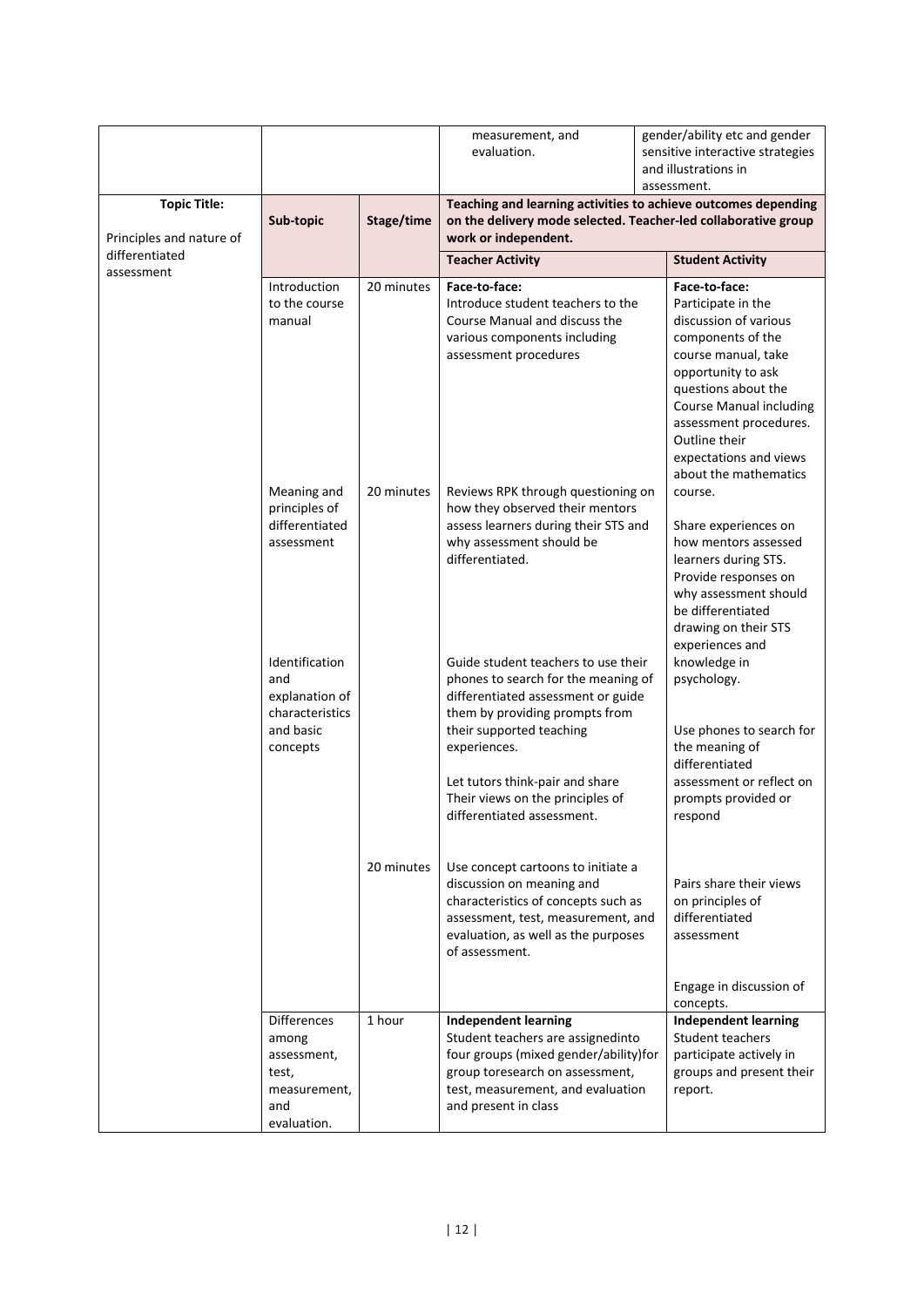|                              |                                                                                                                                                     |                      | measurement, and<br>evaluation.                                                                                                                                                                                                                                                                                                                                                                                                                                                      | gender/ability etc and gender<br>sensitive interactive strategies                                                                                                                                                                                                                                                           |  |  |  |
|------------------------------|-----------------------------------------------------------------------------------------------------------------------------------------------------|----------------------|--------------------------------------------------------------------------------------------------------------------------------------------------------------------------------------------------------------------------------------------------------------------------------------------------------------------------------------------------------------------------------------------------------------------------------------------------------------------------------------|-----------------------------------------------------------------------------------------------------------------------------------------------------------------------------------------------------------------------------------------------------------------------------------------------------------------------------|--|--|--|
|                              |                                                                                                                                                     |                      | and illustrations in<br>assessment.                                                                                                                                                                                                                                                                                                                                                                                                                                                  |                                                                                                                                                                                                                                                                                                                             |  |  |  |
| <b>Topic Title:</b>          |                                                                                                                                                     |                      | Teaching and learning activities to achieve outcomes depending                                                                                                                                                                                                                                                                                                                                                                                                                       |                                                                                                                                                                                                                                                                                                                             |  |  |  |
| Principles and nature of     | Sub-topic                                                                                                                                           | Stage/time           | on the delivery mode selected. Teacher-led collaborative group<br>work or independent.                                                                                                                                                                                                                                                                                                                                                                                               |                                                                                                                                                                                                                                                                                                                             |  |  |  |
| differentiated<br>assessment |                                                                                                                                                     |                      | <b>Teacher Activity</b>                                                                                                                                                                                                                                                                                                                                                                                                                                                              | <b>Student Activity</b>                                                                                                                                                                                                                                                                                                     |  |  |  |
|                              | Introduction<br>to the course<br>manual                                                                                                             | 20 minutes           | Face-to-face:<br>Introduce student teachers to the<br>Course Manual and discuss the<br>various components including<br>assessment procedures                                                                                                                                                                                                                                                                                                                                         | Face-to-face:<br>Participate in the<br>discussion of various<br>components of the<br>course manual, take<br>opportunity to ask<br>questions about the<br><b>Course Manual including</b><br>assessment procedures.<br>Outline their<br>expectations and views<br>about the mathematics                                       |  |  |  |
|                              | Meaning and<br>principles of<br>differentiated<br>assessment<br>Identification<br>and<br>explanation of<br>characteristics<br>and basic<br>concepts | 20 minutes           | Reviews RPK through questioning on<br>how they observed their mentors<br>assess learners during their STS and<br>why assessment should be<br>differentiated.<br>Guide student teachers to use their<br>phones to search for the meaning of<br>differentiated assessment or guide<br>them by providing prompts from<br>their supported teaching<br>experiences.<br>Let tutors think-pair and share                                                                                    | course.<br>Share experiences on<br>how mentors assessed<br>learners during STS.<br>Provide responses on<br>why assessment should<br>be differentiated<br>drawing on their STS<br>experiences and<br>knowledge in<br>psychology.<br>Use phones to search for<br>the meaning of<br>differentiated<br>assessment or reflect on |  |  |  |
|                              | <b>Differences</b><br>among<br>assessment,<br>test,<br>measurement,<br>and<br>evaluation.                                                           | 20 minutes<br>1 hour | Their views on the principles of<br>differentiated assessment.<br>Use concept cartoons to initiate a<br>discussion on meaning and<br>characteristics of concepts such as<br>assessment, test, measurement, and<br>evaluation, as well as the purposes<br>of assessment.<br><b>Independent learning</b><br>Student teachers are assignedinto<br>four groups (mixed gender/ability)for<br>group toresearch on assessment,<br>test, measurement, and evaluation<br>and present in class | prompts provided or<br>respond<br>Pairs share their views<br>on principles of<br>differentiated<br>assessment<br>Engage in discussion of<br>concepts.<br><b>Independent learning</b><br>Student teachers<br>participate actively in<br>groups and present their<br>report.                                                  |  |  |  |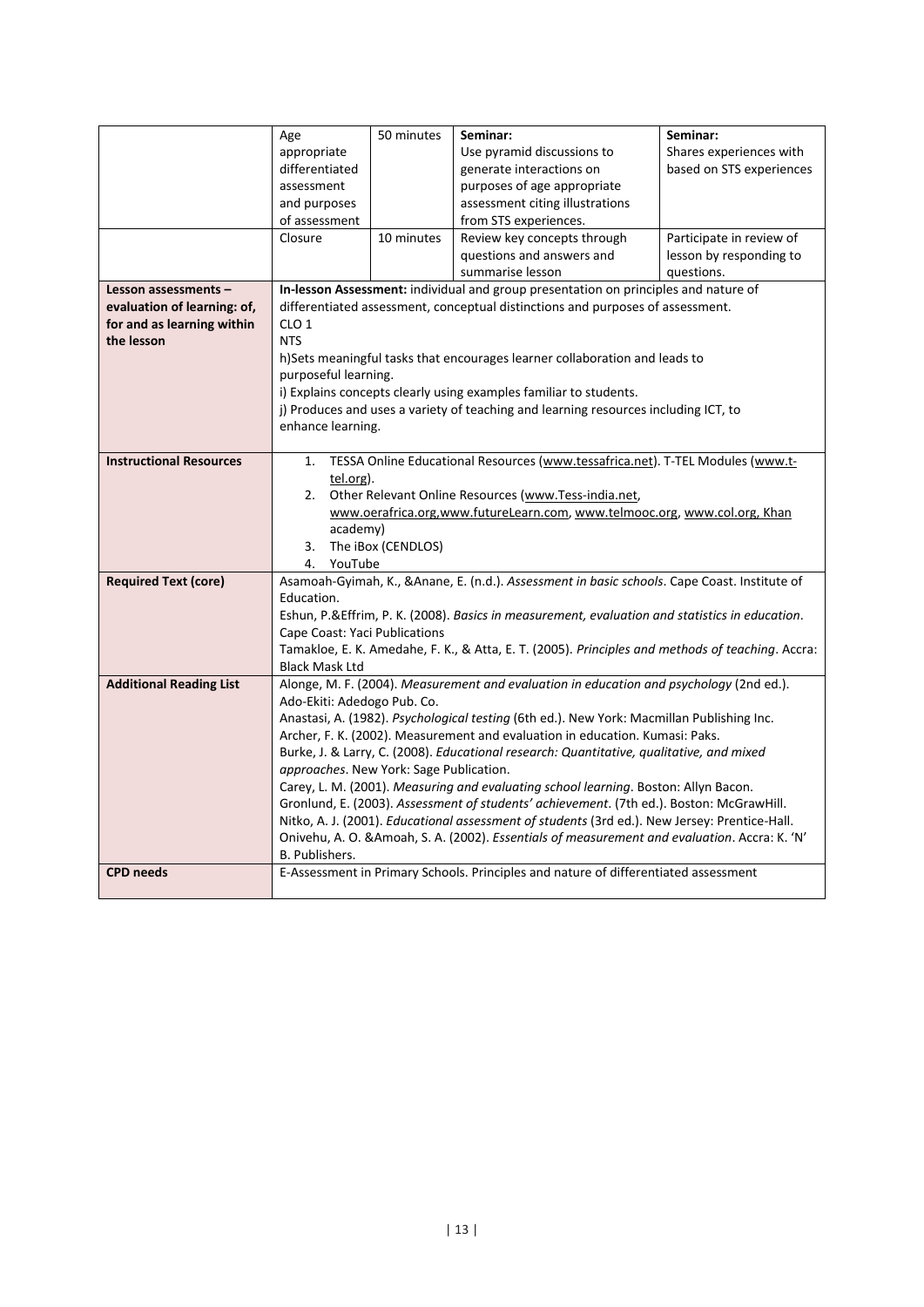|                                | Age                                     | 50 minutes                                                                                                                        | Seminar:                                                                                                                                                                        | Seminar:                 |  |  |  |
|--------------------------------|-----------------------------------------|-----------------------------------------------------------------------------------------------------------------------------------|---------------------------------------------------------------------------------------------------------------------------------------------------------------------------------|--------------------------|--|--|--|
|                                | appropriate                             |                                                                                                                                   | Use pyramid discussions to                                                                                                                                                      | Shares experiences with  |  |  |  |
|                                | differentiated                          |                                                                                                                                   | generate interactions on                                                                                                                                                        | based on STS experiences |  |  |  |
|                                | assessment                              |                                                                                                                                   | purposes of age appropriate                                                                                                                                                     |                          |  |  |  |
|                                | and purposes                            |                                                                                                                                   | assessment citing illustrations                                                                                                                                                 |                          |  |  |  |
|                                | of assessment                           |                                                                                                                                   | from STS experiences.                                                                                                                                                           |                          |  |  |  |
|                                | Closure                                 | 10 minutes                                                                                                                        | Review key concepts through                                                                                                                                                     | Participate in review of |  |  |  |
|                                |                                         |                                                                                                                                   | questions and answers and                                                                                                                                                       | lesson by responding to  |  |  |  |
|                                |                                         |                                                                                                                                   | summarise lesson                                                                                                                                                                | questions.               |  |  |  |
| Lesson assessments -           |                                         |                                                                                                                                   | In-lesson Assessment: individual and group presentation on principles and nature of                                                                                             |                          |  |  |  |
| evaluation of learning: of,    |                                         |                                                                                                                                   | differentiated assessment, conceptual distinctions and purposes of assessment.                                                                                                  |                          |  |  |  |
| for and as learning within     | CLO <sub>1</sub>                        |                                                                                                                                   |                                                                                                                                                                                 |                          |  |  |  |
| the lesson                     | <b>NTS</b>                              |                                                                                                                                   |                                                                                                                                                                                 |                          |  |  |  |
|                                |                                         |                                                                                                                                   | h)Sets meaningful tasks that encourages learner collaboration and leads to                                                                                                      |                          |  |  |  |
|                                | purposeful learning.                    |                                                                                                                                   |                                                                                                                                                                                 |                          |  |  |  |
|                                |                                         |                                                                                                                                   | i) Explains concepts clearly using examples familiar to students.                                                                                                               |                          |  |  |  |
|                                |                                         |                                                                                                                                   | j) Produces and uses a variety of teaching and learning resources including ICT, to                                                                                             |                          |  |  |  |
|                                | enhance learning.                       |                                                                                                                                   |                                                                                                                                                                                 |                          |  |  |  |
| <b>Instructional Resources</b> |                                         |                                                                                                                                   |                                                                                                                                                                                 |                          |  |  |  |
|                                | tel.org).                               | TESSA Online Educational Resources (www.tessafrica.net). T-TEL Modules (www.t-<br>1.                                              |                                                                                                                                                                                 |                          |  |  |  |
|                                | 2.                                      |                                                                                                                                   |                                                                                                                                                                                 |                          |  |  |  |
|                                |                                         | Other Relevant Online Resources (www.Tess-india.net,<br>www.oerafrica.org,www.futureLearn.com, www.telmooc.org, www.col.org, Khan |                                                                                                                                                                                 |                          |  |  |  |
|                                |                                         | academy)                                                                                                                          |                                                                                                                                                                                 |                          |  |  |  |
|                                | 3.                                      | The iBox (CENDLOS)                                                                                                                |                                                                                                                                                                                 |                          |  |  |  |
|                                | 4.<br>YouTube                           |                                                                                                                                   |                                                                                                                                                                                 |                          |  |  |  |
| <b>Required Text (core)</b>    |                                         |                                                                                                                                   | Asamoah-Gyimah, K., &Anane, E. (n.d.). Assessment in basic schools. Cape Coast. Institute of                                                                                    |                          |  |  |  |
|                                | Education.                              |                                                                                                                                   |                                                                                                                                                                                 |                          |  |  |  |
|                                |                                         |                                                                                                                                   | Eshun, P.&Effrim, P. K. (2008). Basics in measurement, evaluation and statistics in education.                                                                                  |                          |  |  |  |
|                                | Cape Coast: Yaci Publications           |                                                                                                                                   |                                                                                                                                                                                 |                          |  |  |  |
|                                |                                         |                                                                                                                                   | Tamakloe, E. K. Amedahe, F. K., & Atta, E. T. (2005). Principles and methods of teaching. Accra:                                                                                |                          |  |  |  |
|                                | <b>Black Mask Ltd</b>                   |                                                                                                                                   |                                                                                                                                                                                 |                          |  |  |  |
| <b>Additional Reading List</b> |                                         |                                                                                                                                   | Alonge, M. F. (2004). Measurement and evaluation in education and psychology (2nd ed.).                                                                                         |                          |  |  |  |
|                                | Ado-Ekiti: Adedogo Pub. Co.             |                                                                                                                                   |                                                                                                                                                                                 |                          |  |  |  |
|                                |                                         |                                                                                                                                   | Anastasi, A. (1982). Psychological testing (6th ed.). New York: Macmillan Publishing Inc.                                                                                       |                          |  |  |  |
|                                |                                         |                                                                                                                                   | Archer, F. K. (2002). Measurement and evaluation in education. Kumasi: Paks.                                                                                                    |                          |  |  |  |
|                                |                                         |                                                                                                                                   | Burke, J. & Larry, C. (2008). Educational research: Quantitative, qualitative, and mixed                                                                                        |                          |  |  |  |
|                                | approaches. New York: Sage Publication. |                                                                                                                                   |                                                                                                                                                                                 |                          |  |  |  |
|                                |                                         |                                                                                                                                   | Carey, L. M. (2001). Measuring and evaluating school learning. Boston: Allyn Bacon.<br>Gronlund, E. (2003). Assessment of students' achievement. (7th ed.). Boston: McGrawHill. |                          |  |  |  |
|                                |                                         |                                                                                                                                   | Nitko, A. J. (2001). Educational assessment of students (3rd ed.). New Jersey: Prentice-Hall.                                                                                   |                          |  |  |  |
|                                |                                         |                                                                                                                                   | Onivehu, A. O. & Amoah, S. A. (2002). Essentials of measurement and evaluation. Accra: K. 'N'                                                                                   |                          |  |  |  |
|                                | B. Publishers.                          |                                                                                                                                   |                                                                                                                                                                                 |                          |  |  |  |
| <b>CPD needs</b>               |                                         |                                                                                                                                   | E-Assessment in Primary Schools. Principles and nature of differentiated assessment                                                                                             |                          |  |  |  |
|                                |                                         |                                                                                                                                   |                                                                                                                                                                                 |                          |  |  |  |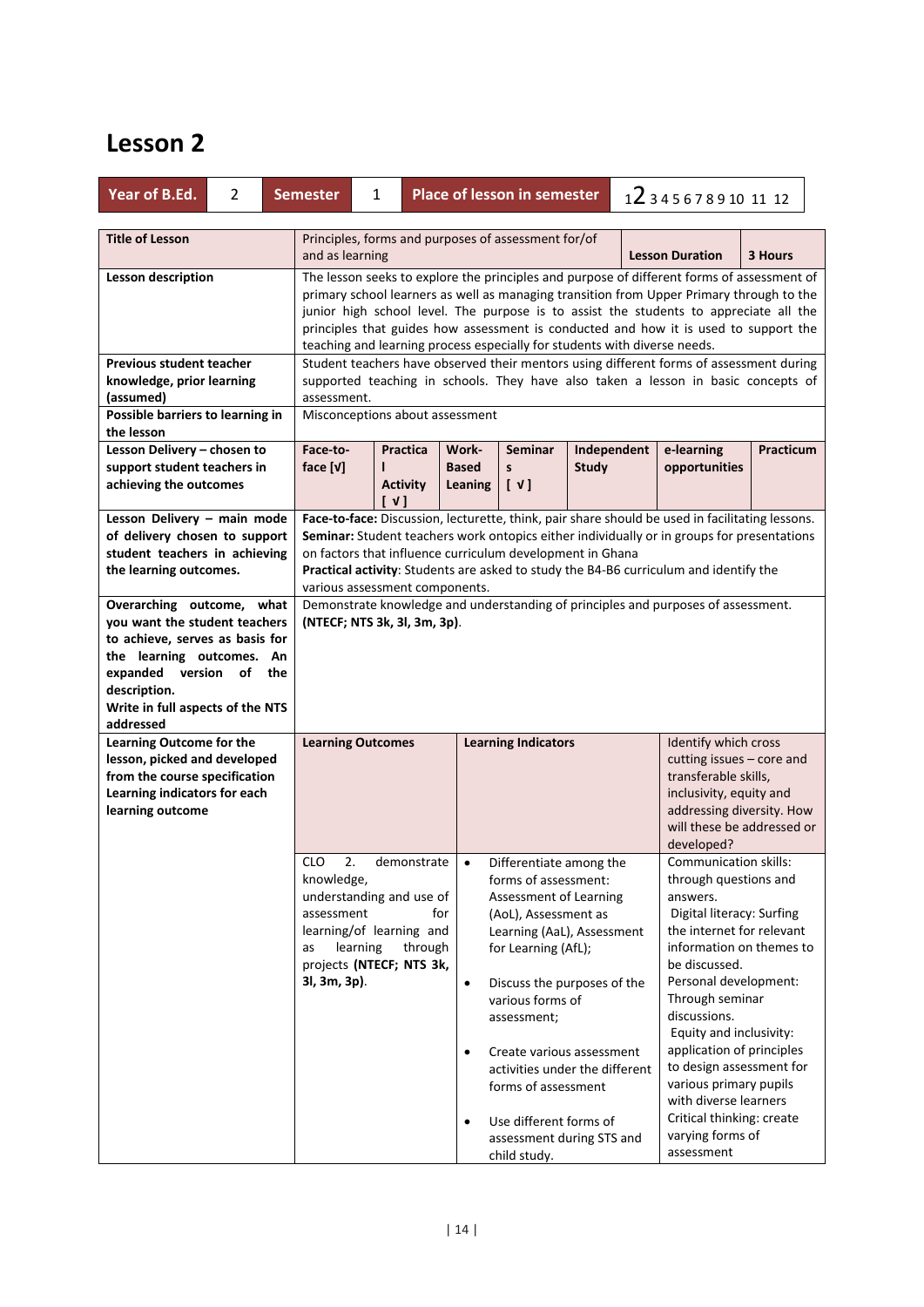| Year of B.Ed.                                                                                                                                                                         | $\overline{2}$ |     | <b>Place of lesson in semester</b><br><b>Semester</b><br>1                                                                                                                                                                                                                                                                                                                                                                                           |                 |                                            |                                                                                                                                                                                                                                                                                                                                                            | 123456789101112 |  |                                                                                                                                                                                                                                                                                                                                                                                                            |           |
|---------------------------------------------------------------------------------------------------------------------------------------------------------------------------------------|----------------|-----|------------------------------------------------------------------------------------------------------------------------------------------------------------------------------------------------------------------------------------------------------------------------------------------------------------------------------------------------------------------------------------------------------------------------------------------------------|-----------------|--------------------------------------------|------------------------------------------------------------------------------------------------------------------------------------------------------------------------------------------------------------------------------------------------------------------------------------------------------------------------------------------------------------|-----------------|--|------------------------------------------------------------------------------------------------------------------------------------------------------------------------------------------------------------------------------------------------------------------------------------------------------------------------------------------------------------------------------------------------------------|-----------|
|                                                                                                                                                                                       |                |     |                                                                                                                                                                                                                                                                                                                                                                                                                                                      |                 |                                            |                                                                                                                                                                                                                                                                                                                                                            |                 |  |                                                                                                                                                                                                                                                                                                                                                                                                            |           |
| <b>Title of Lesson</b>                                                                                                                                                                |                |     | and as learning                                                                                                                                                                                                                                                                                                                                                                                                                                      |                 |                                            | Principles, forms and purposes of assessment for/of                                                                                                                                                                                                                                                                                                        |                 |  | <b>Lesson Duration</b>                                                                                                                                                                                                                                                                                                                                                                                     | 3 Hours   |
| Lesson description                                                                                                                                                                    |                |     | The lesson seeks to explore the principles and purpose of different forms of assessment of<br>primary school learners as well as managing transition from Upper Primary through to the<br>junior high school level. The purpose is to assist the students to appreciate all the<br>principles that guides how assessment is conducted and how it is used to support the<br>teaching and learning process especially for students with diverse needs. |                 |                                            |                                                                                                                                                                                                                                                                                                                                                            |                 |  |                                                                                                                                                                                                                                                                                                                                                                                                            |           |
| <b>Previous student teacher</b>                                                                                                                                                       |                |     |                                                                                                                                                                                                                                                                                                                                                                                                                                                      |                 |                                            |                                                                                                                                                                                                                                                                                                                                                            |                 |  | Student teachers have observed their mentors using different forms of assessment during                                                                                                                                                                                                                                                                                                                    |           |
| knowledge, prior learning                                                                                                                                                             |                |     |                                                                                                                                                                                                                                                                                                                                                                                                                                                      |                 |                                            |                                                                                                                                                                                                                                                                                                                                                            |                 |  | supported teaching in schools. They have also taken a lesson in basic concepts of                                                                                                                                                                                                                                                                                                                          |           |
| (assumed)                                                                                                                                                                             |                |     | assessment.                                                                                                                                                                                                                                                                                                                                                                                                                                          |                 |                                            |                                                                                                                                                                                                                                                                                                                                                            |                 |  |                                                                                                                                                                                                                                                                                                                                                                                                            |           |
| Possible barriers to learning in                                                                                                                                                      |                |     | Misconceptions about assessment                                                                                                                                                                                                                                                                                                                                                                                                                      |                 |                                            |                                                                                                                                                                                                                                                                                                                                                            |                 |  |                                                                                                                                                                                                                                                                                                                                                                                                            |           |
| the lesson                                                                                                                                                                            |                |     |                                                                                                                                                                                                                                                                                                                                                                                                                                                      |                 |                                            |                                                                                                                                                                                                                                                                                                                                                            |                 |  |                                                                                                                                                                                                                                                                                                                                                                                                            |           |
| Lesson Delivery - chosen to                                                                                                                                                           |                |     | Face-to-                                                                                                                                                                                                                                                                                                                                                                                                                                             | <b>Practica</b> | Work-                                      | <b>Seminar</b>                                                                                                                                                                                                                                                                                                                                             | Independent     |  | e-learning                                                                                                                                                                                                                                                                                                                                                                                                 | Practicum |
| support student teachers in                                                                                                                                                           |                |     | face $[v]$                                                                                                                                                                                                                                                                                                                                                                                                                                           |                 | <b>Based</b>                               | S                                                                                                                                                                                                                                                                                                                                                          | <b>Study</b>    |  | opportunities                                                                                                                                                                                                                                                                                                                                                                                              |           |
| achieving the outcomes                                                                                                                                                                |                |     |                                                                                                                                                                                                                                                                                                                                                                                                                                                      | <b>Activity</b> | Leaning                                    | $\begin{bmatrix} \vee \end{bmatrix}$                                                                                                                                                                                                                                                                                                                       |                 |  |                                                                                                                                                                                                                                                                                                                                                                                                            |           |
|                                                                                                                                                                                       |                |     |                                                                                                                                                                                                                                                                                                                                                                                                                                                      | $\sqrt{1}$      |                                            |                                                                                                                                                                                                                                                                                                                                                            |                 |  |                                                                                                                                                                                                                                                                                                                                                                                                            |           |
| Lesson Delivery - main mode<br>of delivery chosen to support<br>student teachers in achieving<br>the learning outcomes.                                                               |                |     | Face-to-face: Discussion, lecturette, think, pair share should be used in facilitating lessons.<br>Seminar: Student teachers work ontopics either individually or in groups for presentations<br>on factors that influence curriculum development in Ghana<br>Practical activity: Students are asked to study the B4-B6 curriculum and identify the<br>various assessment components.                                                                |                 |                                            |                                                                                                                                                                                                                                                                                                                                                            |                 |  |                                                                                                                                                                                                                                                                                                                                                                                                            |           |
| you want the student teachers<br>to achieve, serves as basis for<br>the learning outcomes. An<br>expanded version of<br>description.<br>Write in full aspects of the NTS<br>addressed |                | the | Demonstrate knowledge and understanding of principles and purposes of assessment.<br>(NTECF; NTS 3k, 3l, 3m, 3p).                                                                                                                                                                                                                                                                                                                                    |                 |                                            |                                                                                                                                                                                                                                                                                                                                                            |                 |  |                                                                                                                                                                                                                                                                                                                                                                                                            |           |
| Learning Outcome for the                                                                                                                                                              |                |     | <b>Learning Outcomes</b>                                                                                                                                                                                                                                                                                                                                                                                                                             |                 |                                            | <b>Learning Indicators</b>                                                                                                                                                                                                                                                                                                                                 |                 |  | Identify which cross                                                                                                                                                                                                                                                                                                                                                                                       |           |
| lesson, picked and developed<br>from the course specification<br>Learning indicators for each<br>learning outcome                                                                     |                |     |                                                                                                                                                                                                                                                                                                                                                                                                                                                      |                 |                                            |                                                                                                                                                                                                                                                                                                                                                            |                 |  | cutting issues - core and<br>transferable skills,<br>inclusivity, equity and<br>addressing diversity. How<br>will these be addressed or<br>developed?                                                                                                                                                                                                                                                      |           |
|                                                                                                                                                                                       |                |     | <b>CLO</b><br>2.                                                                                                                                                                                                                                                                                                                                                                                                                                     | demonstrate     | $\bullet$                                  | Differentiate among the                                                                                                                                                                                                                                                                                                                                    |                 |  | <b>Communication skills:</b>                                                                                                                                                                                                                                                                                                                                                                               |           |
|                                                                                                                                                                                       |                |     | knowledge,<br>understanding and use of<br>assessment<br>learning/of learning and<br>learning<br>as<br>projects (NTECF; NTS 3k,<br>3l, 3m, 3p).                                                                                                                                                                                                                                                                                                       | through         | for<br>$\bullet$<br>$\bullet$<br>$\bullet$ | forms of assessment:<br>Assessment of Learning<br>(AoL), Assessment as<br>Learning (AaL), Assessment<br>for Learning (AfL);<br>Discuss the purposes of the<br>various forms of<br>assessment;<br>Create various assessment<br>activities under the different<br>forms of assessment<br>Use different forms of<br>assessment during STS and<br>child study. |                 |  | through questions and<br>answers.<br>Digital literacy: Surfing<br>the internet for relevant<br>information on themes to<br>be discussed.<br>Personal development:<br>Through seminar<br>discussions.<br>Equity and inclusivity:<br>application of principles<br>to design assessment for<br>various primary pupils<br>with diverse learners<br>Critical thinking: create<br>varying forms of<br>assessment |           |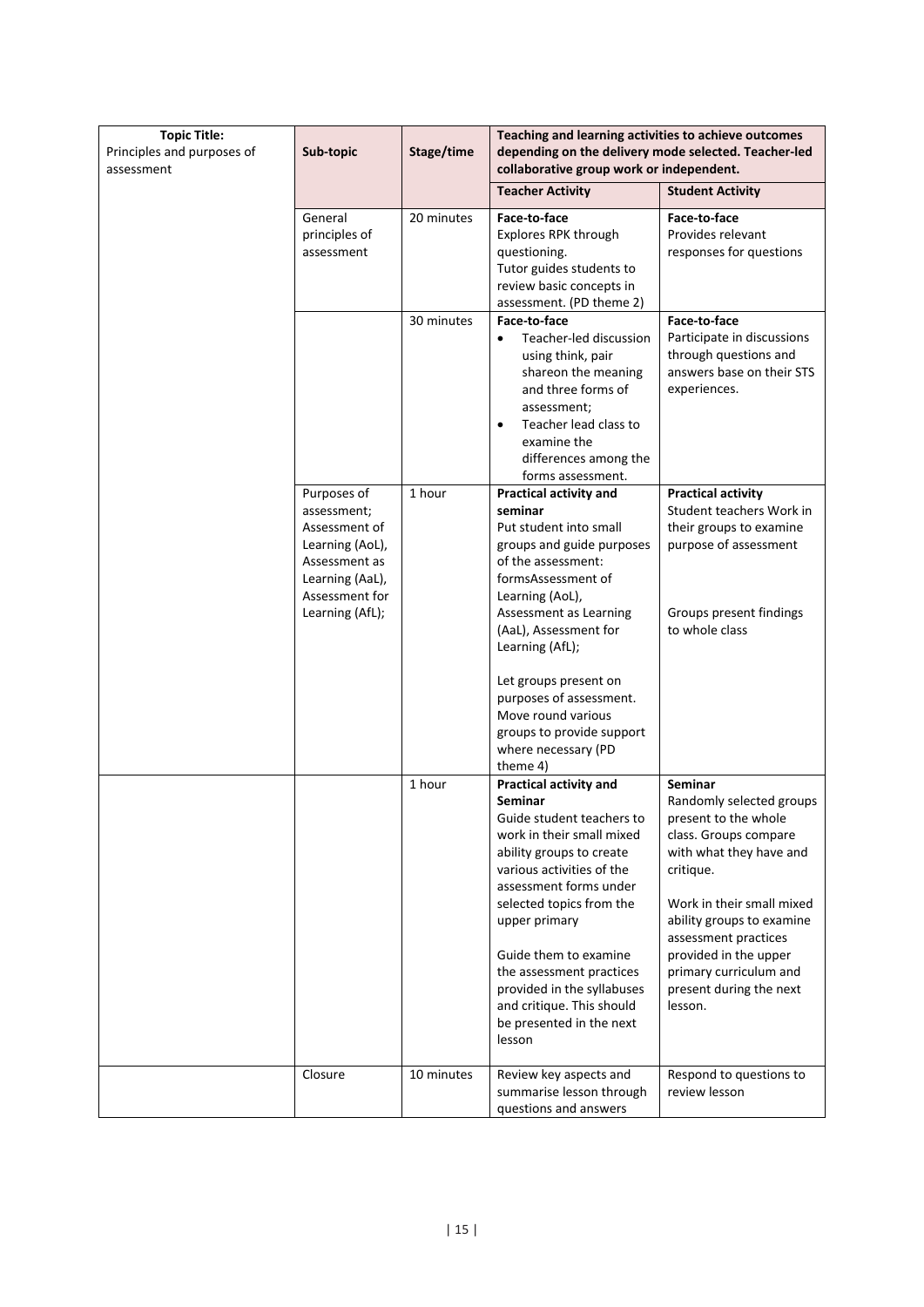| <b>Topic Title:</b><br>Principles and purposes of<br>assessment | Sub-topic                                                                                                                               | Stage/time | Teaching and learning activities to achieve outcomes<br>depending on the delivery mode selected. Teacher-led<br>collaborative group work or independent.                                                                                                                                                                                                                                      |                                                                                                                                                                                                                                                                                                                |
|-----------------------------------------------------------------|-----------------------------------------------------------------------------------------------------------------------------------------|------------|-----------------------------------------------------------------------------------------------------------------------------------------------------------------------------------------------------------------------------------------------------------------------------------------------------------------------------------------------------------------------------------------------|----------------------------------------------------------------------------------------------------------------------------------------------------------------------------------------------------------------------------------------------------------------------------------------------------------------|
|                                                                 |                                                                                                                                         |            | <b>Teacher Activity</b>                                                                                                                                                                                                                                                                                                                                                                       | <b>Student Activity</b>                                                                                                                                                                                                                                                                                        |
|                                                                 | General<br>principles of<br>assessment                                                                                                  | 20 minutes | Face-to-face<br>Explores RPK through<br>questioning.<br>Tutor guides students to<br>review basic concepts in<br>assessment. (PD theme 2)                                                                                                                                                                                                                                                      | Face-to-face<br>Provides relevant<br>responses for questions                                                                                                                                                                                                                                                   |
|                                                                 |                                                                                                                                         | 30 minutes | Face-to-face<br>Teacher-led discussion<br>$\bullet$<br>using think, pair<br>shareon the meaning<br>and three forms of<br>assessment;<br>Teacher lead class to<br>$\bullet$<br>examine the<br>differences among the<br>forms assessment.                                                                                                                                                       | Face-to-face<br>Participate in discussions<br>through questions and<br>answers base on their STS<br>experiences.                                                                                                                                                                                               |
|                                                                 | Purposes of<br>assessment;<br>Assessment of<br>Learning (AoL),<br>Assessment as<br>Learning (AaL),<br>Assessment for<br>Learning (AfL); | 1 hour     | Practical activity and<br>seminar<br>Put student into small<br>groups and guide purposes<br>of the assessment:<br>formsAssessment of<br>Learning (AoL),<br>Assessment as Learning<br>(AaL), Assessment for<br>Learning (AfL);<br>Let groups present on<br>purposes of assessment.<br>Move round various<br>groups to provide support<br>where necessary (PD                                   | <b>Practical activity</b><br>Student teachers Work in<br>their groups to examine<br>purpose of assessment<br>Groups present findings<br>to whole class                                                                                                                                                         |
|                                                                 |                                                                                                                                         | 1 hour     | theme 4)<br>Practical activity and<br>Seminar<br>Guide student teachers to<br>work in their small mixed<br>ability groups to create<br>various activities of the<br>assessment forms under<br>selected topics from the<br>upper primary<br>Guide them to examine<br>the assessment practices<br>provided in the syllabuses<br>and critique. This should<br>be presented in the next<br>lesson | <b>Seminar</b><br>Randomly selected groups<br>present to the whole<br>class. Groups compare<br>with what they have and<br>critique.<br>Work in their small mixed<br>ability groups to examine<br>assessment practices<br>provided in the upper<br>primary curriculum and<br>present during the next<br>lesson. |
|                                                                 | Closure                                                                                                                                 | 10 minutes | Review key aspects and<br>summarise lesson through<br>questions and answers                                                                                                                                                                                                                                                                                                                   | Respond to questions to<br>review lesson                                                                                                                                                                                                                                                                       |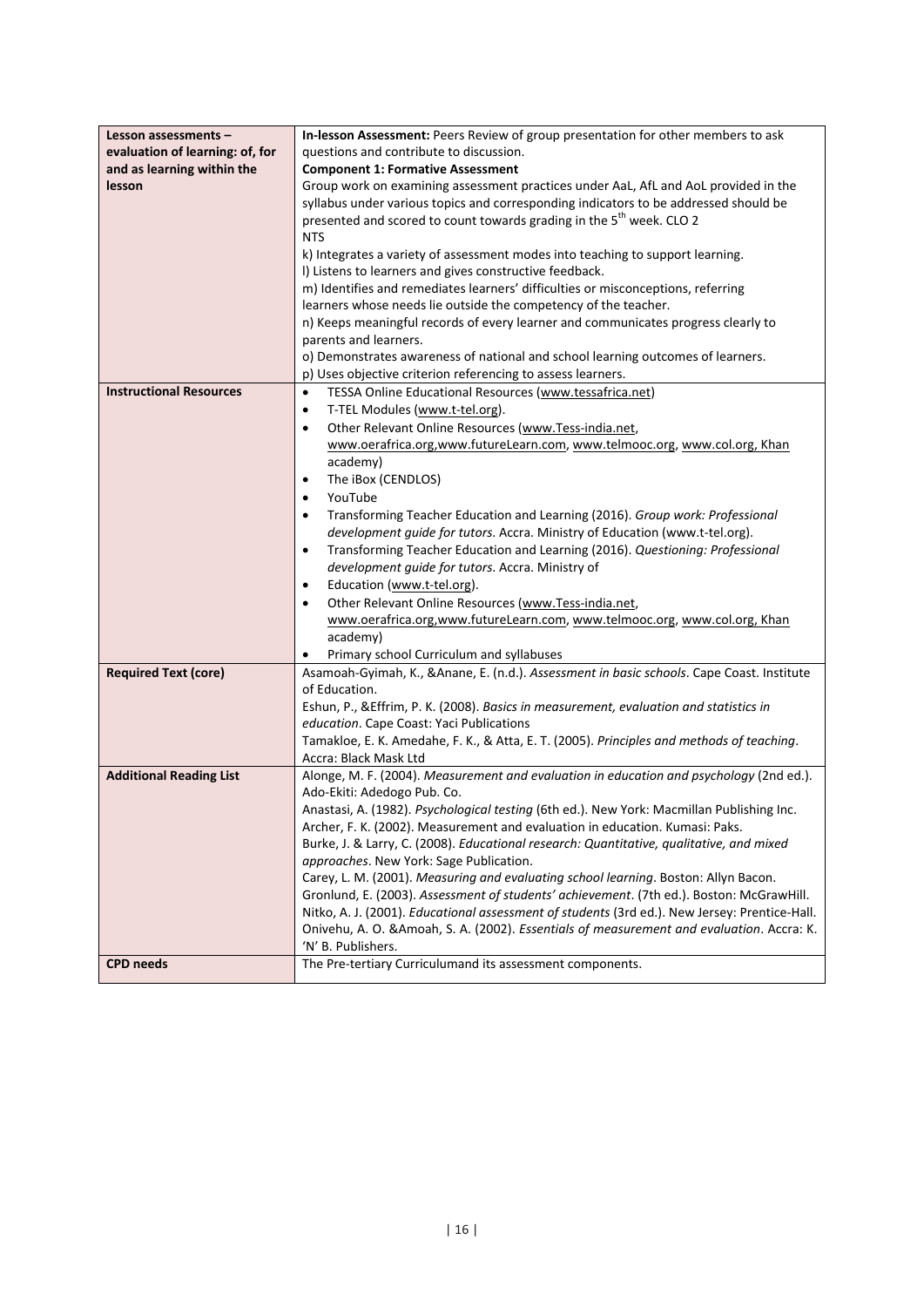| Lesson assessments -            | In-lesson Assessment: Peers Review of group presentation for other members to ask             |
|---------------------------------|-----------------------------------------------------------------------------------------------|
| evaluation of learning: of, for | questions and contribute to discussion.                                                       |
| and as learning within the      | <b>Component 1: Formative Assessment</b>                                                      |
| lesson                          | Group work on examining assessment practices under AaL, AfL and AoL provided in the           |
|                                 | syllabus under various topics and corresponding indicators to be addressed should be          |
|                                 | presented and scored to count towards grading in the 5 <sup>th</sup> week. CLO 2              |
|                                 | <b>NTS</b>                                                                                    |
|                                 | k) Integrates a variety of assessment modes into teaching to support learning.                |
|                                 | I) Listens to learners and gives constructive feedback.                                       |
|                                 | m) Identifies and remediates learners' difficulties or misconceptions, referring              |
|                                 | learners whose needs lie outside the competency of the teacher.                               |
|                                 | n) Keeps meaningful records of every learner and communicates progress clearly to             |
|                                 | parents and learners.                                                                         |
|                                 | o) Demonstrates awareness of national and school learning outcomes of learners.               |
|                                 | p) Uses objective criterion referencing to assess learners.                                   |
| <b>Instructional Resources</b>  | TESSA Online Educational Resources (www.tessafrica.net)<br>$\bullet$                          |
|                                 | T-TEL Modules (www.t-tel.org).<br>٠                                                           |
|                                 | Other Relevant Online Resources (www.Tess-india.net,<br>$\bullet$                             |
|                                 | www.oerafrica.org,www.futureLearn.com, www.telmooc.org, www.col.org, Khan                     |
|                                 | academy)                                                                                      |
|                                 | The iBox (CENDLOS)<br>$\bullet$                                                               |
|                                 | YouTube<br>$\bullet$                                                                          |
|                                 | Transforming Teacher Education and Learning (2016). Group work: Professional<br>٠             |
|                                 | development guide for tutors. Accra. Ministry of Education (www.t-tel.org).                   |
|                                 | Transforming Teacher Education and Learning (2016). Questioning: Professional<br>٠            |
|                                 | development guide for tutors. Accra. Ministry of                                              |
|                                 | Education (www.t-tel.org).<br>٠                                                               |
|                                 | Other Relevant Online Resources (www.Tess-india.net,<br>$\bullet$                             |
|                                 | www.oerafrica.org,www.futureLearn.com, www.telmooc.org, www.col.org, Khan                     |
|                                 | academy)                                                                                      |
|                                 | Primary school Curriculum and syllabuses<br>٠                                                 |
| <b>Required Text (core)</b>     | Asamoah-Gyimah, K., & Anane, E. (n.d.). Assessment in basic schools. Cape Coast. Institute    |
|                                 | of Education.                                                                                 |
|                                 | Eshun, P., & Effrim, P. K. (2008). Basics in measurement, evaluation and statistics in        |
|                                 | education. Cape Coast: Yaci Publications                                                      |
|                                 | Tamakloe, E. K. Amedahe, F. K., & Atta, E. T. (2005). Principles and methods of teaching.     |
|                                 | Accra: Black Mask Ltd                                                                         |
| <b>Additional Reading List</b>  | Alonge, M. F. (2004). Measurement and evaluation in education and psychology (2nd ed.).       |
|                                 | Ado-Ekiti: Adedogo Pub. Co.                                                                   |
|                                 | Anastasi, A. (1982). Psychological testing (6th ed.). New York: Macmillan Publishing Inc.     |
|                                 | Archer, F. K. (2002). Measurement and evaluation in education. Kumasi: Paks.                  |
|                                 | Burke, J. & Larry, C. (2008). Educational research: Quantitative, qualitative, and mixed      |
|                                 | approaches. New York: Sage Publication.                                                       |
|                                 | Carey, L. M. (2001). Measuring and evaluating school learning. Boston: Allyn Bacon.           |
|                                 | Gronlund, E. (2003). Assessment of students' achievement. (7th ed.). Boston: McGrawHill.      |
|                                 | Nitko, A. J. (2001). Educational assessment of students (3rd ed.). New Jersey: Prentice-Hall. |
|                                 | Onivehu, A. O. & Amoah, S. A. (2002). Essentials of measurement and evaluation. Accra: K.     |
| <b>CPD</b> needs                | 'N' B. Publishers.<br>The Pre-tertiary Curriculumand its assessment components.               |
|                                 |                                                                                               |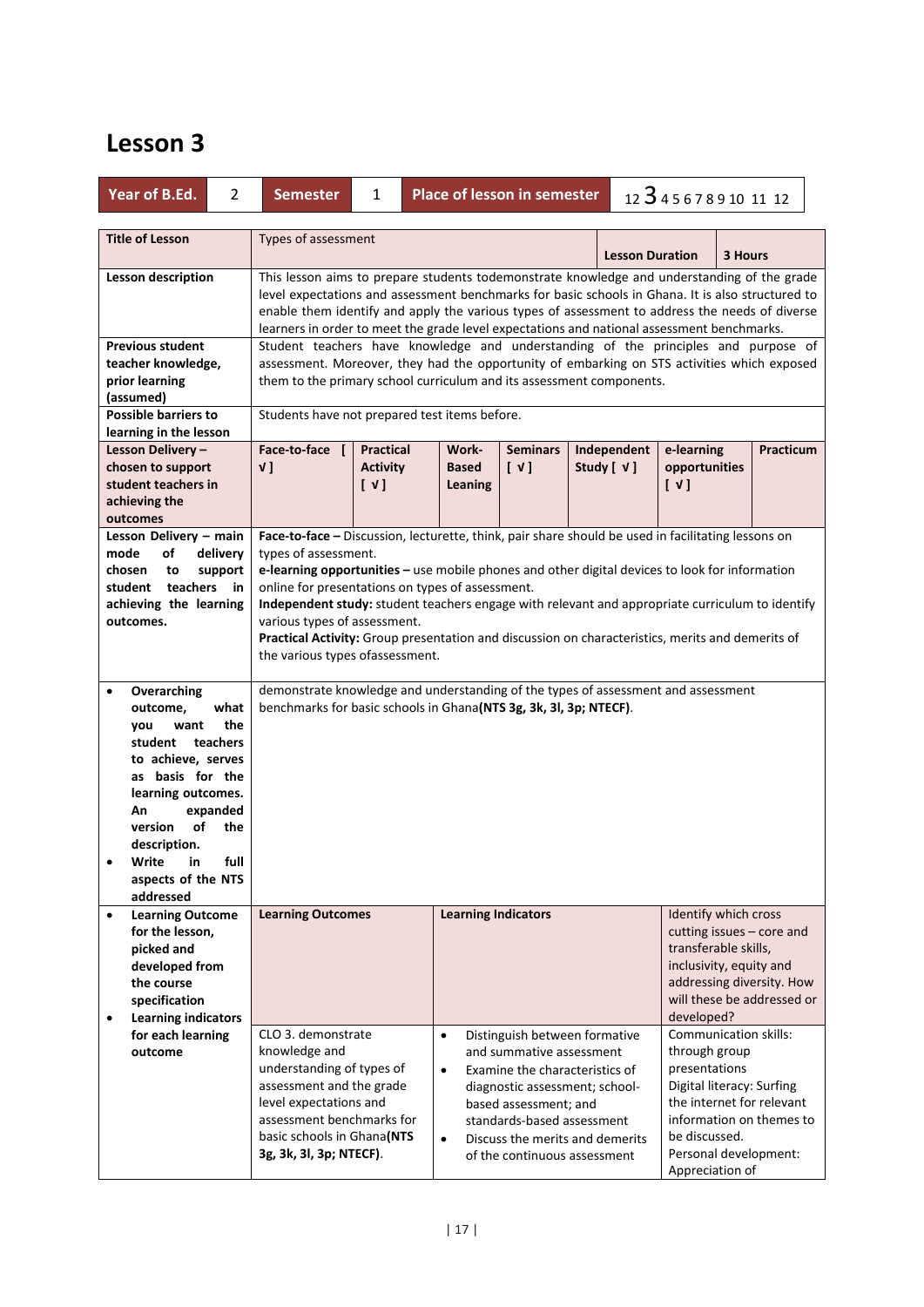| <b>Title of Lesson</b><br>Types of assessment<br><b>Lesson Duration</b><br>3 Hours                                                                                                                                                                                                                                                                                                                                            |
|-------------------------------------------------------------------------------------------------------------------------------------------------------------------------------------------------------------------------------------------------------------------------------------------------------------------------------------------------------------------------------------------------------------------------------|
| This lesson aims to prepare students todemonstrate knowledge and understanding of the grade<br><b>Lesson description</b><br>level expectations and assessment benchmarks for basic schools in Ghana. It is also structured to<br>enable them identify and apply the various types of assessment to address the needs of diverse<br>learners in order to meet the grade level expectations and national assessment benchmarks. |
| <b>Previous student</b><br>Student teachers have knowledge and understanding of the principles and purpose of                                                                                                                                                                                                                                                                                                                 |
| teacher knowledge,<br>assessment. Moreover, they had the opportunity of embarking on STS activities which exposed                                                                                                                                                                                                                                                                                                             |
| prior learning<br>them to the primary school curriculum and its assessment components.                                                                                                                                                                                                                                                                                                                                        |
| (assumed)<br><b>Possible barriers to</b>                                                                                                                                                                                                                                                                                                                                                                                      |
| Students have not prepared test items before.<br>learning in the lesson                                                                                                                                                                                                                                                                                                                                                       |
| Face-to-face [<br>Practicum<br>Practical<br>Work-<br><b>Seminars</b><br>Independent<br>e-learning<br>Lesson Delivery -                                                                                                                                                                                                                                                                                                        |
| $\begin{bmatrix} \vee \end{bmatrix}$<br>Study [ √ ]<br>chosen to support<br>v <sub>l</sub><br><b>Activity</b><br><b>Based</b><br>opportunities                                                                                                                                                                                                                                                                                |
| student teachers in<br>$[\vee]$<br>$[\vee]$<br>Leaning                                                                                                                                                                                                                                                                                                                                                                        |
| achieving the                                                                                                                                                                                                                                                                                                                                                                                                                 |
| outcomes                                                                                                                                                                                                                                                                                                                                                                                                                      |
| Face-to-face - Discussion, lecturette, think, pair share should be used in facilitating lessons on<br>Lesson Delivery - main                                                                                                                                                                                                                                                                                                  |
| mode<br>of<br>delivery<br>types of assessment.                                                                                                                                                                                                                                                                                                                                                                                |
| e-learning opportunities - use mobile phones and other digital devices to look for information<br>chosen<br>support<br>to                                                                                                                                                                                                                                                                                                     |
| student teachers<br>online for presentations on types of assessment.<br>in.                                                                                                                                                                                                                                                                                                                                                   |
| Independent study: student teachers engage with relevant and appropriate curriculum to identify<br>achieving the learning<br>various types of assessment.<br>outcomes.                                                                                                                                                                                                                                                        |
| Practical Activity: Group presentation and discussion on characteristics, merits and demerits of                                                                                                                                                                                                                                                                                                                              |
| the various types of assessment.                                                                                                                                                                                                                                                                                                                                                                                              |
|                                                                                                                                                                                                                                                                                                                                                                                                                               |
| demonstrate knowledge and understanding of the types of assessment and assessment<br>Overarching<br>$\bullet$                                                                                                                                                                                                                                                                                                                 |
| benchmarks for basic schools in Ghana(NTS 3g, 3k, 3l, 3p; NTECF).<br>what<br>outcome,                                                                                                                                                                                                                                                                                                                                         |
| the<br>want<br>you                                                                                                                                                                                                                                                                                                                                                                                                            |
| student teachers                                                                                                                                                                                                                                                                                                                                                                                                              |
| to achieve, serves                                                                                                                                                                                                                                                                                                                                                                                                            |
| as basis for the                                                                                                                                                                                                                                                                                                                                                                                                              |
| learning outcomes.<br>expanded<br>An                                                                                                                                                                                                                                                                                                                                                                                          |
| of<br>version<br>the                                                                                                                                                                                                                                                                                                                                                                                                          |
| description.                                                                                                                                                                                                                                                                                                                                                                                                                  |
| Write<br>full<br>in<br>٠                                                                                                                                                                                                                                                                                                                                                                                                      |
| aspects of the NTS                                                                                                                                                                                                                                                                                                                                                                                                            |
| addressed                                                                                                                                                                                                                                                                                                                                                                                                                     |
| <b>Learning Indicators</b><br>Identify which cross<br><b>Learning Outcome</b><br><b>Learning Outcomes</b><br>$\bullet$                                                                                                                                                                                                                                                                                                        |
| cutting issues - core and<br>for the lesson,                                                                                                                                                                                                                                                                                                                                                                                  |
| transferable skills,<br>picked and<br>inclusivity, equity and                                                                                                                                                                                                                                                                                                                                                                 |
| developed from<br>addressing diversity. How<br>the course                                                                                                                                                                                                                                                                                                                                                                     |
| will these be addressed or<br>specification                                                                                                                                                                                                                                                                                                                                                                                   |
| developed?<br><b>Learning indicators</b><br>$\bullet$                                                                                                                                                                                                                                                                                                                                                                         |
| CLO 3. demonstrate<br>Communication skills:<br>for each learning<br>$\bullet$<br>Distinguish between formative                                                                                                                                                                                                                                                                                                                |
| knowledge and<br>and summative assessment<br>through group<br>outcome                                                                                                                                                                                                                                                                                                                                                         |
| understanding of types of<br>presentations<br>Examine the characteristics of<br>$\bullet$                                                                                                                                                                                                                                                                                                                                     |
| assessment and the grade<br>Digital literacy: Surfing<br>diagnostic assessment; school-                                                                                                                                                                                                                                                                                                                                       |
| level expectations and<br>the internet for relevant<br>based assessment; and                                                                                                                                                                                                                                                                                                                                                  |
| assessment benchmarks for<br>information on themes to<br>standards-based assessment                                                                                                                                                                                                                                                                                                                                           |
| basic schools in Ghana(NTS<br>be discussed.<br>Discuss the merits and demerits<br>$\bullet$                                                                                                                                                                                                                                                                                                                                   |
| Personal development:<br>3g, 3k, 3l, 3p; NTECF).<br>of the continuous assessment<br>Appreciation of                                                                                                                                                                                                                                                                                                                           |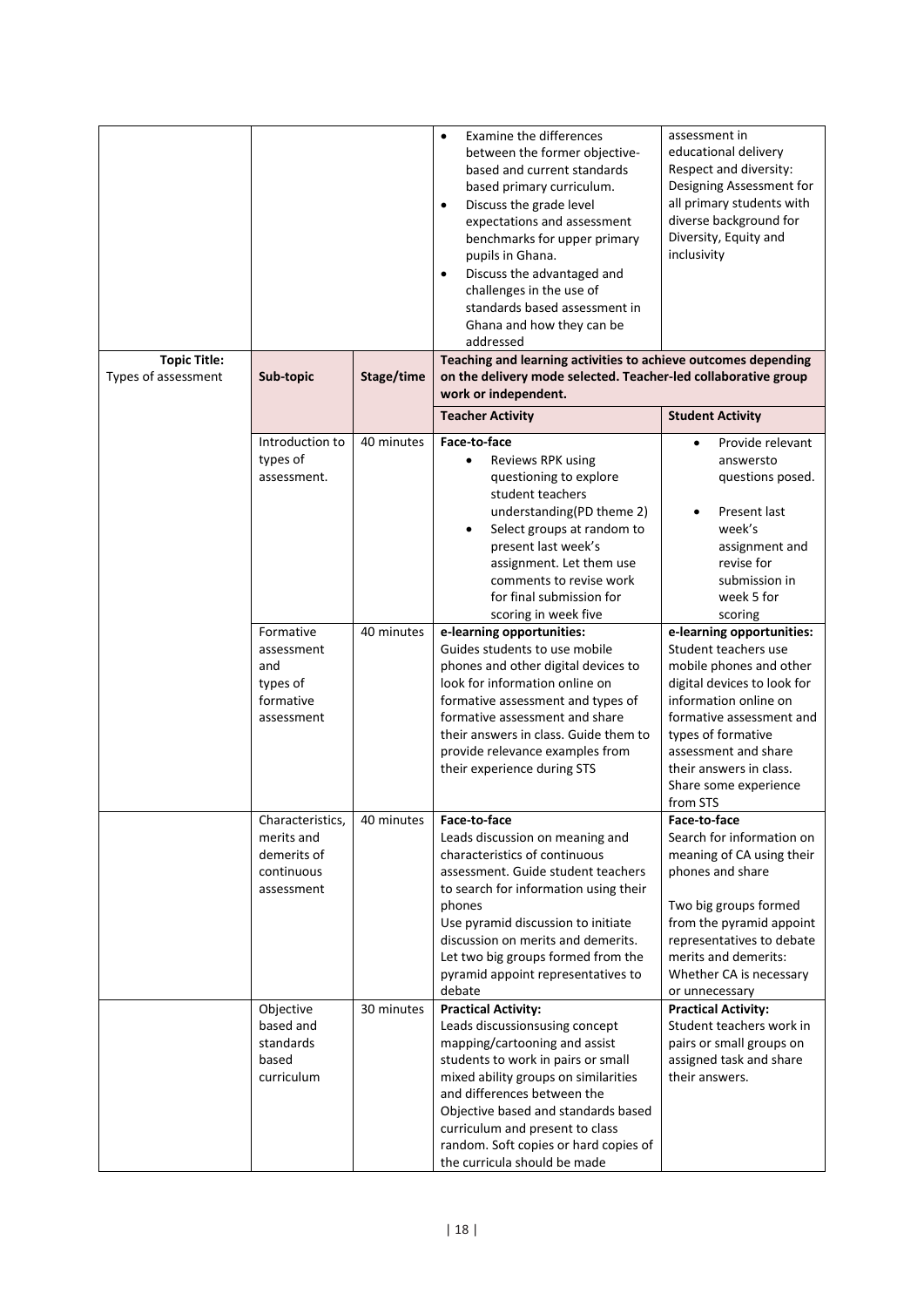| <b>Topic Title:</b> |                                                                                                                                         |                          | <b>Examine the differences</b><br>$\bullet$<br>between the former objective-<br>based and current standards<br>based primary curriculum.<br>Discuss the grade level<br>$\bullet$<br>expectations and assessment<br>benchmarks for upper primary<br>pupils in Ghana.<br>Discuss the advantaged and<br>$\bullet$<br>challenges in the use of<br>standards based assessment in<br>Ghana and how they can be<br>addressed<br>Teaching and learning activities to achieve outcomes depending                                                                                                                                                                                      | assessment in<br>educational delivery<br>Respect and diversity:<br>Designing Assessment for<br>all primary students with<br>diverse background for<br>Diversity, Equity and<br>inclusivity                                                                                                                                                                                           |  |
|---------------------|-----------------------------------------------------------------------------------------------------------------------------------------|--------------------------|------------------------------------------------------------------------------------------------------------------------------------------------------------------------------------------------------------------------------------------------------------------------------------------------------------------------------------------------------------------------------------------------------------------------------------------------------------------------------------------------------------------------------------------------------------------------------------------------------------------------------------------------------------------------------|--------------------------------------------------------------------------------------------------------------------------------------------------------------------------------------------------------------------------------------------------------------------------------------------------------------------------------------------------------------------------------------|--|
| Types of assessment | Sub-topic                                                                                                                               | Stage/time               | on the delivery mode selected. Teacher-led collaborative group<br>work or independent.                                                                                                                                                                                                                                                                                                                                                                                                                                                                                                                                                                                       |                                                                                                                                                                                                                                                                                                                                                                                      |  |
|                     |                                                                                                                                         |                          | <b>Teacher Activity</b>                                                                                                                                                                                                                                                                                                                                                                                                                                                                                                                                                                                                                                                      | <b>Student Activity</b>                                                                                                                                                                                                                                                                                                                                                              |  |
|                     | Introduction to<br>types of<br>assessment.                                                                                              | 40 minutes               | Face-to-face<br>Reviews RPK using<br>$\bullet$<br>questioning to explore<br>student teachers<br>understanding(PD theme 2)<br>Select groups at random to<br>present last week's<br>assignment. Let them use<br>comments to revise work<br>for final submission for<br>scoring in week five                                                                                                                                                                                                                                                                                                                                                                                    | Provide relevant<br>$\bullet$<br>answersto<br>questions posed.<br>Present last<br>week's<br>assignment and<br>revise for<br>submission in<br>week 5 for<br>scoring                                                                                                                                                                                                                   |  |
|                     | Formative<br>assessment<br>and<br>types of<br>formative<br>assessment                                                                   | 40 minutes               | e-learning opportunities:<br>Guides students to use mobile<br>phones and other digital devices to<br>look for information online on<br>formative assessment and types of<br>formative assessment and share<br>their answers in class. Guide them to<br>provide relevance examples from<br>their experience during STS                                                                                                                                                                                                                                                                                                                                                        | e-learning opportunities:<br>Student teachers use<br>mobile phones and other<br>digital devices to look for<br>information online on<br>formative assessment and<br>types of formative<br>assessment and share<br>their answers in class.<br>Share some experience<br>from STS                                                                                                       |  |
|                     | Characteristics,<br>merits and<br>demerits of<br>continuous<br>assessment<br>Objective<br>based and<br>standards<br>based<br>curriculum | 40 minutes<br>30 minutes | Face-to-face<br>Leads discussion on meaning and<br>characteristics of continuous<br>assessment. Guide student teachers<br>to search for information using their<br>phones<br>Use pyramid discussion to initiate<br>discussion on merits and demerits.<br>Let two big groups formed from the<br>pyramid appoint representatives to<br>debate<br><b>Practical Activity:</b><br>Leads discussionsusing concept<br>mapping/cartooning and assist<br>students to work in pairs or small<br>mixed ability groups on similarities<br>and differences between the<br>Objective based and standards based<br>curriculum and present to class<br>random. Soft copies or hard copies of | Face-to-face<br>Search for information on<br>meaning of CA using their<br>phones and share<br>Two big groups formed<br>from the pyramid appoint<br>representatives to debate<br>merits and demerits:<br>Whether CA is necessary<br>or unnecessary<br><b>Practical Activity:</b><br>Student teachers work in<br>pairs or small groups on<br>assigned task and share<br>their answers. |  |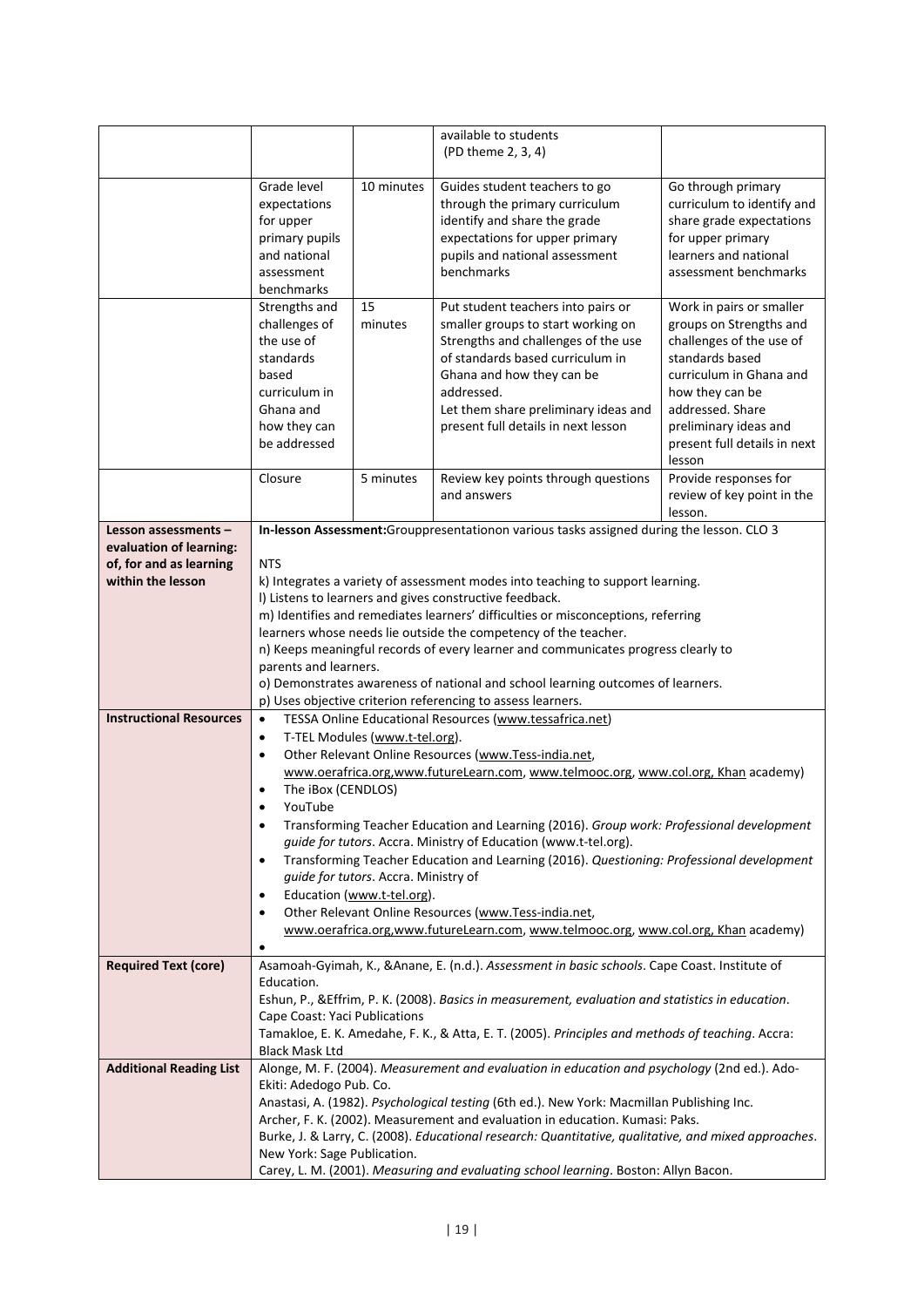|                                                    |                               |                                      | available to students                                                                                                                                                                |                                                       |
|----------------------------------------------------|-------------------------------|--------------------------------------|--------------------------------------------------------------------------------------------------------------------------------------------------------------------------------------|-------------------------------------------------------|
|                                                    |                               |                                      | (PD theme 2, 3, 4)                                                                                                                                                                   |                                                       |
|                                                    | Grade level                   | 10 minutes                           | Guides student teachers to go                                                                                                                                                        | Go through primary                                    |
|                                                    | expectations                  |                                      | through the primary curriculum                                                                                                                                                       | curriculum to identify and                            |
|                                                    | for upper                     |                                      | identify and share the grade                                                                                                                                                         | share grade expectations                              |
|                                                    | primary pupils                |                                      | expectations for upper primary                                                                                                                                                       | for upper primary                                     |
|                                                    | and national                  |                                      | pupils and national assessment                                                                                                                                                       | learners and national                                 |
|                                                    | assessment                    |                                      | benchmarks                                                                                                                                                                           | assessment benchmarks                                 |
|                                                    | benchmarks<br>Strengths and   | 15                                   | Put student teachers into pairs or                                                                                                                                                   | Work in pairs or smaller                              |
|                                                    | challenges of                 | minutes                              | smaller groups to start working on                                                                                                                                                   | groups on Strengths and                               |
|                                                    | the use of                    |                                      | Strengths and challenges of the use                                                                                                                                                  | challenges of the use of                              |
|                                                    | standards                     |                                      | of standards based curriculum in                                                                                                                                                     | standards based                                       |
|                                                    | based                         |                                      | Ghana and how they can be                                                                                                                                                            | curriculum in Ghana and                               |
|                                                    | curriculum in                 |                                      | addressed.                                                                                                                                                                           | how they can be                                       |
|                                                    | Ghana and                     |                                      | Let them share preliminary ideas and                                                                                                                                                 | addressed. Share                                      |
|                                                    | how they can<br>be addressed  |                                      | present full details in next lesson                                                                                                                                                  | preliminary ideas and<br>present full details in next |
|                                                    |                               |                                      |                                                                                                                                                                                      | lesson                                                |
|                                                    | Closure                       | 5 minutes                            | Review key points through questions                                                                                                                                                  | Provide responses for                                 |
|                                                    |                               |                                      | and answers                                                                                                                                                                          | review of key point in the                            |
|                                                    |                               |                                      |                                                                                                                                                                                      | lesson.                                               |
| Lesson assessments -                               |                               |                                      | In-lesson Assessment:Grouppresentationon various tasks assigned during the lesson. CLO 3                                                                                             |                                                       |
| evaluation of learning:<br>of, for and as learning | <b>NTS</b>                    |                                      |                                                                                                                                                                                      |                                                       |
| within the lesson                                  |                               |                                      | k) Integrates a variety of assessment modes into teaching to support learning.                                                                                                       |                                                       |
|                                                    |                               |                                      | I) Listens to learners and gives constructive feedback.                                                                                                                              |                                                       |
|                                                    |                               |                                      | m) Identifies and remediates learners' difficulties or misconceptions, referring                                                                                                     |                                                       |
|                                                    |                               |                                      | learners whose needs lie outside the competency of the teacher.                                                                                                                      |                                                       |
|                                                    |                               |                                      | n) Keeps meaningful records of every learner and communicates progress clearly to                                                                                                    |                                                       |
|                                                    | parents and learners.         |                                      |                                                                                                                                                                                      |                                                       |
|                                                    |                               |                                      | o) Demonstrates awareness of national and school learning outcomes of learners.<br>p) Uses objective criterion referencing to assess learners.                                       |                                                       |
| <b>Instructional Resources</b>                     | $\bullet$                     |                                      | TESSA Online Educational Resources (www.tessafrica.net)                                                                                                                              |                                                       |
|                                                    | $\bullet$                     | T-TEL Modules (www.t-tel.org).       |                                                                                                                                                                                      |                                                       |
|                                                    | $\bullet$                     |                                      | Other Relevant Online Resources (www.Tess-india.net,                                                                                                                                 |                                                       |
|                                                    |                               |                                      | www.oerafrica.org,www.futureLearn.com, www.telmooc.org, www.col.org, Khan academy)                                                                                                   |                                                       |
|                                                    | The iBox (CENDLOS)<br>YouTube |                                      |                                                                                                                                                                                      |                                                       |
|                                                    |                               |                                      | Transforming Teacher Education and Learning (2016). Group work: Professional development                                                                                             |                                                       |
|                                                    |                               |                                      | guide for tutors. Accra. Ministry of Education (www.t-tel.org).                                                                                                                      |                                                       |
|                                                    |                               |                                      | Transforming Teacher Education and Learning (2016). Questioning: Professional development                                                                                            |                                                       |
|                                                    |                               | guide for tutors. Accra. Ministry of |                                                                                                                                                                                      |                                                       |
|                                                    |                               | Education (www.t-tel.org).           |                                                                                                                                                                                      |                                                       |
|                                                    |                               |                                      | Other Relevant Online Resources (www.Tess-india.net,<br>www.oerafrica.org,www.futureLearn.com, www.telmooc.org, www.col.org, Khan academy)                                           |                                                       |
|                                                    |                               |                                      |                                                                                                                                                                                      |                                                       |
| <b>Required Text (core)</b>                        |                               |                                      | Asamoah-Gyimah, K., & Anane, E. (n.d.). Assessment in basic schools. Cape Coast. Institute of                                                                                        |                                                       |
|                                                    | Education.                    |                                      |                                                                                                                                                                                      |                                                       |
|                                                    |                               |                                      | Eshun, P., & Effrim, P. K. (2008). Basics in measurement, evaluation and statistics in education.                                                                                    |                                                       |
|                                                    | Cape Coast: Yaci Publications |                                      |                                                                                                                                                                                      |                                                       |
|                                                    | <b>Black Mask Ltd</b>         |                                      | Tamakloe, E. K. Amedahe, F. K., & Atta, E. T. (2005). Principles and methods of teaching. Accra:                                                                                     |                                                       |
| <b>Additional Reading List</b>                     |                               |                                      | Alonge, M. F. (2004). Measurement and evaluation in education and psychology (2nd ed.). Ado-                                                                                         |                                                       |
|                                                    | Ekiti: Adedogo Pub. Co.       |                                      |                                                                                                                                                                                      |                                                       |
|                                                    |                               |                                      | Anastasi, A. (1982). Psychological testing (6th ed.). New York: Macmillan Publishing Inc.                                                                                            |                                                       |
|                                                    |                               |                                      | Archer, F. K. (2002). Measurement and evaluation in education. Kumasi: Paks.<br>Burke, J. & Larry, C. (2008). Educational research: Quantitative, qualitative, and mixed approaches. |                                                       |
|                                                    | New York: Sage Publication.   |                                      |                                                                                                                                                                                      |                                                       |
|                                                    |                               |                                      | Carey, L. M. (2001). Measuring and evaluating school learning. Boston: Allyn Bacon.                                                                                                  |                                                       |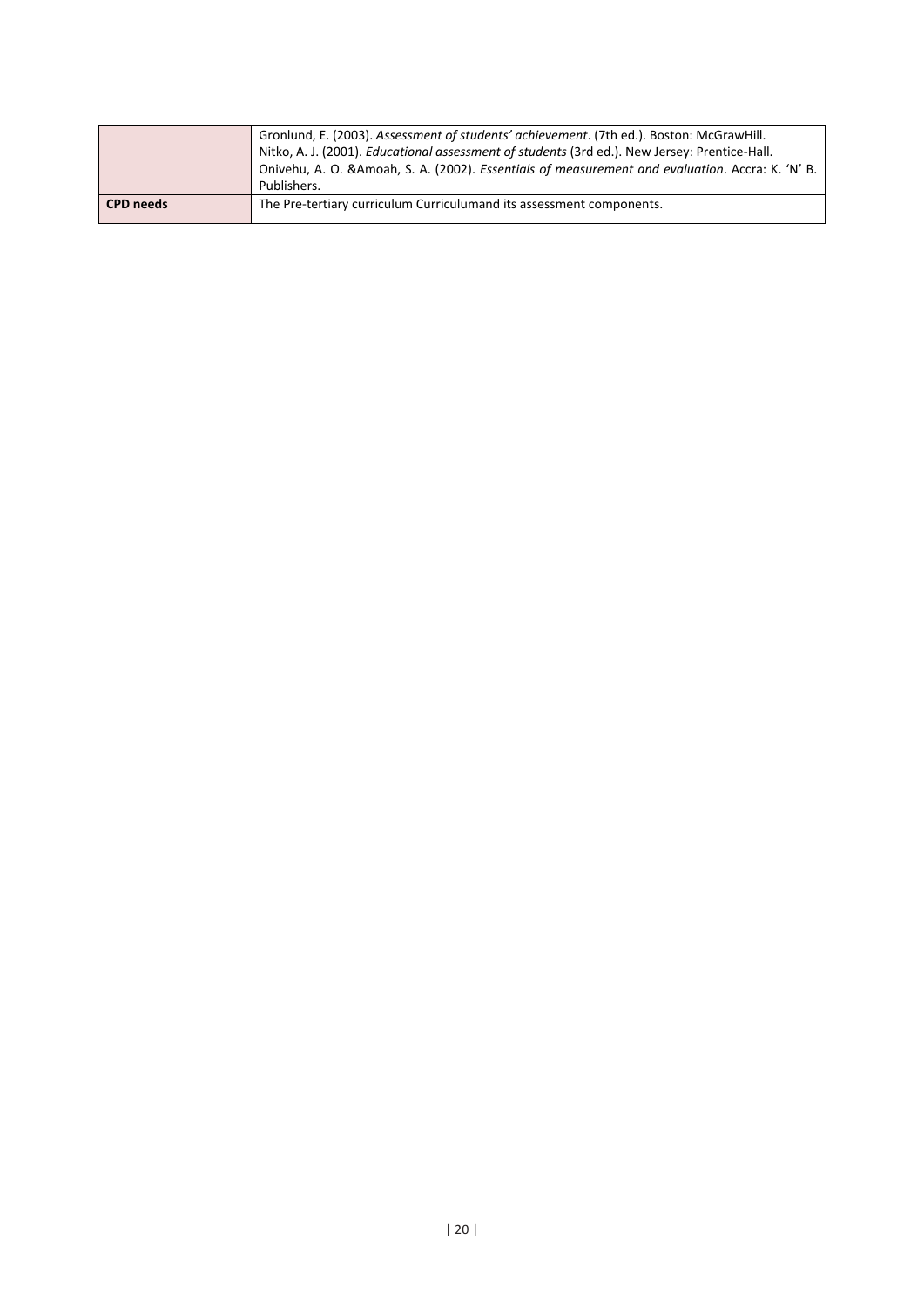|                  | Gronlund, E. (2003). Assessment of students' achievement. (7th ed.). Boston: McGrawHill.         |
|------------------|--------------------------------------------------------------------------------------------------|
|                  | Nitko, A. J. (2001). Educational assessment of students (3rd ed.). New Jersey: Prentice-Hall.    |
|                  | Onivehu, A. O. & Amoah, S. A. (2002). Essentials of measurement and evaluation. Accra: K. 'N' B. |
|                  | Publishers.                                                                                      |
| <b>CPD</b> needs | The Pre-tertiary curriculum Curriculumand its assessment components.                             |
|                  |                                                                                                  |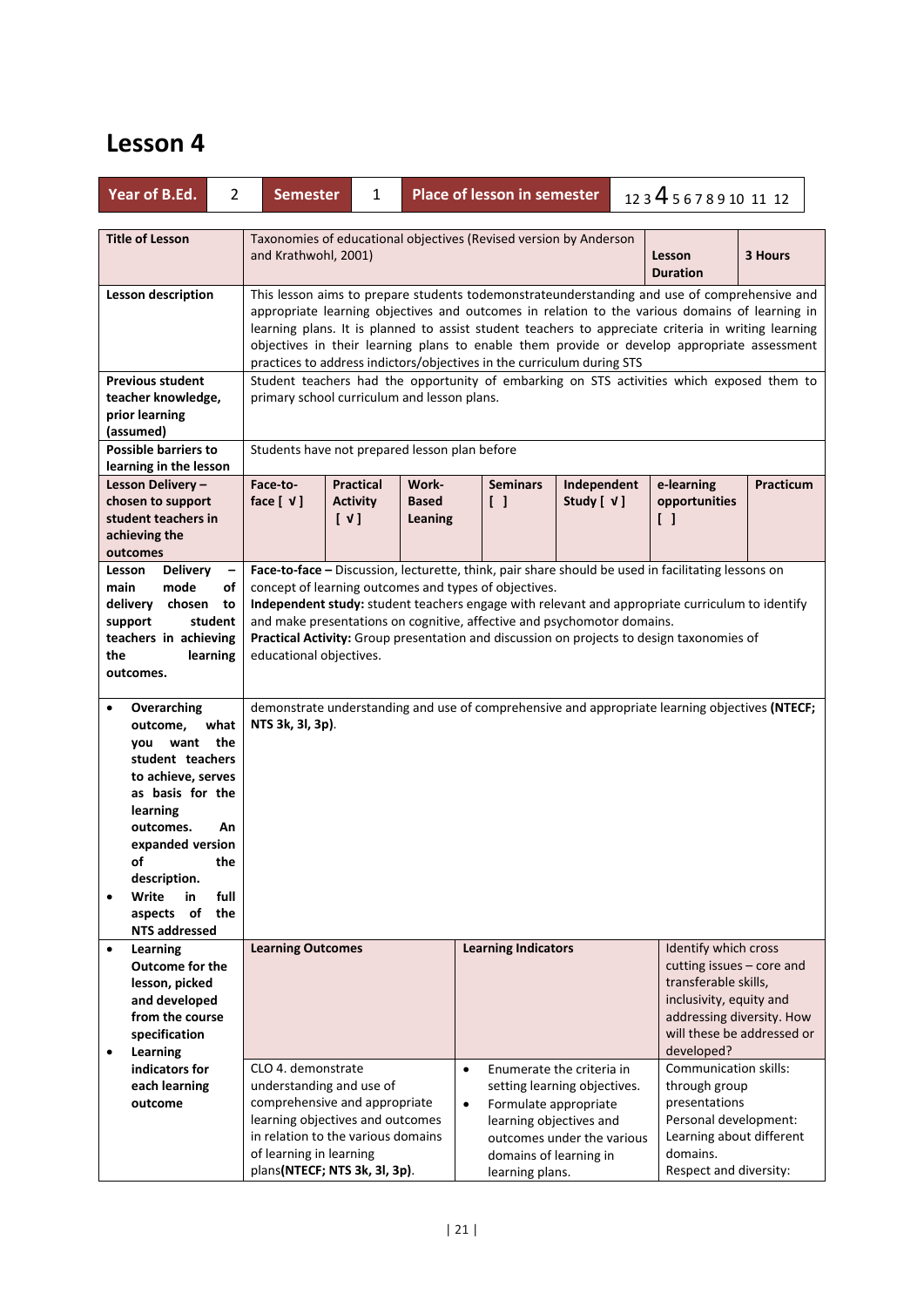|                       | Year of B.Ed.                                                                                                                                                                                                                               | $\overline{2}$           | <b>Semester</b>                                                                                                                                                                                                                                                                                                                                                                                                                                                   | 1                                                                                                                                                                                                                                                                                                                                                                                                                                                                              |                                               | <b>Place of lesson in semester</b>                                                            |                                                                                         | 123456789101112             |                                                                                                                                                                         |         |  |
|-----------------------|---------------------------------------------------------------------------------------------------------------------------------------------------------------------------------------------------------------------------------------------|--------------------------|-------------------------------------------------------------------------------------------------------------------------------------------------------------------------------------------------------------------------------------------------------------------------------------------------------------------------------------------------------------------------------------------------------------------------------------------------------------------|--------------------------------------------------------------------------------------------------------------------------------------------------------------------------------------------------------------------------------------------------------------------------------------------------------------------------------------------------------------------------------------------------------------------------------------------------------------------------------|-----------------------------------------------|-----------------------------------------------------------------------------------------------|-----------------------------------------------------------------------------------------|-----------------------------|-------------------------------------------------------------------------------------------------------------------------------------------------------------------------|---------|--|
|                       | <b>Title of Lesson</b>                                                                                                                                                                                                                      |                          | Taxonomies of educational objectives (Revised version by Anderson<br>and Krathwohl, 2001)<br>Lesson<br><b>Duration</b>                                                                                                                                                                                                                                                                                                                                            |                                                                                                                                                                                                                                                                                                                                                                                                                                                                                |                                               |                                                                                               |                                                                                         |                             |                                                                                                                                                                         | 3 Hours |  |
|                       | <b>Lesson description</b>                                                                                                                                                                                                                   |                          |                                                                                                                                                                                                                                                                                                                                                                                                                                                                   | This lesson aims to prepare students todemonstrateunderstanding and use of comprehensive and<br>appropriate learning objectives and outcomes in relation to the various domains of learning in<br>learning plans. It is planned to assist student teachers to appreciate criteria in writing learning<br>objectives in their learning plans to enable them provide or develop appropriate assessment<br>practices to address indictors/objectives in the curriculum during STS |                                               |                                                                                               |                                                                                         |                             |                                                                                                                                                                         |         |  |
|                       | <b>Previous student</b><br>teacher knowledge,<br>prior learning<br>(assumed)                                                                                                                                                                |                          | Student teachers had the opportunity of embarking on STS activities which exposed them to<br>primary school curriculum and lesson plans.                                                                                                                                                                                                                                                                                                                          |                                                                                                                                                                                                                                                                                                                                                                                                                                                                                |                                               |                                                                                               |                                                                                         |                             |                                                                                                                                                                         |         |  |
|                       | <b>Possible barriers to</b><br>learning in the lesson                                                                                                                                                                                       |                          |                                                                                                                                                                                                                                                                                                                                                                                                                                                                   |                                                                                                                                                                                                                                                                                                                                                                                                                                                                                | Students have not prepared lesson plan before |                                                                                               |                                                                                         |                             |                                                                                                                                                                         |         |  |
|                       | Lesson Delivery-<br>chosen to support<br>student teachers in<br>achieving the<br>outcomes                                                                                                                                                   |                          | <b>Practical</b><br>Independent<br>Face-to-<br>Work-<br><b>Seminars</b><br>face $[\sqrt{1}]$<br><b>Activity</b><br><b>Based</b><br>$\begin{smallmatrix} \end{smallmatrix}$<br>Study $[ V ]$<br>$[\vee]$<br>Leaning                                                                                                                                                                                                                                                |                                                                                                                                                                                                                                                                                                                                                                                                                                                                                |                                               |                                                                                               | $\Box$                                                                                  | e-learning<br>opportunities | <b>Practicum</b>                                                                                                                                                        |         |  |
| Lesson<br>main<br>the | <b>Delivery</b><br>mode<br>delivery chosen<br>support<br>student<br>teachers in achieving<br>learning<br>outcomes.                                                                                                                          | of<br>to                 | Face-to-face - Discussion, lecturette, think, pair share should be used in facilitating lessons on<br>concept of learning outcomes and types of objectives.<br>Independent study: student teachers engage with relevant and appropriate curriculum to identify<br>and make presentations on cognitive, affective and psychomotor domains.<br>Practical Activity: Group presentation and discussion on projects to design taxonomies of<br>educational objectives. |                                                                                                                                                                                                                                                                                                                                                                                                                                                                                |                                               |                                                                                               |                                                                                         |                             |                                                                                                                                                                         |         |  |
| $\bullet$             | Overarching<br>outcome,<br>what<br>want<br>you<br>student teachers<br>to achieve, serves<br>as basis for the<br>learning<br>outcomes.<br>expanded version<br>οf<br>description.<br>Write<br>in<br>aspects of<br>the<br><b>NTS addressed</b> | the<br>An<br>the<br>full | NTS 3k, 3l, 3p).                                                                                                                                                                                                                                                                                                                                                                                                                                                  |                                                                                                                                                                                                                                                                                                                                                                                                                                                                                |                                               |                                                                                               |                                                                                         |                             | demonstrate understanding and use of comprehensive and appropriate learning objectives (NTECF;                                                                          |         |  |
| $\bullet$             | Learning<br><b>Outcome for the</b><br>lesson, picked<br>and developed<br>from the course<br>specification                                                                                                                                   |                          | <b>Learning Outcomes</b>                                                                                                                                                                                                                                                                                                                                                                                                                                          |                                                                                                                                                                                                                                                                                                                                                                                                                                                                                |                                               | <b>Learning Indicators</b>                                                                    |                                                                                         |                             | Identify which cross<br>cutting issues - core and<br>transferable skills,<br>inclusivity, equity and<br>addressing diversity. How<br>will these be addressed or         |         |  |
| $\bullet$             | <b>Learning</b><br>indicators for<br>each learning<br>outcome                                                                                                                                                                               |                          | CLO 4. demonstrate<br>of learning in learning                                                                                                                                                                                                                                                                                                                                                                                                                     | understanding and use of<br>comprehensive and appropriate<br>learning objectives and outcomes<br>in relation to the various domains<br>plans(NTECF; NTS 3k, 3l, 3p).                                                                                                                                                                                                                                                                                                           | $\bullet$<br>$\bullet$                        | Formulate appropriate<br>learning objectives and<br>domains of learning in<br>learning plans. | Enumerate the criteria in<br>setting learning objectives.<br>outcomes under the various |                             | developed?<br><b>Communication skills:</b><br>through group<br>presentations<br>Personal development:<br>Learning about different<br>domains.<br>Respect and diversity: |         |  |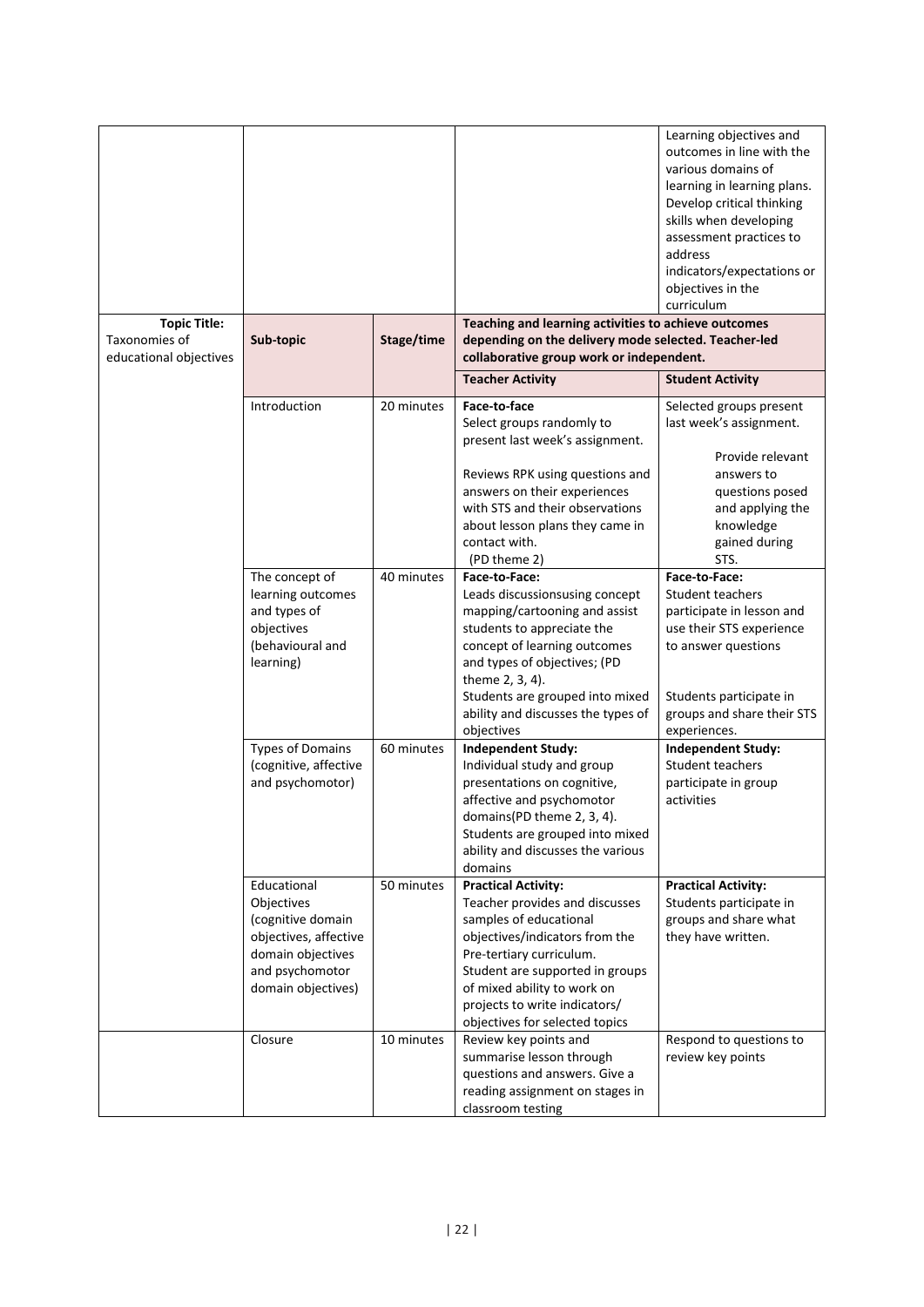| <b>Topic Title:</b>                     |                                                                                                                                       |            | Teaching and learning activities to achieve outcomes                                                                                                                                                                                                                                      | Learning objectives and<br>outcomes in line with the<br>various domains of<br>learning in learning plans.<br>Develop critical thinking<br>skills when developing<br>assessment practices to<br>address<br>indicators/expectations or<br>objectives in the<br>curriculum |
|-----------------------------------------|---------------------------------------------------------------------------------------------------------------------------------------|------------|-------------------------------------------------------------------------------------------------------------------------------------------------------------------------------------------------------------------------------------------------------------------------------------------|-------------------------------------------------------------------------------------------------------------------------------------------------------------------------------------------------------------------------------------------------------------------------|
| Taxonomies of<br>educational objectives | Sub-topic                                                                                                                             | Stage/time | depending on the delivery mode selected. Teacher-led<br>collaborative group work or independent.                                                                                                                                                                                          |                                                                                                                                                                                                                                                                         |
|                                         |                                                                                                                                       |            | <b>Teacher Activity</b>                                                                                                                                                                                                                                                                   | <b>Student Activity</b>                                                                                                                                                                                                                                                 |
|                                         | Introduction                                                                                                                          | 20 minutes | Face-to-face<br>Select groups randomly to<br>present last week's assignment.<br>Reviews RPK using questions and<br>answers on their experiences<br>with STS and their observations<br>about lesson plans they came in                                                                     | Selected groups present<br>last week's assignment.<br>Provide relevant<br>answers to<br>questions posed<br>and applying the<br>knowledge                                                                                                                                |
|                                         |                                                                                                                                       |            | contact with.<br>(PD theme 2)                                                                                                                                                                                                                                                             | gained during<br>STS.                                                                                                                                                                                                                                                   |
|                                         | The concept of<br>learning outcomes<br>and types of<br>objectives<br>(behavioural and<br>learning)                                    | 40 minutes | Face-to-Face:<br>Leads discussionsusing concept<br>mapping/cartooning and assist<br>students to appreciate the<br>concept of learning outcomes<br>and types of objectives; (PD<br>theme 2, 3, 4).<br>Students are grouped into mixed<br>ability and discusses the types of                | Face-to-Face:<br><b>Student teachers</b><br>participate in lesson and<br>use their STS experience<br>to answer questions<br>Students participate in<br>groups and share their STS                                                                                       |
|                                         | <b>Types of Domains</b><br>(cognitive, affective<br>and psychomotor)                                                                  | 60 minutes | objectives<br><b>Independent Study:</b><br>Individual study and group<br>presentations on cognitive,<br>affective and psychomotor<br>domains(PD theme 2, 3, 4)<br>Students are grouped into mixed<br>ability and discusses the various<br>domains                                         | experiences.<br><b>Independent Study:</b><br><b>Student teachers</b><br>participate in group<br>activities                                                                                                                                                              |
|                                         | Educational<br>Objectives<br>(cognitive domain<br>objectives, affective<br>domain objectives<br>and psychomotor<br>domain objectives) | 50 minutes | <b>Practical Activity:</b><br>Teacher provides and discusses<br>samples of educational<br>objectives/indicators from the<br>Pre-tertiary curriculum.<br>Student are supported in groups<br>of mixed ability to work on<br>projects to write indicators/<br>objectives for selected topics | <b>Practical Activity:</b><br>Students participate in<br>groups and share what<br>they have written.                                                                                                                                                                    |
|                                         | Closure                                                                                                                               | 10 minutes | Review key points and<br>summarise lesson through<br>questions and answers. Give a<br>reading assignment on stages in<br>classroom testing                                                                                                                                                | Respond to questions to<br>review key points                                                                                                                                                                                                                            |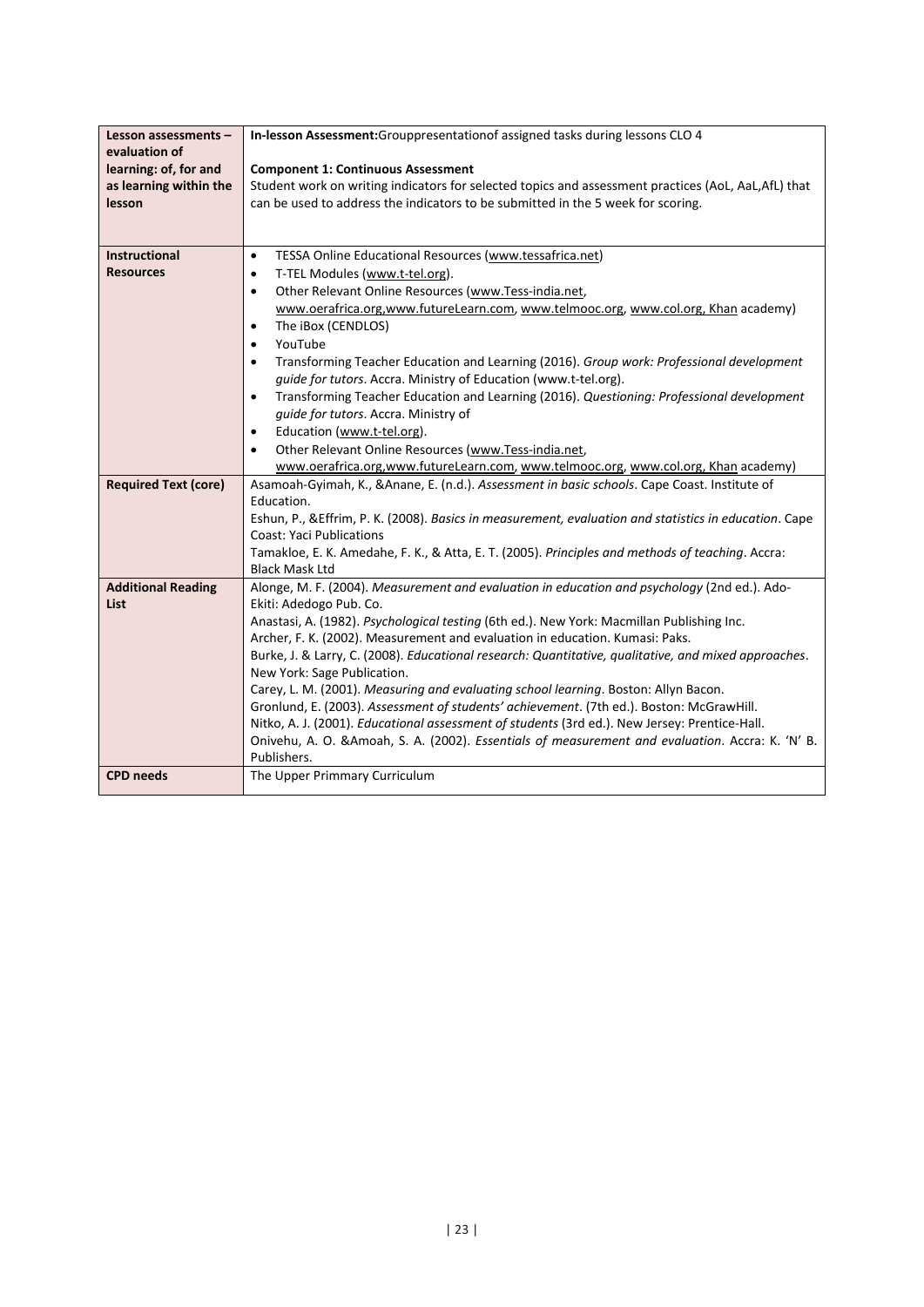| Lesson assessments -<br>evaluation of<br>learning: of, for and | In-lesson Assessment: Grouppresentation of assigned tasks during lessons CLO 4<br><b>Component 1: Continuous Assessment</b>                                                              |
|----------------------------------------------------------------|------------------------------------------------------------------------------------------------------------------------------------------------------------------------------------------|
| as learning within the<br>lesson                               | Student work on writing indicators for selected topics and assessment practices (AoL, AaL, AfL) that<br>can be used to address the indicators to be submitted in the 5 week for scoring. |
|                                                                |                                                                                                                                                                                          |
| Instructional                                                  | TESSA Online Educational Resources (www.tessafrica.net)<br>$\bullet$                                                                                                                     |
| <b>Resources</b>                                               | T-TEL Modules (www.t-tel.org).<br>$\bullet$                                                                                                                                              |
|                                                                | Other Relevant Online Resources (www.Tess-india.net,<br>$\bullet$                                                                                                                        |
|                                                                | www.oerafrica.org, www.futureLearn.com, www.telmooc.org, www.col.org, Khan academy)                                                                                                      |
|                                                                | The iBox (CENDLOS)<br>$\bullet$                                                                                                                                                          |
|                                                                | YouTube<br>$\bullet$                                                                                                                                                                     |
|                                                                | Transforming Teacher Education and Learning (2016). Group work: Professional development<br>$\bullet$<br>guide for tutors. Accra. Ministry of Education (www.t-tel.org).                 |
|                                                                | Transforming Teacher Education and Learning (2016). Questioning: Professional development<br>$\bullet$                                                                                   |
|                                                                | guide for tutors. Accra. Ministry of                                                                                                                                                     |
|                                                                | Education (www.t-tel.org).<br>$\bullet$                                                                                                                                                  |
|                                                                | Other Relevant Online Resources (www.Tess-india.net,<br>$\bullet$                                                                                                                        |
|                                                                | www.oerafrica.org,www.futureLearn.com, www.telmooc.org, www.col.org, Khan academy)                                                                                                       |
| <b>Required Text (core)</b>                                    | Asamoah-Gyimah, K., &Anane, E. (n.d.). Assessment in basic schools. Cape Coast. Institute of                                                                                             |
|                                                                | Education.                                                                                                                                                                               |
|                                                                | Eshun, P., & Effrim, P. K. (2008). Basics in measurement, evaluation and statistics in education. Cape<br><b>Coast: Yaci Publications</b>                                                |
|                                                                | Tamakloe, E. K. Amedahe, F. K., & Atta, E. T. (2005). Principles and methods of teaching. Accra:                                                                                         |
|                                                                | <b>Black Mask Ltd</b>                                                                                                                                                                    |
| <b>Additional Reading</b><br>List                              | Alonge, M. F. (2004). Measurement and evaluation in education and psychology (2nd ed.). Ado-<br>Ekiti: Adedogo Pub. Co.                                                                  |
|                                                                | Anastasi, A. (1982). Psychological testing (6th ed.). New York: Macmillan Publishing Inc.                                                                                                |
|                                                                | Archer, F. K. (2002). Measurement and evaluation in education. Kumasi: Paks.                                                                                                             |
|                                                                | Burke, J. & Larry, C. (2008). Educational research: Quantitative, qualitative, and mixed approaches.                                                                                     |
|                                                                | New York: Sage Publication.                                                                                                                                                              |
|                                                                | Carey, L. M. (2001). Measuring and evaluating school learning. Boston: Allyn Bacon.                                                                                                      |
|                                                                | Gronlund, E. (2003). Assessment of students' achievement. (7th ed.). Boston: McGrawHill.                                                                                                 |
|                                                                | Nitko, A. J. (2001). Educational assessment of students (3rd ed.). New Jersey: Prentice-Hall.                                                                                            |
|                                                                | Onivehu, A. O. &Amoah, S. A. (2002). Essentials of measurement and evaluation. Accra: K. 'N' B.<br>Publishers.                                                                           |
| <b>CPD</b> needs                                               | The Upper Primmary Curriculum                                                                                                                                                            |
|                                                                |                                                                                                                                                                                          |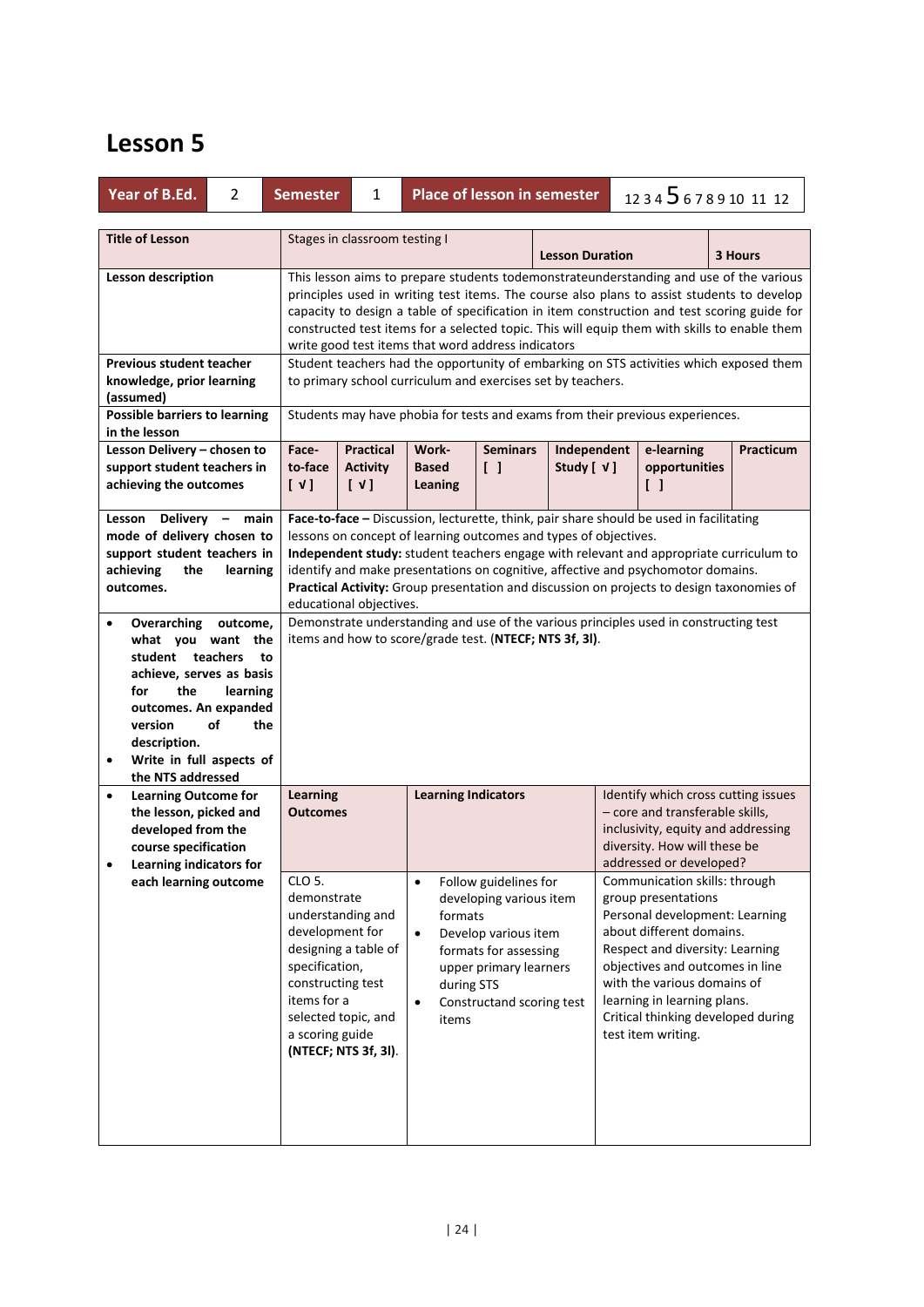| Year of B.Ed.<br>2                                                                                                                                                                                                                                                                                                                                                                         | <b>Semester</b><br>1                                                                                                                                                                                                                                                                                                                                                                                                                      | <b>Place of lesson in semester</b>                                                                                                                                                                                                                                                                                                                                                                                                                                                                                                                                                         |                            | 123456789101112                                                                                                                                                                                                                                                                                                                                                                                                                                                                               |           |  |  |  |
|--------------------------------------------------------------------------------------------------------------------------------------------------------------------------------------------------------------------------------------------------------------------------------------------------------------------------------------------------------------------------------------------|-------------------------------------------------------------------------------------------------------------------------------------------------------------------------------------------------------------------------------------------------------------------------------------------------------------------------------------------------------------------------------------------------------------------------------------------|--------------------------------------------------------------------------------------------------------------------------------------------------------------------------------------------------------------------------------------------------------------------------------------------------------------------------------------------------------------------------------------------------------------------------------------------------------------------------------------------------------------------------------------------------------------------------------------------|----------------------------|-----------------------------------------------------------------------------------------------------------------------------------------------------------------------------------------------------------------------------------------------------------------------------------------------------------------------------------------------------------------------------------------------------------------------------------------------------------------------------------------------|-----------|--|--|--|
| <b>Title of Lesson</b>                                                                                                                                                                                                                                                                                                                                                                     |                                                                                                                                                                                                                                                                                                                                                                                                                                           | Stages in classroom testing I<br><b>Lesson Duration</b><br>3 Hours                                                                                                                                                                                                                                                                                                                                                                                                                                                                                                                         |                            |                                                                                                                                                                                                                                                                                                                                                                                                                                                                                               |           |  |  |  |
| <b>Lesson description</b>                                                                                                                                                                                                                                                                                                                                                                  | This lesson aims to prepare students todemonstrateunderstanding and use of the various<br>principles used in writing test items. The course also plans to assist students to develop<br>capacity to design a table of specification in item construction and test scoring guide for<br>constructed test items for a selected topic. This will equip them with skills to enable them<br>write good test items that word address indicators |                                                                                                                                                                                                                                                                                                                                                                                                                                                                                                                                                                                            |                            |                                                                                                                                                                                                                                                                                                                                                                                                                                                                                               |           |  |  |  |
| <b>Previous student teacher</b><br>knowledge, prior learning<br>(assumed)                                                                                                                                                                                                                                                                                                                  |                                                                                                                                                                                                                                                                                                                                                                                                                                           | Student teachers had the opportunity of embarking on STS activities which exposed them<br>to primary school curriculum and exercises set by teachers.                                                                                                                                                                                                                                                                                                                                                                                                                                      |                            |                                                                                                                                                                                                                                                                                                                                                                                                                                                                                               |           |  |  |  |
| <b>Possible barriers to learning</b><br>in the lesson                                                                                                                                                                                                                                                                                                                                      |                                                                                                                                                                                                                                                                                                                                                                                                                                           | Students may have phobia for tests and exams from their previous experiences.                                                                                                                                                                                                                                                                                                                                                                                                                                                                                                              |                            |                                                                                                                                                                                                                                                                                                                                                                                                                                                                                               |           |  |  |  |
| Lesson Delivery - chosen to<br>support student teachers in<br>achieving the outcomes                                                                                                                                                                                                                                                                                                       | Face-<br><b>Practical</b><br>to-face<br><b>Activity</b><br>[V]<br>$[\vee]$                                                                                                                                                                                                                                                                                                                                                                | <b>Seminars</b><br>Work-<br>$\begin{bmatrix} \end{bmatrix}$<br><b>Based</b><br>Leaning                                                                                                                                                                                                                                                                                                                                                                                                                                                                                                     | Independent<br>Study [ √ ] | e-learning<br>opportunities<br>$\Box$                                                                                                                                                                                                                                                                                                                                                                                                                                                         | Practicum |  |  |  |
| Lesson Delivery - main<br>mode of delivery chosen to<br>support student teachers in<br>achieving<br>the<br>learning<br>outcomes.<br>Overarching<br>outcome,<br>$\bullet$<br>what you want<br>the<br>student teachers<br>to<br>achieve, serves as basis<br>the<br>for<br>learning<br>outcomes. An expanded<br>version<br>of<br>the<br>description.<br>Write in full aspects of<br>$\bullet$ | educational objectives.                                                                                                                                                                                                                                                                                                                                                                                                                   | Face-to-face - Discussion, lecturette, think, pair share should be used in facilitating<br>lessons on concept of learning outcomes and types of objectives.<br>Independent study: student teachers engage with relevant and appropriate curriculum to<br>identify and make presentations on cognitive, affective and psychomotor domains.<br>Practical Activity: Group presentation and discussion on projects to design taxonomies of<br>Demonstrate understanding and use of the various principles used in constructing test<br>items and how to score/grade test. (NTECF; NTS 3f, 3l). |                            |                                                                                                                                                                                                                                                                                                                                                                                                                                                                                               |           |  |  |  |
| the NTS addressed<br><b>Learning Outcome for</b><br>$\bullet$<br>the lesson, picked and<br>developed from the<br>course specification<br>Learning indicators for<br>٠<br>each learning outcome                                                                                                                                                                                             | Learning<br><b>Outcomes</b><br>CLO 5.<br>demonstrate<br>understanding and<br>development for<br>designing a table of<br>specification,<br>constructing test<br>items for a<br>selected topic, and<br>a scoring guide<br>(NTECF; NTS 3f, 3l).                                                                                                                                                                                              | <b>Learning Indicators</b><br>Follow guidelines for<br>$\bullet$<br>developing various item<br>formats<br>Develop various item<br>$\bullet$<br>formats for assessing<br>upper primary learners<br>during STS<br>Constructand scoring test<br>$\bullet$<br>items                                                                                                                                                                                                                                                                                                                            |                            | Identify which cross cutting issues<br>- core and transferable skills,<br>inclusivity, equity and addressing<br>diversity. How will these be<br>addressed or developed?<br>Communication skills: through<br>group presentations<br>Personal development: Learning<br>about different domains.<br>Respect and diversity: Learning<br>objectives and outcomes in line<br>with the various domains of<br>learning in learning plans.<br>Critical thinking developed during<br>test item writing. |           |  |  |  |
|                                                                                                                                                                                                                                                                                                                                                                                            |                                                                                                                                                                                                                                                                                                                                                                                                                                           |                                                                                                                                                                                                                                                                                                                                                                                                                                                                                                                                                                                            |                            |                                                                                                                                                                                                                                                                                                                                                                                                                                                                                               |           |  |  |  |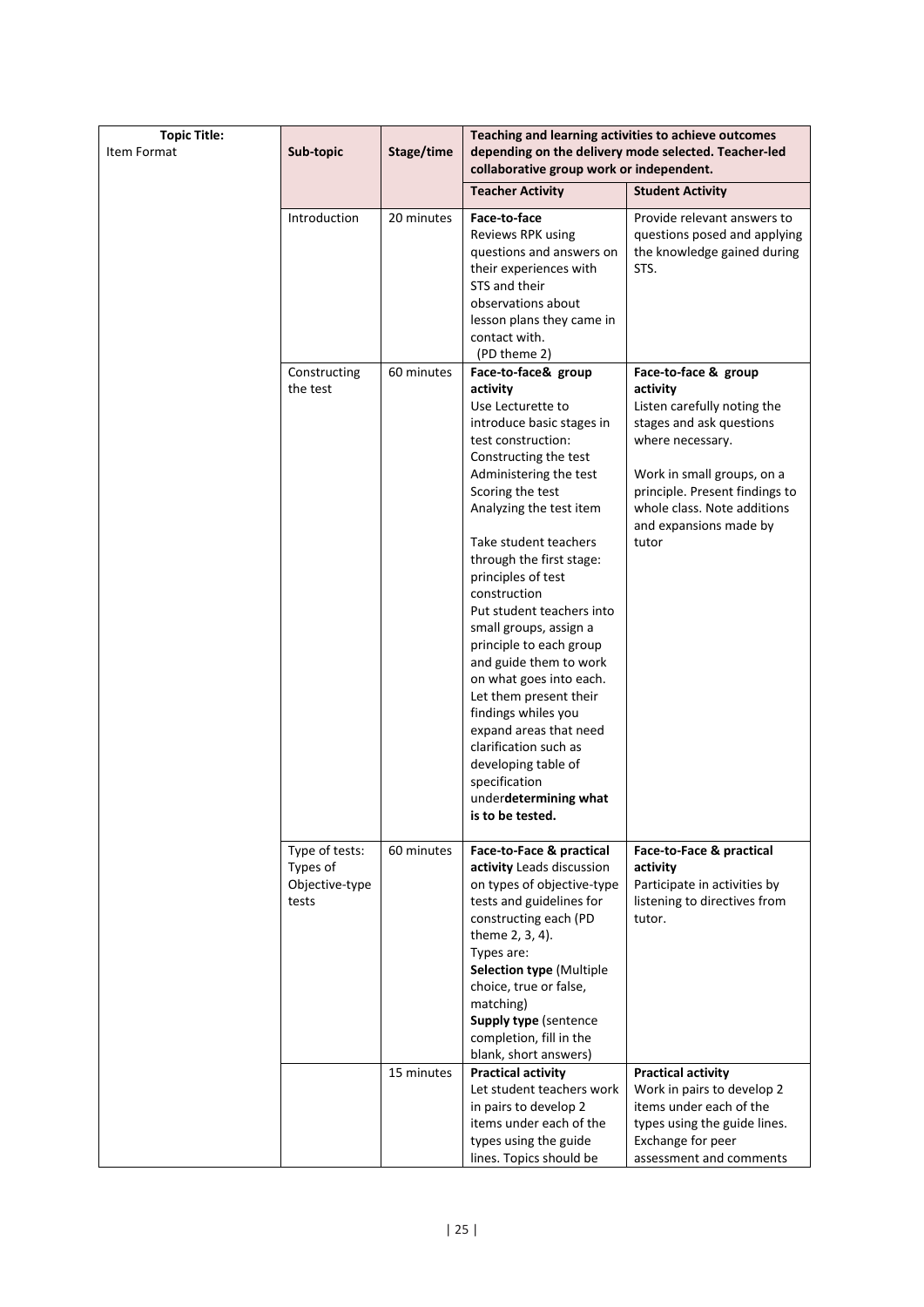| <b>Topic Title:</b> |                          |            | Teaching and learning activities to achieve outcomes                                                                                                        |                                                                                                    |  |  |
|---------------------|--------------------------|------------|-------------------------------------------------------------------------------------------------------------------------------------------------------------|----------------------------------------------------------------------------------------------------|--|--|
| Item Format         | Sub-topic                | Stage/time | depending on the delivery mode selected. Teacher-led<br>collaborative group work or independent.                                                            |                                                                                                    |  |  |
|                     |                          |            | <b>Teacher Activity</b>                                                                                                                                     | <b>Student Activity</b>                                                                            |  |  |
|                     | Introduction             | 20 minutes | Face-to-face<br>Reviews RPK using<br>questions and answers on<br>their experiences with<br>STS and their<br>observations about<br>lesson plans they came in | Provide relevant answers to<br>questions posed and applying<br>the knowledge gained during<br>STS. |  |  |
|                     |                          |            | contact with.                                                                                                                                               |                                                                                                    |  |  |
|                     |                          |            | (PD theme 2)                                                                                                                                                |                                                                                                    |  |  |
|                     | Constructing<br>the test | 60 minutes | Face-to-face& group                                                                                                                                         | Face-to-face & group<br>activity                                                                   |  |  |
|                     |                          |            | activity<br>Use Lecturette to                                                                                                                               | Listen carefully noting the                                                                        |  |  |
|                     |                          |            | introduce basic stages in                                                                                                                                   | stages and ask questions                                                                           |  |  |
|                     |                          |            | test construction:                                                                                                                                          | where necessary.                                                                                   |  |  |
|                     |                          |            | Constructing the test                                                                                                                                       |                                                                                                    |  |  |
|                     |                          |            | Administering the test<br>Scoring the test                                                                                                                  | Work in small groups, on a<br>principle. Present findings to                                       |  |  |
|                     |                          |            | Analyzing the test item                                                                                                                                     | whole class. Note additions<br>and expansions made by                                              |  |  |
|                     |                          |            | Take student teachers                                                                                                                                       | tutor                                                                                              |  |  |
|                     |                          |            | through the first stage:                                                                                                                                    |                                                                                                    |  |  |
|                     |                          |            | principles of test                                                                                                                                          |                                                                                                    |  |  |
|                     |                          |            | construction                                                                                                                                                |                                                                                                    |  |  |
|                     |                          |            | Put student teachers into                                                                                                                                   |                                                                                                    |  |  |
|                     |                          |            | small groups, assign a                                                                                                                                      |                                                                                                    |  |  |
|                     |                          |            | principle to each group<br>and guide them to work                                                                                                           |                                                                                                    |  |  |
|                     |                          |            | on what goes into each.                                                                                                                                     |                                                                                                    |  |  |
|                     |                          |            | Let them present their                                                                                                                                      |                                                                                                    |  |  |
|                     |                          |            | findings whiles you                                                                                                                                         |                                                                                                    |  |  |
|                     |                          |            | expand areas that need                                                                                                                                      |                                                                                                    |  |  |
|                     |                          |            | clarification such as                                                                                                                                       |                                                                                                    |  |  |
|                     |                          |            | developing table of                                                                                                                                         |                                                                                                    |  |  |
|                     |                          |            | specification                                                                                                                                               |                                                                                                    |  |  |
|                     |                          |            | underdetermining what                                                                                                                                       |                                                                                                    |  |  |
|                     |                          |            | is to be tested.                                                                                                                                            |                                                                                                    |  |  |
|                     | Type of tests:           | 60 minutes | Face-to-Face & practical                                                                                                                                    | Face-to-Face & practical                                                                           |  |  |
|                     | Types of                 |            | activity Leads discussion                                                                                                                                   | activity                                                                                           |  |  |
|                     | Objective-type           |            | on types of objective-type                                                                                                                                  | Participate in activities by                                                                       |  |  |
|                     | tests                    |            | tests and guidelines for                                                                                                                                    | listening to directives from                                                                       |  |  |
|                     |                          |            | constructing each (PD                                                                                                                                       | tutor.                                                                                             |  |  |
|                     |                          |            | theme 2, 3, 4).                                                                                                                                             |                                                                                                    |  |  |
|                     |                          |            | Types are:                                                                                                                                                  |                                                                                                    |  |  |
|                     |                          |            | <b>Selection type (Multiple</b><br>choice, true or false,                                                                                                   |                                                                                                    |  |  |
|                     |                          |            | matching)                                                                                                                                                   |                                                                                                    |  |  |
|                     |                          |            | Supply type (sentence                                                                                                                                       |                                                                                                    |  |  |
|                     |                          |            | completion, fill in the                                                                                                                                     |                                                                                                    |  |  |
|                     |                          |            | blank, short answers)                                                                                                                                       |                                                                                                    |  |  |
|                     |                          | 15 minutes | <b>Practical activity</b>                                                                                                                                   | <b>Practical activity</b>                                                                          |  |  |
|                     |                          |            | Let student teachers work                                                                                                                                   | Work in pairs to develop 2                                                                         |  |  |
|                     |                          |            | in pairs to develop 2                                                                                                                                       | items under each of the                                                                            |  |  |
|                     |                          |            | items under each of the                                                                                                                                     | types using the guide lines.                                                                       |  |  |
|                     |                          |            | types using the guide                                                                                                                                       | Exchange for peer                                                                                  |  |  |
|                     |                          |            | lines. Topics should be                                                                                                                                     | assessment and comments                                                                            |  |  |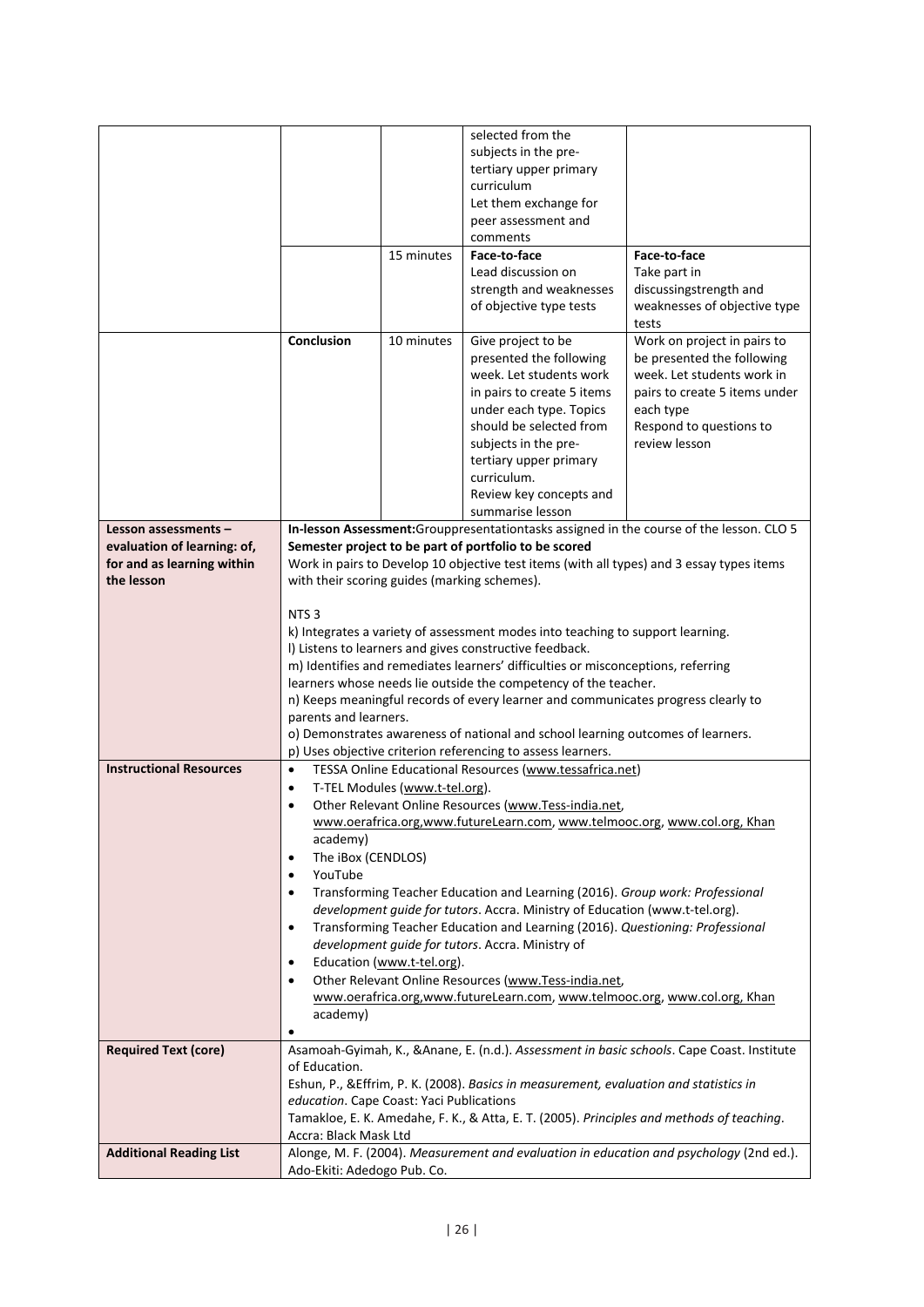|                                |                                              |                                | selected from the                                                                         |                                                                                            |  |
|--------------------------------|----------------------------------------------|--------------------------------|-------------------------------------------------------------------------------------------|--------------------------------------------------------------------------------------------|--|
|                                |                                              |                                | subjects in the pre-                                                                      |                                                                                            |  |
|                                |                                              |                                | tertiary upper primary                                                                    |                                                                                            |  |
|                                |                                              |                                | curriculum                                                                                |                                                                                            |  |
|                                |                                              |                                | Let them exchange for                                                                     |                                                                                            |  |
|                                |                                              |                                | peer assessment and                                                                       |                                                                                            |  |
|                                |                                              |                                | comments                                                                                  |                                                                                            |  |
|                                |                                              | 15 minutes                     | Face-to-face                                                                              | Face-to-face                                                                               |  |
|                                |                                              |                                | Lead discussion on                                                                        | Take part in                                                                               |  |
|                                |                                              |                                | strength and weaknesses                                                                   | discussingstrength and                                                                     |  |
|                                |                                              |                                | of objective type tests                                                                   | weaknesses of objective type                                                               |  |
|                                |                                              |                                |                                                                                           | tests                                                                                      |  |
|                                | Conclusion                                   | 10 minutes                     | Give project to be                                                                        | Work on project in pairs to                                                                |  |
|                                |                                              |                                | presented the following                                                                   | be presented the following                                                                 |  |
|                                |                                              |                                | week. Let students work                                                                   | week. Let students work in                                                                 |  |
|                                |                                              |                                | in pairs to create 5 items                                                                | pairs to create 5 items under                                                              |  |
|                                |                                              |                                | under each type. Topics                                                                   | each type                                                                                  |  |
|                                |                                              |                                | should be selected from                                                                   | Respond to questions to                                                                    |  |
|                                |                                              |                                | subjects in the pre-                                                                      | review lesson                                                                              |  |
|                                |                                              |                                | tertiary upper primary                                                                    |                                                                                            |  |
|                                |                                              |                                | curriculum.                                                                               |                                                                                            |  |
|                                |                                              |                                |                                                                                           |                                                                                            |  |
|                                |                                              |                                | Review key concepts and                                                                   |                                                                                            |  |
|                                |                                              |                                | summarise lesson                                                                          |                                                                                            |  |
| Lesson assessments -           |                                              |                                |                                                                                           | In-lesson Assessment: Grouppresentationtasks assigned in the course of the lesson. CLO 5   |  |
| evaluation of learning: of,    |                                              |                                | Semester project to be part of portfolio to be scored                                     |                                                                                            |  |
| for and as learning within     |                                              |                                | Work in pairs to Develop 10 objective test items (with all types) and 3 essay types items |                                                                                            |  |
| the lesson                     | with their scoring guides (marking schemes). |                                |                                                                                           |                                                                                            |  |
|                                | NTS <sub>3</sub>                             |                                |                                                                                           |                                                                                            |  |
|                                |                                              |                                |                                                                                           |                                                                                            |  |
|                                |                                              |                                | k) Integrates a variety of assessment modes into teaching to support learning.            |                                                                                            |  |
|                                |                                              |                                | I) Listens to learners and gives constructive feedback.                                   |                                                                                            |  |
|                                |                                              |                                | m) Identifies and remediates learners' difficulties or misconceptions, referring          |                                                                                            |  |
|                                |                                              |                                | learners whose needs lie outside the competency of the teacher.                           |                                                                                            |  |
|                                |                                              |                                | n) Keeps meaningful records of every learner and communicates progress clearly to         |                                                                                            |  |
|                                | parents and learners.                        |                                |                                                                                           |                                                                                            |  |
|                                |                                              |                                | o) Demonstrates awareness of national and school learning outcomes of learners.           |                                                                                            |  |
| <b>Instructional Resources</b> |                                              |                                | p) Uses objective criterion referencing to assess learners.                               |                                                                                            |  |
|                                | $\bullet$                                    |                                | TESSA Online Educational Resources (www.tessafrica.net)                                   |                                                                                            |  |
|                                | $\bullet$                                    | T-TEL Modules (www.t-tel.org). |                                                                                           |                                                                                            |  |
|                                | $\bullet$                                    |                                | Other Relevant Online Resources (www.Tess-india.net,                                      |                                                                                            |  |
|                                |                                              |                                | www.oerafrica.org,www.futureLearn.com, www.telmooc.org, www.col.org, Khan                 |                                                                                            |  |
|                                | academy)                                     |                                |                                                                                           |                                                                                            |  |
|                                | The iBox (CENDLOS)<br>٠                      |                                |                                                                                           |                                                                                            |  |
|                                | YouTube<br>٠                                 |                                |                                                                                           |                                                                                            |  |
|                                | ٠                                            |                                | Transforming Teacher Education and Learning (2016). Group work: Professional              |                                                                                            |  |
|                                |                                              |                                | development guide for tutors. Accra. Ministry of Education (www.t-tel.org).               |                                                                                            |  |
|                                | $\bullet$                                    |                                | Transforming Teacher Education and Learning (2016). Questioning: Professional             |                                                                                            |  |
|                                |                                              |                                | development guide for tutors. Accra. Ministry of                                          |                                                                                            |  |
|                                | $\bullet$                                    | Education (www.t-tel.org).     |                                                                                           |                                                                                            |  |
|                                | $\bullet$                                    |                                | Other Relevant Online Resources (www.Tess-india.net,                                      |                                                                                            |  |
|                                |                                              |                                | www.oerafrica.org,www.futureLearn.com, www.telmooc.org, www.col.org, Khan                 |                                                                                            |  |
|                                | academy)                                     |                                |                                                                                           |                                                                                            |  |
|                                | $\bullet$                                    |                                |                                                                                           |                                                                                            |  |
| <b>Required Text (core)</b>    |                                              |                                |                                                                                           | Asamoah-Gyimah, K., & Anane, E. (n.d.). Assessment in basic schools. Cape Coast. Institute |  |
|                                | of Education.                                |                                |                                                                                           |                                                                                            |  |
|                                |                                              |                                | Eshun, P., & Effrim, P. K. (2008). Basics in measurement, evaluation and statistics in    |                                                                                            |  |
|                                | education. Cape Coast: Yaci Publications     |                                |                                                                                           |                                                                                            |  |
|                                |                                              |                                | Tamakloe, E. K. Amedahe, F. K., & Atta, E. T. (2005). Principles and methods of teaching. |                                                                                            |  |
|                                | Accra: Black Mask Ltd                        |                                |                                                                                           |                                                                                            |  |
| <b>Additional Reading List</b> |                                              |                                |                                                                                           | Alonge, M. F. (2004). Measurement and evaluation in education and psychology (2nd ed.).    |  |
|                                | Ado-Ekiti: Adedogo Pub. Co.                  |                                |                                                                                           |                                                                                            |  |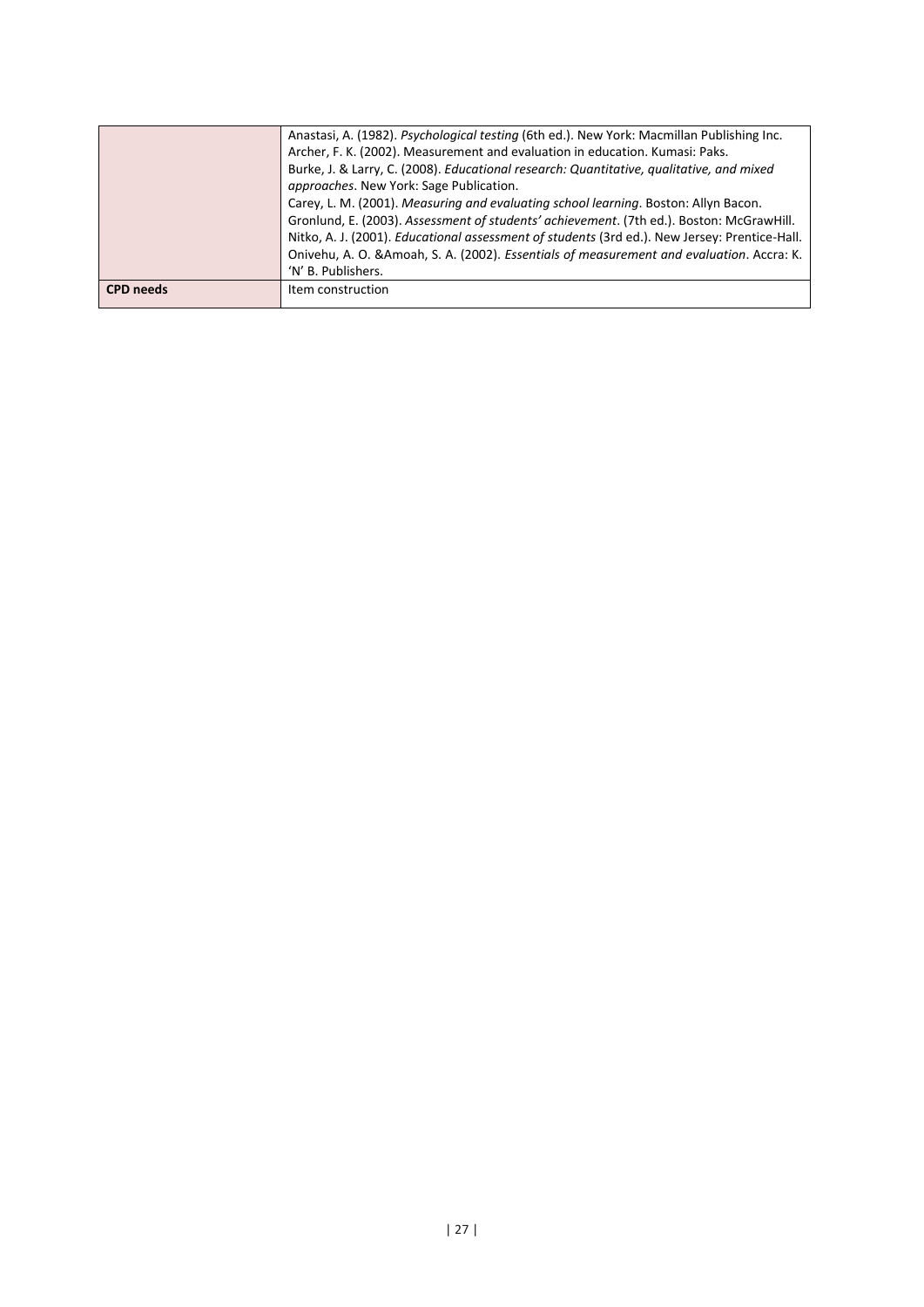|                  | Anastasi, A. (1982). <i>Psychological testing</i> (6th ed.). New York: Macmillan Publishing Inc. |
|------------------|--------------------------------------------------------------------------------------------------|
|                  | Archer, F. K. (2002). Measurement and evaluation in education. Kumasi: Paks.                     |
|                  | Burke, J. & Larry, C. (2008). Educational research: Quantitative, qualitative, and mixed         |
|                  | <i>approaches.</i> New York: Sage Publication.                                                   |
|                  | Carey, L. M. (2001). Measuring and evaluating school learning. Boston: Allyn Bacon.              |
|                  | Gronlund, E. (2003). Assessment of students' achievement. (7th ed.). Boston: McGrawHill.         |
|                  | Nitko, A. J. (2001). Educational assessment of students (3rd ed.). New Jersey: Prentice-Hall.    |
|                  | Onivehu, A. O. & Amoah, S. A. (2002). Essentials of measurement and evaluation. Accra: K.        |
|                  | 'N' B. Publishers.                                                                               |
| <b>CPD</b> needs | Item construction                                                                                |
|                  |                                                                                                  |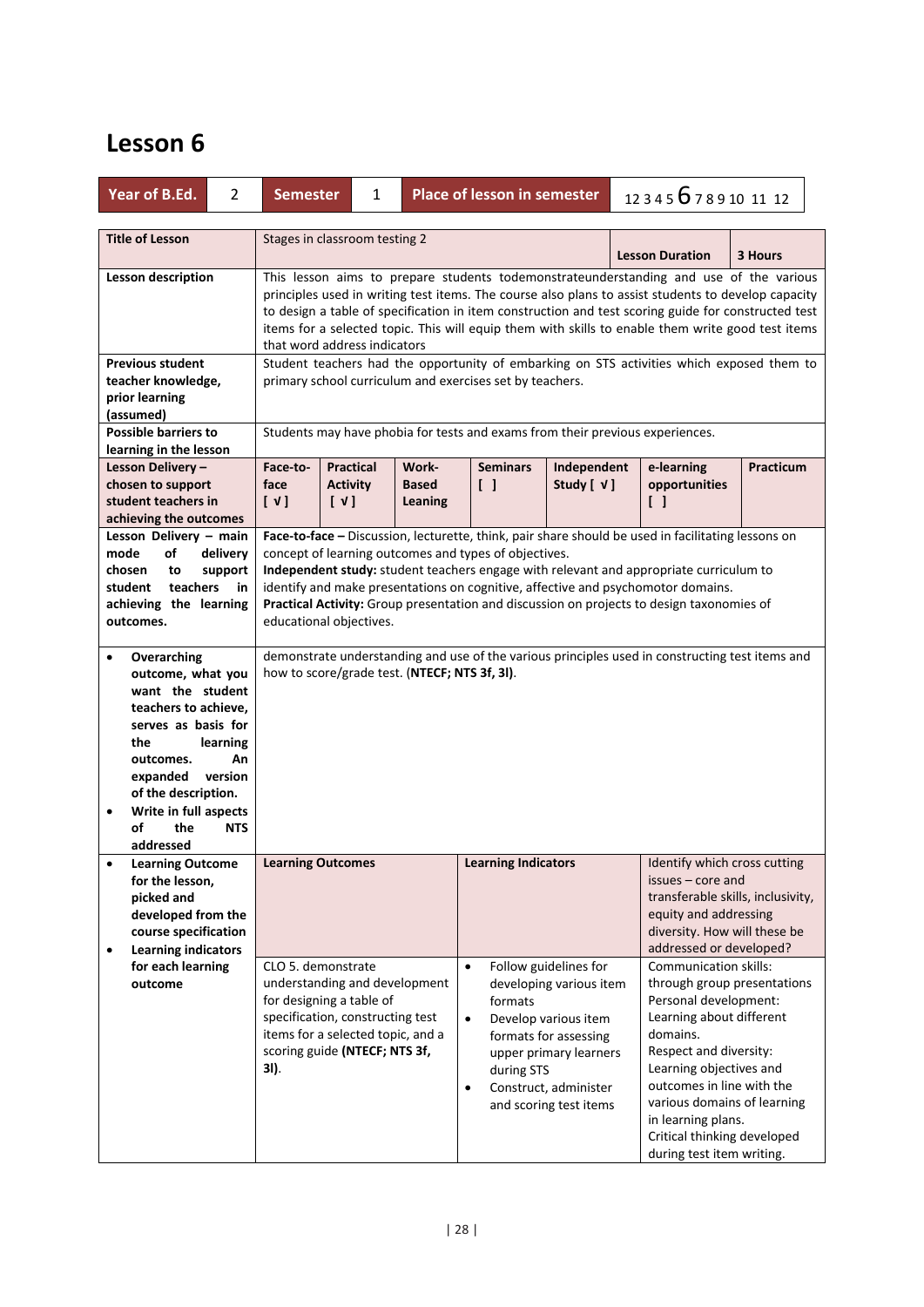| Year of B.Ed.<br>$\overline{2}$                                                                                                                                                                                                                                       | <b>Semester</b>                                                                                                                                                                                                                                                                                                                                                                                                                           | 1                                                                                                                                                                                                                                                                                                                                                                                                                                                                 |                | Place of lesson in semester                                  |                                                                                                                                                                                | 123456789101112                                                                                                                                                                                                                                                                                                          |                                   |  |
|-----------------------------------------------------------------------------------------------------------------------------------------------------------------------------------------------------------------------------------------------------------------------|-------------------------------------------------------------------------------------------------------------------------------------------------------------------------------------------------------------------------------------------------------------------------------------------------------------------------------------------------------------------------------------------------------------------------------------------|-------------------------------------------------------------------------------------------------------------------------------------------------------------------------------------------------------------------------------------------------------------------------------------------------------------------------------------------------------------------------------------------------------------------------------------------------------------------|----------------|--------------------------------------------------------------|--------------------------------------------------------------------------------------------------------------------------------------------------------------------------------|--------------------------------------------------------------------------------------------------------------------------------------------------------------------------------------------------------------------------------------------------------------------------------------------------------------------------|-----------------------------------|--|
| <b>Title of Lesson</b>                                                                                                                                                                                                                                                | Stages in classroom testing 2                                                                                                                                                                                                                                                                                                                                                                                                             |                                                                                                                                                                                                                                                                                                                                                                                                                                                                   |                |                                                              |                                                                                                                                                                                | <b>Lesson Duration</b>                                                                                                                                                                                                                                                                                                   | 3 Hours                           |  |
| <b>Lesson description</b>                                                                                                                                                                                                                                             | This lesson aims to prepare students todemonstrateunderstanding and use of the various<br>principles used in writing test items. The course also plans to assist students to develop capacity<br>to design a table of specification in item construction and test scoring guide for constructed test<br>items for a selected topic. This will equip them with skills to enable them write good test items<br>that word address indicators |                                                                                                                                                                                                                                                                                                                                                                                                                                                                   |                |                                                              |                                                                                                                                                                                |                                                                                                                                                                                                                                                                                                                          |                                   |  |
| <b>Previous student</b><br>teacher knowledge,<br>prior learning<br>(assumed)<br><b>Possible barriers to</b>                                                                                                                                                           |                                                                                                                                                                                                                                                                                                                                                                                                                                           | Student teachers had the opportunity of embarking on STS activities which exposed them to<br>primary school curriculum and exercises set by teachers.<br>Students may have phobia for tests and exams from their previous experiences.                                                                                                                                                                                                                            |                |                                                              |                                                                                                                                                                                |                                                                                                                                                                                                                                                                                                                          |                                   |  |
| learning in the lesson<br>Lesson Delivery -<br>chosen to support<br>student teachers in<br>achieving the outcomes                                                                                                                                                     | Face-to-<br>face<br>$\begin{bmatrix} \vee \end{bmatrix}$<br>[V]                                                                                                                                                                                                                                                                                                                                                                           | <b>Practical</b><br>Work-<br><b>Activity</b><br><b>Based</b>                                                                                                                                                                                                                                                                                                                                                                                                      | <b>Leaning</b> | <b>Seminars</b><br>$\begin{bmatrix} \end{bmatrix}$           | Independent<br>Study [ √ ]                                                                                                                                                     | e-learning<br>opportunities<br>$\Box$                                                                                                                                                                                                                                                                                    | Practicum                         |  |
| Lesson Delivery - main<br>mode<br>of<br>delivery<br>chosen<br>to<br>support<br>teachers<br>student<br>in<br>achieving the learning<br>outcomes.                                                                                                                       |                                                                                                                                                                                                                                                                                                                                                                                                                                           | Face-to-face - Discussion, lecturette, think, pair share should be used in facilitating lessons on<br>concept of learning outcomes and types of objectives.<br>Independent study: student teachers engage with relevant and appropriate curriculum to<br>identify and make presentations on cognitive, affective and psychomotor domains.<br>Practical Activity: Group presentation and discussion on projects to design taxonomies of<br>educational objectives. |                |                                                              |                                                                                                                                                                                |                                                                                                                                                                                                                                                                                                                          |                                   |  |
| Overarching<br>$\bullet$<br>outcome, what you<br>want the student<br>teachers to achieve,<br>serves as basis for<br>the<br>learning<br>outcomes.<br>An<br>version<br>expanded<br>of the description.<br>Write in full aspects<br>of<br>the<br><b>NTS</b><br>addressed | demonstrate understanding and use of the various principles used in constructing test items and<br>how to score/grade test. (NTECF; NTS 3f, 3l).                                                                                                                                                                                                                                                                                          |                                                                                                                                                                                                                                                                                                                                                                                                                                                                   |                |                                                              |                                                                                                                                                                                |                                                                                                                                                                                                                                                                                                                          |                                   |  |
| <b>Learning Outcome</b><br>$\bullet$<br>for the lesson,<br>picked and<br>developed from the<br>course specification<br><b>Learning indicators</b><br>$\bullet$                                                                                                        | <b>Learning Outcomes</b>                                                                                                                                                                                                                                                                                                                                                                                                                  |                                                                                                                                                                                                                                                                                                                                                                                                                                                                   |                | <b>Learning Indicators</b>                                   |                                                                                                                                                                                | Identify which cross cutting<br>issues – core and<br>equity and addressing<br>diversity. How will these be<br>addressed or developed?                                                                                                                                                                                    | transferable skills, inclusivity, |  |
| for each learning<br>outcome                                                                                                                                                                                                                                          | CLO 5. demonstrate<br>understanding and development<br>for designing a table of<br>specification, constructing test<br>items for a selected topic, and a<br>scoring guide (NTECF; NTS 3f,<br>3I).                                                                                                                                                                                                                                         |                                                                                                                                                                                                                                                                                                                                                                                                                                                                   |                | $\bullet$<br>formats<br>$\bullet$<br>during STS<br>$\bullet$ | Follow guidelines for<br>developing various item<br>Develop various item<br>formats for assessing<br>upper primary learners<br>Construct, administer<br>and scoring test items | Communication skills:<br>through group presentations<br>Personal development:<br>Learning about different<br>domains.<br>Respect and diversity:<br>Learning objectives and<br>outcomes in line with the<br>various domains of learning<br>in learning plans.<br>Critical thinking developed<br>during test item writing. |                                   |  |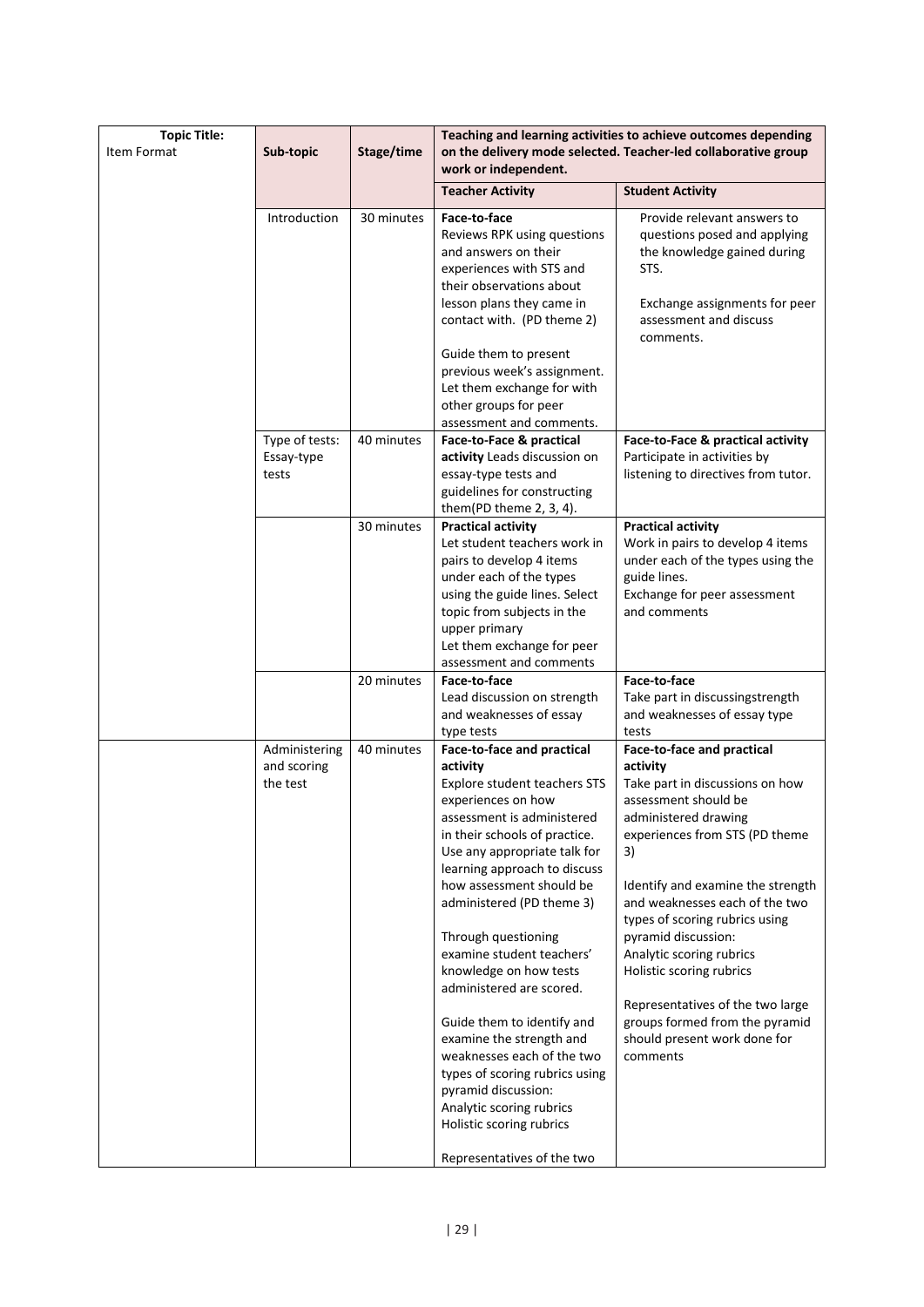| <b>Topic Title:</b> |                                       |            |                                                                                                                                                                                                                                                                                                                                                                  | Teaching and learning activities to achieve outcomes depending                                                                                                                                                                                                                                                              |
|---------------------|---------------------------------------|------------|------------------------------------------------------------------------------------------------------------------------------------------------------------------------------------------------------------------------------------------------------------------------------------------------------------------------------------------------------------------|-----------------------------------------------------------------------------------------------------------------------------------------------------------------------------------------------------------------------------------------------------------------------------------------------------------------------------|
| Item Format         | Sub-topic                             | Stage/time | work or independent.                                                                                                                                                                                                                                                                                                                                             | on the delivery mode selected. Teacher-led collaborative group                                                                                                                                                                                                                                                              |
|                     |                                       |            | <b>Teacher Activity</b>                                                                                                                                                                                                                                                                                                                                          | <b>Student Activity</b>                                                                                                                                                                                                                                                                                                     |
|                     | Introduction                          | 30 minutes | Face-to-face<br>Reviews RPK using questions<br>and answers on their<br>experiences with STS and<br>their observations about<br>lesson plans they came in<br>contact with. (PD theme 2)<br>Guide them to present<br>previous week's assignment.                                                                                                                   | Provide relevant answers to<br>questions posed and applying<br>the knowledge gained during<br>STS.<br>Exchange assignments for peer<br>assessment and discuss<br>comments.                                                                                                                                                  |
|                     |                                       |            | Let them exchange for with<br>other groups for peer                                                                                                                                                                                                                                                                                                              |                                                                                                                                                                                                                                                                                                                             |
|                     |                                       |            | assessment and comments.                                                                                                                                                                                                                                                                                                                                         |                                                                                                                                                                                                                                                                                                                             |
|                     | Type of tests:<br>Essay-type<br>tests | 40 minutes | Face-to-Face & practical<br>activity Leads discussion on<br>essay-type tests and<br>guidelines for constructing<br>them(PD theme $2, 3, 4$ ).                                                                                                                                                                                                                    | Face-to-Face & practical activity<br>Participate in activities by<br>listening to directives from tutor.                                                                                                                                                                                                                    |
|                     |                                       | 30 minutes | <b>Practical activity</b><br>Let student teachers work in<br>pairs to develop 4 items<br>under each of the types<br>using the guide lines. Select<br>topic from subjects in the<br>upper primary<br>Let them exchange for peer<br>assessment and comments                                                                                                        | <b>Practical activity</b><br>Work in pairs to develop 4 items<br>under each of the types using the<br>guide lines.<br>Exchange for peer assessment<br>and comments                                                                                                                                                          |
|                     |                                       | 20 minutes | Face-to-face                                                                                                                                                                                                                                                                                                                                                     | Face-to-face                                                                                                                                                                                                                                                                                                                |
|                     |                                       |            | Lead discussion on strength<br>and weaknesses of essay<br>type tests                                                                                                                                                                                                                                                                                             | Take part in discussingstrength<br>and weaknesses of essay type<br>tests                                                                                                                                                                                                                                                    |
|                     | Administering                         | 40 minutes | Face-to-face and practical                                                                                                                                                                                                                                                                                                                                       | Face-to-face and practical                                                                                                                                                                                                                                                                                                  |
|                     | and scoring<br>the test               |            | activity<br>Explore student teachers STS<br>experiences on how<br>assessment is administered<br>in their schools of practice.<br>Use any appropriate talk for<br>learning approach to discuss<br>how assessment should be<br>administered (PD theme 3)<br>Through questioning<br>examine student teachers'<br>knowledge on how tests<br>administered are scored. | activity<br>Take part in discussions on how<br>assessment should be<br>administered drawing<br>experiences from STS (PD theme<br>3)<br>Identify and examine the strength<br>and weaknesses each of the two<br>types of scoring rubrics using<br>pyramid discussion:<br>Analytic scoring rubrics<br>Holistic scoring rubrics |
|                     |                                       |            | Guide them to identify and<br>examine the strength and<br>weaknesses each of the two<br>types of scoring rubrics using<br>pyramid discussion:<br>Analytic scoring rubrics<br>Holistic scoring rubrics<br>Representatives of the two                                                                                                                              | Representatives of the two large<br>groups formed from the pyramid<br>should present work done for<br>comments                                                                                                                                                                                                              |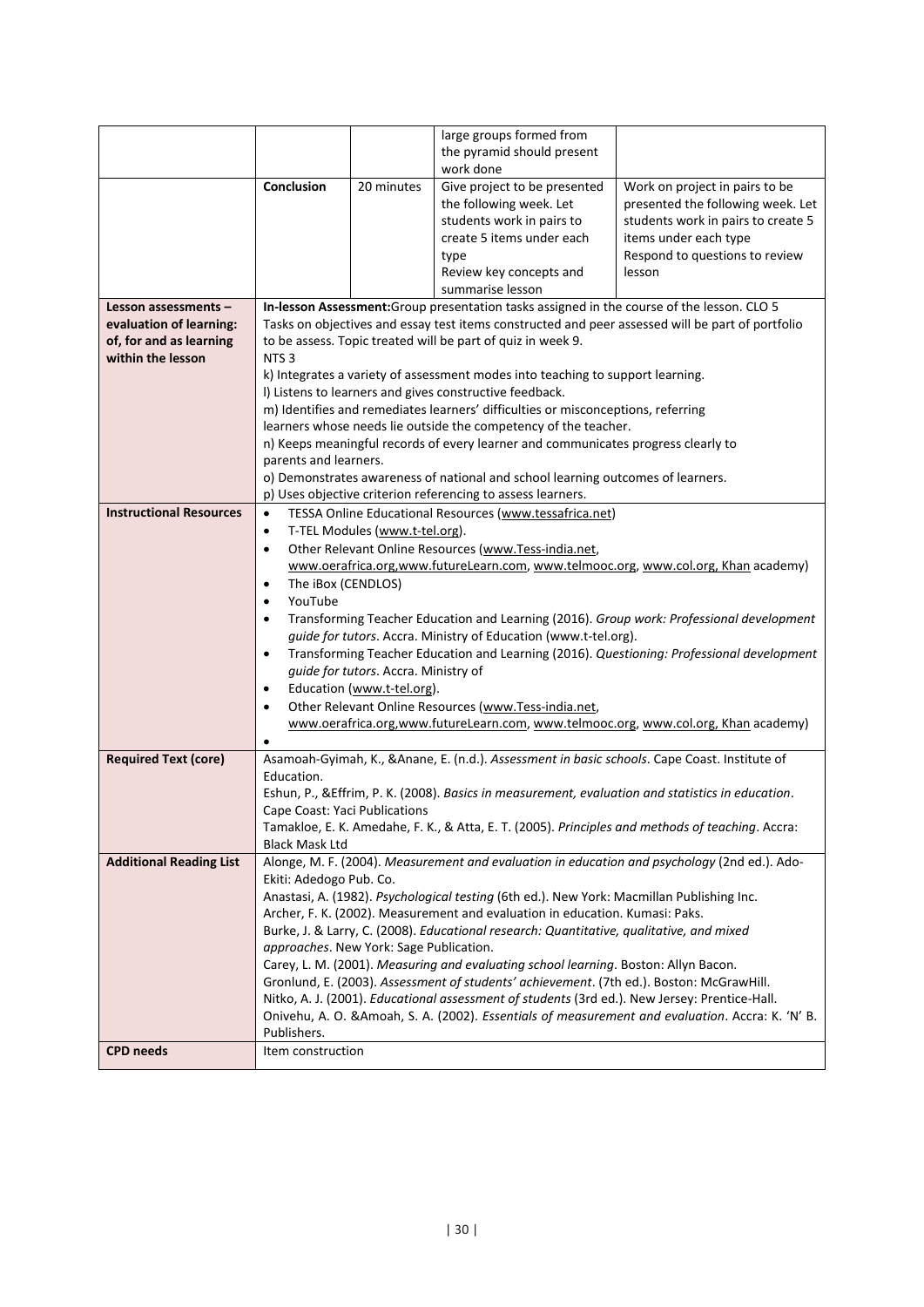|                                |                                                                                    |                                                                                                            | large groups formed from                                                                          |                                                                                                  |  |  |  |  |  |
|--------------------------------|------------------------------------------------------------------------------------|------------------------------------------------------------------------------------------------------------|---------------------------------------------------------------------------------------------------|--------------------------------------------------------------------------------------------------|--|--|--|--|--|
|                                |                                                                                    |                                                                                                            | the pyramid should present                                                                        |                                                                                                  |  |  |  |  |  |
|                                |                                                                                    |                                                                                                            | work done                                                                                         |                                                                                                  |  |  |  |  |  |
|                                | Conclusion                                                                         | 20 minutes                                                                                                 | Give project to be presented                                                                      | Work on project in pairs to be                                                                   |  |  |  |  |  |
|                                |                                                                                    |                                                                                                            | the following week. Let                                                                           | presented the following week. Let                                                                |  |  |  |  |  |
|                                |                                                                                    |                                                                                                            | students work in pairs to                                                                         | students work in pairs to create 5                                                               |  |  |  |  |  |
|                                |                                                                                    |                                                                                                            | create 5 items under each                                                                         | items under each type                                                                            |  |  |  |  |  |
|                                |                                                                                    |                                                                                                            |                                                                                                   |                                                                                                  |  |  |  |  |  |
|                                |                                                                                    |                                                                                                            | type                                                                                              | Respond to questions to review                                                                   |  |  |  |  |  |
|                                |                                                                                    |                                                                                                            | Review key concepts and                                                                           | lesson                                                                                           |  |  |  |  |  |
|                                |                                                                                    |                                                                                                            | summarise lesson                                                                                  |                                                                                                  |  |  |  |  |  |
| Lesson assessments -           |                                                                                    |                                                                                                            | In-lesson Assessment: Group presentation tasks assigned in the course of the lesson. CLO 5        |                                                                                                  |  |  |  |  |  |
| evaluation of learning:        |                                                                                    |                                                                                                            |                                                                                                   | Tasks on objectives and essay test items constructed and peer assessed will be part of portfolio |  |  |  |  |  |
| of, for and as learning        |                                                                                    |                                                                                                            | to be assess. Topic treated will be part of quiz in week 9.                                       |                                                                                                  |  |  |  |  |  |
| within the lesson              | NTS <sub>3</sub>                                                                   |                                                                                                            |                                                                                                   |                                                                                                  |  |  |  |  |  |
|                                |                                                                                    |                                                                                                            | k) Integrates a variety of assessment modes into teaching to support learning.                    |                                                                                                  |  |  |  |  |  |
|                                |                                                                                    |                                                                                                            | I) Listens to learners and gives constructive feedback.                                           |                                                                                                  |  |  |  |  |  |
|                                |                                                                                    |                                                                                                            | m) Identifies and remediates learners' difficulties or misconceptions, referring                  |                                                                                                  |  |  |  |  |  |
|                                |                                                                                    |                                                                                                            | learners whose needs lie outside the competency of the teacher.                                   |                                                                                                  |  |  |  |  |  |
|                                |                                                                                    | n) Keeps meaningful records of every learner and communicates progress clearly to<br>parents and learners. |                                                                                                   |                                                                                                  |  |  |  |  |  |
|                                |                                                                                    | o) Demonstrates awareness of national and school learning outcomes of learners.                            |                                                                                                   |                                                                                                  |  |  |  |  |  |
|                                |                                                                                    | p) Uses objective criterion referencing to assess learners.                                                |                                                                                                   |                                                                                                  |  |  |  |  |  |
|                                |                                                                                    | TESSA Online Educational Resources (www.tessafrica.net)                                                    |                                                                                                   |                                                                                                  |  |  |  |  |  |
| <b>Instructional Resources</b> | $\bullet$                                                                          |                                                                                                            |                                                                                                   |                                                                                                  |  |  |  |  |  |
|                                | T-TEL Modules (www.t-tel.org).<br>$\bullet$                                        |                                                                                                            |                                                                                                   |                                                                                                  |  |  |  |  |  |
|                                | Other Relevant Online Resources (www.Tess-india.net,<br>$\bullet$                  |                                                                                                            |                                                                                                   |                                                                                                  |  |  |  |  |  |
|                                | www.oerafrica.org,www.futureLearn.com, www.telmooc.org, www.col.org, Khan academy) |                                                                                                            |                                                                                                   |                                                                                                  |  |  |  |  |  |
|                                | The iBox (CENDLOS)<br>٠                                                            |                                                                                                            |                                                                                                   |                                                                                                  |  |  |  |  |  |
|                                | YouTube<br>$\bullet$                                                               |                                                                                                            |                                                                                                   |                                                                                                  |  |  |  |  |  |
|                                | $\bullet$                                                                          |                                                                                                            |                                                                                                   | Transforming Teacher Education and Learning (2016). Group work: Professional development         |  |  |  |  |  |
|                                |                                                                                    |                                                                                                            | guide for tutors. Accra. Ministry of Education (www.t-tel.org).                                   |                                                                                                  |  |  |  |  |  |
|                                | $\bullet$                                                                          |                                                                                                            |                                                                                                   | Transforming Teacher Education and Learning (2016). Questioning: Professional development        |  |  |  |  |  |
|                                |                                                                                    | guide for tutors. Accra. Ministry of                                                                       |                                                                                                   |                                                                                                  |  |  |  |  |  |
|                                | $\bullet$                                                                          | Education (www.t-tel.org).                                                                                 |                                                                                                   |                                                                                                  |  |  |  |  |  |
|                                | $\bullet$                                                                          |                                                                                                            | Other Relevant Online Resources (www.Tess-india.net,                                              |                                                                                                  |  |  |  |  |  |
|                                |                                                                                    | www.oerafrica.org,www.futureLearn.com, www.telmooc.org, www.col.org, Khan academy)                         |                                                                                                   |                                                                                                  |  |  |  |  |  |
|                                |                                                                                    |                                                                                                            |                                                                                                   |                                                                                                  |  |  |  |  |  |
| <b>Required Text (core)</b>    |                                                                                    |                                                                                                            | Asamoah-Gyimah, K., & Anane, E. (n.d.). Assessment in basic schools. Cape Coast. Institute of     |                                                                                                  |  |  |  |  |  |
|                                | Education.                                                                         |                                                                                                            |                                                                                                   |                                                                                                  |  |  |  |  |  |
|                                |                                                                                    |                                                                                                            | Eshun, P., & Effrim, P. K. (2008). Basics in measurement, evaluation and statistics in education. |                                                                                                  |  |  |  |  |  |
|                                | Cape Coast: Yaci Publications                                                      |                                                                                                            |                                                                                                   |                                                                                                  |  |  |  |  |  |
|                                |                                                                                    |                                                                                                            |                                                                                                   | Tamakloe, E. K. Amedahe, F. K., & Atta, E. T. (2005). Principles and methods of teaching. Accra: |  |  |  |  |  |
|                                | <b>Black Mask Ltd</b>                                                              |                                                                                                            |                                                                                                   |                                                                                                  |  |  |  |  |  |
| <b>Additional Reading List</b> |                                                                                    |                                                                                                            |                                                                                                   | Alonge, M. F. (2004). Measurement and evaluation in education and psychology (2nd ed.). Ado-     |  |  |  |  |  |
|                                | Ekiti: Adedogo Pub. Co.                                                            |                                                                                                            |                                                                                                   |                                                                                                  |  |  |  |  |  |
|                                |                                                                                    |                                                                                                            | Anastasi, A. (1982). Psychological testing (6th ed.). New York: Macmillan Publishing Inc.         |                                                                                                  |  |  |  |  |  |
|                                |                                                                                    |                                                                                                            | Archer, F. K. (2002). Measurement and evaluation in education. Kumasi: Paks.                      |                                                                                                  |  |  |  |  |  |
|                                |                                                                                    |                                                                                                            | Burke, J. & Larry, C. (2008). Educational research: Quantitative, qualitative, and mixed          |                                                                                                  |  |  |  |  |  |
|                                | approaches. New York: Sage Publication.                                            |                                                                                                            |                                                                                                   |                                                                                                  |  |  |  |  |  |
|                                |                                                                                    |                                                                                                            | Carey, L. M. (2001). Measuring and evaluating school learning. Boston: Allyn Bacon.               |                                                                                                  |  |  |  |  |  |
|                                |                                                                                    |                                                                                                            | Gronlund, E. (2003). Assessment of students' achievement. (7th ed.). Boston: McGrawHill.          |                                                                                                  |  |  |  |  |  |
|                                |                                                                                    |                                                                                                            | Nitko, A. J. (2001). Educational assessment of students (3rd ed.). New Jersey: Prentice-Hall.     |                                                                                                  |  |  |  |  |  |
|                                |                                                                                    |                                                                                                            |                                                                                                   | Onivehu, A. O. & Amoah, S. A. (2002). Essentials of measurement and evaluation. Accra: K. 'N' B. |  |  |  |  |  |
|                                | Publishers.                                                                        |                                                                                                            |                                                                                                   |                                                                                                  |  |  |  |  |  |
| <b>CPD</b> needs               | Item construction                                                                  |                                                                                                            |                                                                                                   |                                                                                                  |  |  |  |  |  |
|                                |                                                                                    |                                                                                                            |                                                                                                   |                                                                                                  |  |  |  |  |  |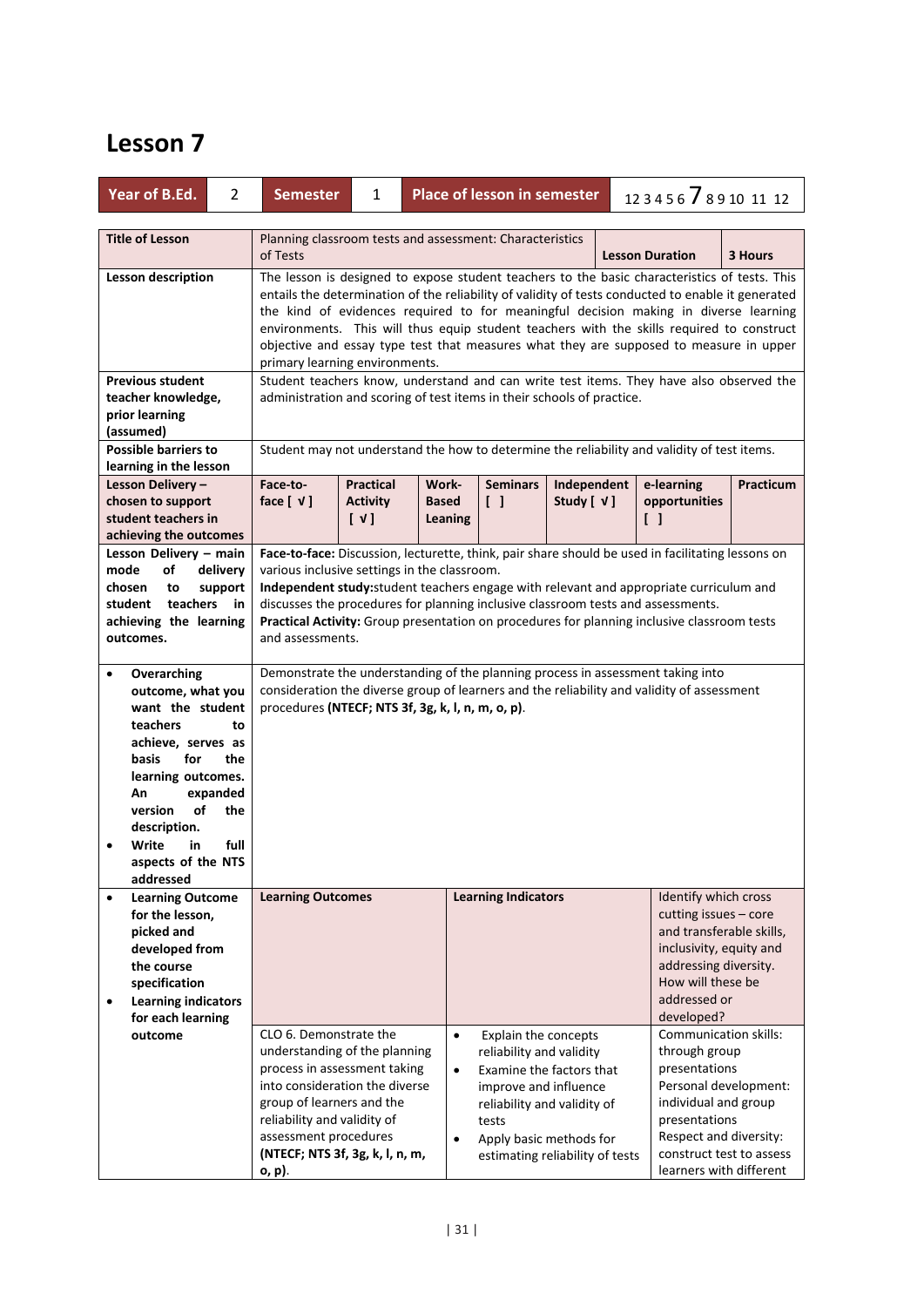| Year of B.Ed.<br>$\overline{2}$                                                                                                                                                                                                                                                         | <b>Place of lesson in semester</b><br>123456 78910 11 12<br><b>Semester</b><br>1                                                                                                                                                                                                                                                                                                                                                                    |                                                                                                                                                                                                                                                                                                                                                                                                                                                                                                                      |                                     |                                                                                    |                                                                                                                       |                                                                                                                                                                                                                   |  |  |  |  |  |
|-----------------------------------------------------------------------------------------------------------------------------------------------------------------------------------------------------------------------------------------------------------------------------------------|-----------------------------------------------------------------------------------------------------------------------------------------------------------------------------------------------------------------------------------------------------------------------------------------------------------------------------------------------------------------------------------------------------------------------------------------------------|----------------------------------------------------------------------------------------------------------------------------------------------------------------------------------------------------------------------------------------------------------------------------------------------------------------------------------------------------------------------------------------------------------------------------------------------------------------------------------------------------------------------|-------------------------------------|------------------------------------------------------------------------------------|-----------------------------------------------------------------------------------------------------------------------|-------------------------------------------------------------------------------------------------------------------------------------------------------------------------------------------------------------------|--|--|--|--|--|
| <b>Title of Lesson</b>                                                                                                                                                                                                                                                                  | Planning classroom tests and assessment: Characteristics<br>of Tests<br><b>Lesson Duration</b><br>3 Hours                                                                                                                                                                                                                                                                                                                                           |                                                                                                                                                                                                                                                                                                                                                                                                                                                                                                                      |                                     |                                                                                    |                                                                                                                       |                                                                                                                                                                                                                   |  |  |  |  |  |
| <b>Lesson description</b>                                                                                                                                                                                                                                                               |                                                                                                                                                                                                                                                                                                                                                                                                                                                     | The lesson is designed to expose student teachers to the basic characteristics of tests. This<br>entails the determination of the reliability of validity of tests conducted to enable it generated<br>the kind of evidences required to for meaningful decision making in diverse learning<br>environments. This will thus equip student teachers with the skills required to construct<br>objective and essay type test that measures what they are supposed to measure in upper<br>primary learning environments. |                                     |                                                                                    |                                                                                                                       |                                                                                                                                                                                                                   |  |  |  |  |  |
| <b>Previous student</b><br>teacher knowledge,<br>prior learning<br>(assumed)                                                                                                                                                                                                            |                                                                                                                                                                                                                                                                                                                                                                                                                                                     | Student teachers know, understand and can write test items. They have also observed the<br>administration and scoring of test items in their schools of practice.<br>Student may not understand the how to determine the reliability and validity of test items.                                                                                                                                                                                                                                                     |                                     |                                                                                    |                                                                                                                       |                                                                                                                                                                                                                   |  |  |  |  |  |
| <b>Possible barriers to</b><br>learning in the lesson                                                                                                                                                                                                                                   |                                                                                                                                                                                                                                                                                                                                                                                                                                                     |                                                                                                                                                                                                                                                                                                                                                                                                                                                                                                                      |                                     |                                                                                    |                                                                                                                       |                                                                                                                                                                                                                   |  |  |  |  |  |
| Lesson Delivery-<br>chosen to support<br>student teachers in<br>achieving the outcomes                                                                                                                                                                                                  | <b>Practical</b><br>Work-<br><b>Seminars</b><br>e-learning<br>Practicum<br>Face-to-<br>Independent<br>face $[\forall]$<br><b>Activity</b><br><b>Based</b><br>$\begin{bmatrix} \end{bmatrix}$<br>Study $[ \forall ]$<br>opportunities<br>[V]<br>$\begin{smallmatrix} \end{smallmatrix}$<br>Leaning                                                                                                                                                   |                                                                                                                                                                                                                                                                                                                                                                                                                                                                                                                      |                                     |                                                                                    |                                                                                                                       |                                                                                                                                                                                                                   |  |  |  |  |  |
| Lesson Delivery - main<br>mode<br>of<br>delivery<br>chosen<br>support<br>to<br>teachers in<br>student<br>achieving the learning<br>outcomes.                                                                                                                                            | Face-to-face: Discussion, lecturette, think, pair share should be used in facilitating lessons on<br>various inclusive settings in the classroom.<br>Independent study: student teachers engage with relevant and appropriate curriculum and<br>discusses the procedures for planning inclusive classroom tests and assessments.<br>Practical Activity: Group presentation on procedures for planning inclusive classroom tests<br>and assessments. |                                                                                                                                                                                                                                                                                                                                                                                                                                                                                                                      |                                     |                                                                                    |                                                                                                                       |                                                                                                                                                                                                                   |  |  |  |  |  |
| Overarching<br>$\bullet$<br>outcome, what you<br>want the student<br>teachers<br>to<br>achieve, serves as<br>basis<br>for<br>the<br>learning outcomes.<br>expanded<br>An<br>of<br>version<br>the<br>description.<br>Write<br>full<br>in<br>$\bullet$<br>aspects of the NTS<br>addressed | Demonstrate the understanding of the planning process in assessment taking into<br>consideration the diverse group of learners and the reliability and validity of assessment<br>procedures (NTECF; NTS 3f, 3g, k, l, n, m, o, p).                                                                                                                                                                                                                  |                                                                                                                                                                                                                                                                                                                                                                                                                                                                                                                      |                                     |                                                                                    |                                                                                                                       |                                                                                                                                                                                                                   |  |  |  |  |  |
| <b>Learning Outcome</b><br>for the lesson,<br>picked and<br>developed from<br>the course<br>specification<br><b>Learning indicators</b><br>$\bullet$<br>for each learning                                                                                                               | <b>Learning Outcomes</b>                                                                                                                                                                                                                                                                                                                                                                                                                            |                                                                                                                                                                                                                                                                                                                                                                                                                                                                                                                      |                                     | <b>Learning Indicators</b>                                                         |                                                                                                                       | Identify which cross<br>cutting issues - core<br>and transferable skills,<br>inclusivity, equity and<br>addressing diversity.<br>How will these be<br>addressed or<br>developed?                                  |  |  |  |  |  |
| outcome                                                                                                                                                                                                                                                                                 | CLO 6. Demonstrate the<br>understanding of the planning<br>process in assessment taking<br>into consideration the diverse<br>group of learners and the<br>reliability and validity of<br>assessment procedures<br>(NTECF; NTS 3f, 3g, k, l, n, m,<br>o, p).                                                                                                                                                                                         |                                                                                                                                                                                                                                                                                                                                                                                                                                                                                                                      | $\bullet$<br>$\bullet$<br>$\bullet$ | Explain the concepts<br>reliability and validity<br>improve and influence<br>tests | Examine the factors that<br>reliability and validity of<br>Apply basic methods for<br>estimating reliability of tests | <b>Communication skills:</b><br>through group<br>presentations<br>Personal development:<br>individual and group<br>presentations<br>Respect and diversity:<br>construct test to assess<br>learners with different |  |  |  |  |  |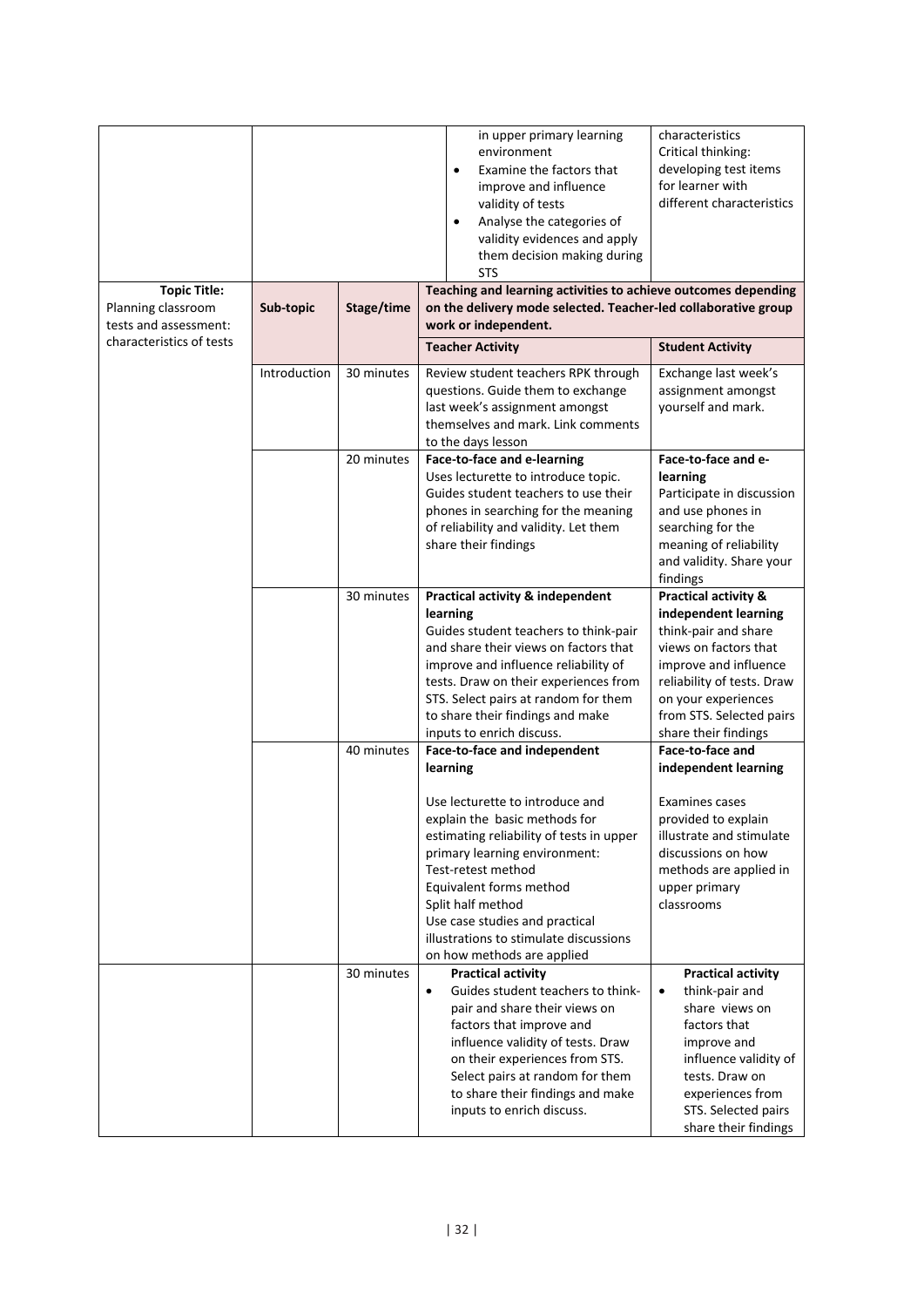|                          |              |            | $\bullet$<br>$\bullet$ | in upper primary learning<br>environment<br>Examine the factors that<br>improve and influence<br>validity of tests<br>Analyse the categories of<br>validity evidences and apply<br>them decision making during<br>STS | characteristics<br>Critical thinking:<br>developing test items<br>for learner with<br>different characteristics |
|--------------------------|--------------|------------|------------------------|-----------------------------------------------------------------------------------------------------------------------------------------------------------------------------------------------------------------------|-----------------------------------------------------------------------------------------------------------------|
| <b>Topic Title:</b>      |              |            |                        | Teaching and learning activities to achieve outcomes depending                                                                                                                                                        |                                                                                                                 |
| Planning classroom       | Sub-topic    | Stage/time |                        | on the delivery mode selected. Teacher-led collaborative group                                                                                                                                                        |                                                                                                                 |
| tests and assessment:    |              |            |                        |                                                                                                                                                                                                                       |                                                                                                                 |
| characteristics of tests |              |            |                        | work or independent.                                                                                                                                                                                                  |                                                                                                                 |
|                          |              |            |                        | <b>Teacher Activity</b>                                                                                                                                                                                               | <b>Student Activity</b>                                                                                         |
|                          | Introduction | 30 minutes |                        | Review student teachers RPK through                                                                                                                                                                                   | Exchange last week's                                                                                            |
|                          |              |            |                        | questions. Guide them to exchange                                                                                                                                                                                     | assignment amongst                                                                                              |
|                          |              |            |                        | last week's assignment amongst                                                                                                                                                                                        | yourself and mark.                                                                                              |
|                          |              |            |                        |                                                                                                                                                                                                                       |                                                                                                                 |
|                          |              |            |                        | themselves and mark. Link comments                                                                                                                                                                                    |                                                                                                                 |
|                          |              |            |                        | to the days lesson                                                                                                                                                                                                    |                                                                                                                 |
|                          |              | 20 minutes |                        | Face-to-face and e-learning                                                                                                                                                                                           | Face-to-face and e-                                                                                             |
|                          |              |            |                        | Uses lecturette to introduce topic.                                                                                                                                                                                   | learning                                                                                                        |
|                          |              |            |                        | Guides student teachers to use their                                                                                                                                                                                  | Participate in discussion                                                                                       |
|                          |              |            |                        | phones in searching for the meaning                                                                                                                                                                                   | and use phones in                                                                                               |
|                          |              |            |                        | of reliability and validity. Let them                                                                                                                                                                                 | searching for the                                                                                               |
|                          |              |            |                        | share their findings                                                                                                                                                                                                  | meaning of reliability                                                                                          |
|                          |              |            |                        |                                                                                                                                                                                                                       | and validity. Share your                                                                                        |
|                          |              |            |                        |                                                                                                                                                                                                                       |                                                                                                                 |
|                          |              |            |                        |                                                                                                                                                                                                                       | findings                                                                                                        |
|                          |              | 30 minutes |                        | <b>Practical activity &amp; independent</b>                                                                                                                                                                           | <b>Practical activity &amp;</b>                                                                                 |
|                          |              |            | learning               |                                                                                                                                                                                                                       | independent learning                                                                                            |
|                          |              |            |                        | Guides student teachers to think-pair                                                                                                                                                                                 | think-pair and share                                                                                            |
|                          |              |            |                        | and share their views on factors that                                                                                                                                                                                 | views on factors that                                                                                           |
|                          |              |            |                        | improve and influence reliability of                                                                                                                                                                                  | improve and influence                                                                                           |
|                          |              |            |                        | tests. Draw on their experiences from                                                                                                                                                                                 | reliability of tests. Draw                                                                                      |
|                          |              |            |                        | STS. Select pairs at random for them                                                                                                                                                                                  | on your experiences                                                                                             |
|                          |              |            |                        | to share their findings and make                                                                                                                                                                                      | from STS. Selected pairs                                                                                        |
|                          |              |            |                        | inputs to enrich discuss.                                                                                                                                                                                             | share their findings                                                                                            |
|                          |              | 40 minutes |                        | Face-to-face and independent                                                                                                                                                                                          | Face-to-face and                                                                                                |
|                          |              |            | learning               |                                                                                                                                                                                                                       | independent learning                                                                                            |
|                          |              |            |                        |                                                                                                                                                                                                                       |                                                                                                                 |
|                          |              |            |                        | Use lecturette to introduce and                                                                                                                                                                                       | Examines cases                                                                                                  |
|                          |              |            |                        | explain the basic methods for                                                                                                                                                                                         | provided to explain                                                                                             |
|                          |              |            |                        | estimating reliability of tests in upper                                                                                                                                                                              | illustrate and stimulate                                                                                        |
|                          |              |            |                        | primary learning environment:                                                                                                                                                                                         | discussions on how                                                                                              |
|                          |              |            |                        | Test-retest method                                                                                                                                                                                                    | methods are applied in                                                                                          |
|                          |              |            |                        | Equivalent forms method                                                                                                                                                                                               | upper primary                                                                                                   |
|                          |              |            |                        | Split half method                                                                                                                                                                                                     | classrooms                                                                                                      |
|                          |              |            |                        | Use case studies and practical                                                                                                                                                                                        |                                                                                                                 |
|                          |              |            |                        | illustrations to stimulate discussions                                                                                                                                                                                |                                                                                                                 |
|                          |              |            |                        | on how methods are applied                                                                                                                                                                                            |                                                                                                                 |
|                          |              | 30 minutes |                        | <b>Practical activity</b>                                                                                                                                                                                             | <b>Practical activity</b>                                                                                       |
|                          |              |            | $\bullet$              | Guides student teachers to think-                                                                                                                                                                                     | think-pair and<br>$\bullet$                                                                                     |
|                          |              |            |                        | pair and share their views on                                                                                                                                                                                         | share views on                                                                                                  |
|                          |              |            |                        | factors that improve and                                                                                                                                                                                              | factors that                                                                                                    |
|                          |              |            |                        |                                                                                                                                                                                                                       |                                                                                                                 |
|                          |              |            |                        | influence validity of tests. Draw                                                                                                                                                                                     | improve and                                                                                                     |
|                          |              |            |                        | on their experiences from STS.                                                                                                                                                                                        | influence validity of                                                                                           |
|                          |              |            |                        | Select pairs at random for them                                                                                                                                                                                       | tests. Draw on                                                                                                  |
|                          |              |            |                        | to share their findings and make                                                                                                                                                                                      | experiences from                                                                                                |
|                          |              |            |                        | inputs to enrich discuss.                                                                                                                                                                                             | STS. Selected pairs                                                                                             |
|                          |              |            |                        |                                                                                                                                                                                                                       | share their findings                                                                                            |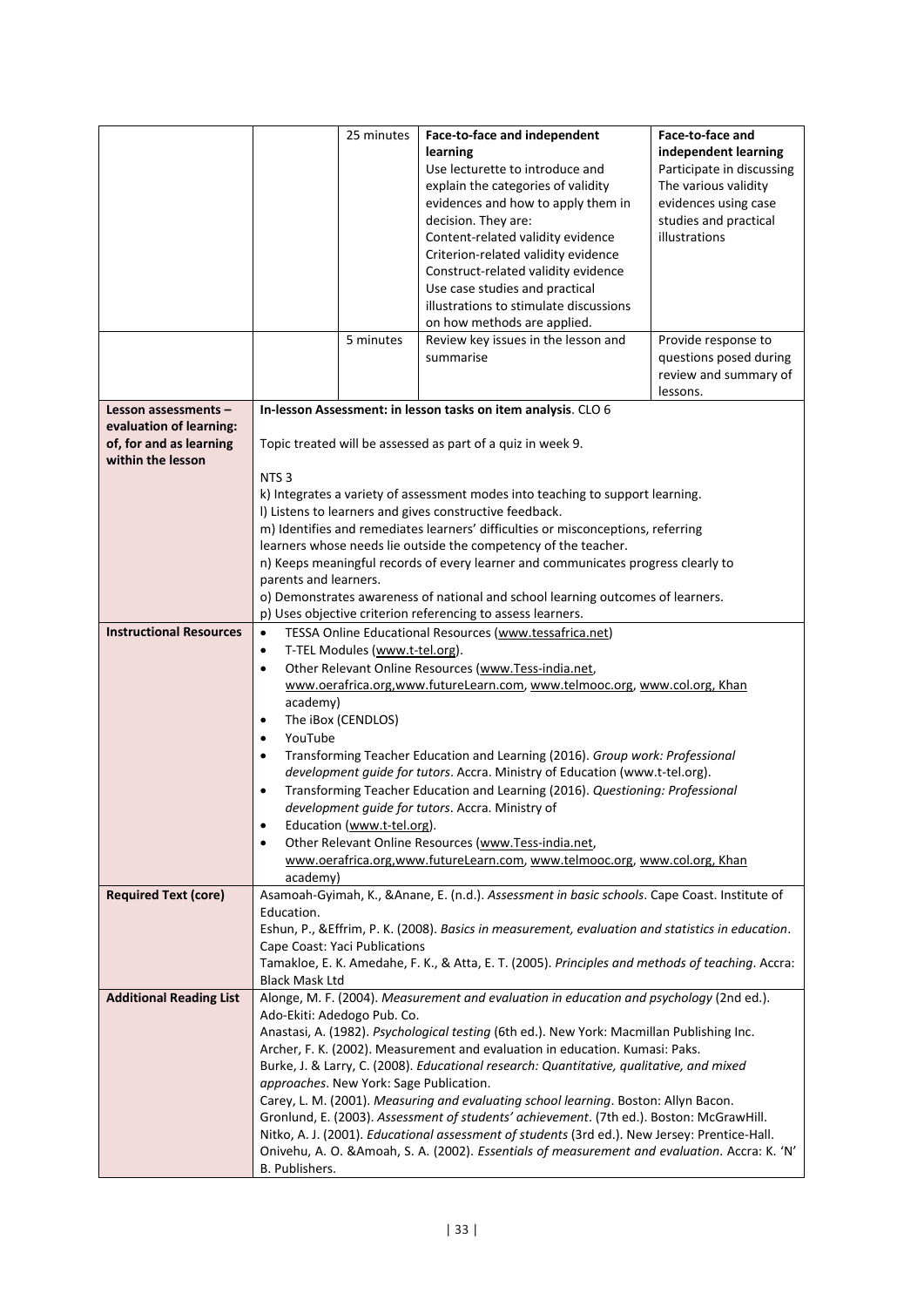|                                                                         |                                                                                                                                                | 25 minutes                                                                                                                                           | Face-to-face and independent<br>learning<br>Use lecturette to introduce and<br>explain the categories of validity<br>evidences and how to apply them in<br>decision. They are:<br>Content-related validity evidence<br>Criterion-related validity evidence<br>Construct-related validity evidence | Face-to-face and<br>independent learning<br>Participate in discussing<br>The various validity<br>evidences using case<br>studies and practical<br>illustrations |  |  |  |  |  |
|-------------------------------------------------------------------------|------------------------------------------------------------------------------------------------------------------------------------------------|------------------------------------------------------------------------------------------------------------------------------------------------------|---------------------------------------------------------------------------------------------------------------------------------------------------------------------------------------------------------------------------------------------------------------------------------------------------|-----------------------------------------------------------------------------------------------------------------------------------------------------------------|--|--|--|--|--|
|                                                                         |                                                                                                                                                |                                                                                                                                                      | Use case studies and practical<br>illustrations to stimulate discussions<br>on how methods are applied.                                                                                                                                                                                           |                                                                                                                                                                 |  |  |  |  |  |
|                                                                         |                                                                                                                                                | 5 minutes                                                                                                                                            | Review key issues in the lesson and<br>summarise                                                                                                                                                                                                                                                  | Provide response to<br>questions posed during<br>review and summary of<br>lessons.                                                                              |  |  |  |  |  |
| Lesson assessments -                                                    |                                                                                                                                                |                                                                                                                                                      | In-lesson Assessment: in lesson tasks on item analysis. CLO 6                                                                                                                                                                                                                                     |                                                                                                                                                                 |  |  |  |  |  |
| evaluation of learning:<br>of, for and as learning<br>within the lesson |                                                                                                                                                |                                                                                                                                                      | Topic treated will be assessed as part of a quiz in week 9.                                                                                                                                                                                                                                       |                                                                                                                                                                 |  |  |  |  |  |
|                                                                         | NTS <sub>3</sub>                                                                                                                               |                                                                                                                                                      |                                                                                                                                                                                                                                                                                                   |                                                                                                                                                                 |  |  |  |  |  |
|                                                                         |                                                                                                                                                | k) Integrates a variety of assessment modes into teaching to support learning.<br>I) Listens to learners and gives constructive feedback.            |                                                                                                                                                                                                                                                                                                   |                                                                                                                                                                 |  |  |  |  |  |
|                                                                         |                                                                                                                                                | m) Identifies and remediates learners' difficulties or misconceptions, referring                                                                     |                                                                                                                                                                                                                                                                                                   |                                                                                                                                                                 |  |  |  |  |  |
|                                                                         |                                                                                                                                                | learners whose needs lie outside the competency of the teacher.<br>n) Keeps meaningful records of every learner and communicates progress clearly to |                                                                                                                                                                                                                                                                                                   |                                                                                                                                                                 |  |  |  |  |  |
|                                                                         | parents and learners.                                                                                                                          |                                                                                                                                                      |                                                                                                                                                                                                                                                                                                   |                                                                                                                                                                 |  |  |  |  |  |
|                                                                         |                                                                                                                                                | o) Demonstrates awareness of national and school learning outcomes of learners.                                                                      |                                                                                                                                                                                                                                                                                                   |                                                                                                                                                                 |  |  |  |  |  |
|                                                                         | p) Uses objective criterion referencing to assess learners.                                                                                    |                                                                                                                                                      |                                                                                                                                                                                                                                                                                                   |                                                                                                                                                                 |  |  |  |  |  |
| <b>Instructional Resources</b>                                          | TESSA Online Educational Resources (www.tessafrica.net)<br>$\bullet$<br>T-TEL Modules (www.t-tel.org).                                         |                                                                                                                                                      |                                                                                                                                                                                                                                                                                                   |                                                                                                                                                                 |  |  |  |  |  |
|                                                                         | $\bullet$                                                                                                                                      |                                                                                                                                                      |                                                                                                                                                                                                                                                                                                   |                                                                                                                                                                 |  |  |  |  |  |
|                                                                         | Other Relevant Online Resources (www.Tess-india.net,<br>$\bullet$<br>www.oerafrica.org,www.futureLearn.com, www.telmooc.org, www.col.org, Khan |                                                                                                                                                      |                                                                                                                                                                                                                                                                                                   |                                                                                                                                                                 |  |  |  |  |  |
|                                                                         | academy)                                                                                                                                       |                                                                                                                                                      |                                                                                                                                                                                                                                                                                                   |                                                                                                                                                                 |  |  |  |  |  |
|                                                                         | $\bullet$                                                                                                                                      | The iBox (CENDLOS)                                                                                                                                   |                                                                                                                                                                                                                                                                                                   |                                                                                                                                                                 |  |  |  |  |  |
|                                                                         | YouTube<br>$\bullet$                                                                                                                           |                                                                                                                                                      |                                                                                                                                                                                                                                                                                                   |                                                                                                                                                                 |  |  |  |  |  |
|                                                                         | $\bullet$                                                                                                                                      |                                                                                                                                                      | Transforming Teacher Education and Learning (2016). Group work: Professional<br>development guide for tutors. Accra. Ministry of Education (www.t-tel.org).                                                                                                                                       |                                                                                                                                                                 |  |  |  |  |  |
|                                                                         | $\bullet$                                                                                                                                      |                                                                                                                                                      | Transforming Teacher Education and Learning (2016). Questioning: Professional                                                                                                                                                                                                                     |                                                                                                                                                                 |  |  |  |  |  |
|                                                                         |                                                                                                                                                |                                                                                                                                                      | development guide for tutors. Accra. Ministry of                                                                                                                                                                                                                                                  |                                                                                                                                                                 |  |  |  |  |  |
|                                                                         | $\bullet$                                                                                                                                      | Education (www.t-tel.org).                                                                                                                           |                                                                                                                                                                                                                                                                                                   |                                                                                                                                                                 |  |  |  |  |  |
|                                                                         | $\bullet$                                                                                                                                      |                                                                                                                                                      | Other Relevant Online Resources (www.Tess-india.net,                                                                                                                                                                                                                                              |                                                                                                                                                                 |  |  |  |  |  |
|                                                                         | academy)                                                                                                                                       |                                                                                                                                                      | www.oerafrica.org,www.futureLearn.com, www.telmooc.org, www.col.org, Khan                                                                                                                                                                                                                         |                                                                                                                                                                 |  |  |  |  |  |
| <b>Required Text (core)</b>                                             |                                                                                                                                                |                                                                                                                                                      | Asamoah-Gyimah, K., & Anane, E. (n.d.). Assessment in basic schools. Cape Coast. Institute of                                                                                                                                                                                                     |                                                                                                                                                                 |  |  |  |  |  |
|                                                                         | Education.                                                                                                                                     |                                                                                                                                                      |                                                                                                                                                                                                                                                                                                   |                                                                                                                                                                 |  |  |  |  |  |
|                                                                         |                                                                                                                                                | Cape Coast: Yaci Publications                                                                                                                        | Eshun, P., & Effrim, P. K. (2008). Basics in measurement, evaluation and statistics in education.                                                                                                                                                                                                 |                                                                                                                                                                 |  |  |  |  |  |
|                                                                         |                                                                                                                                                |                                                                                                                                                      | Tamakloe, E. K. Amedahe, F. K., & Atta, E. T. (2005). Principles and methods of teaching. Accra:                                                                                                                                                                                                  |                                                                                                                                                                 |  |  |  |  |  |
|                                                                         | <b>Black Mask Ltd</b>                                                                                                                          |                                                                                                                                                      |                                                                                                                                                                                                                                                                                                   |                                                                                                                                                                 |  |  |  |  |  |
| <b>Additional Reading List</b>                                          |                                                                                                                                                |                                                                                                                                                      | Alonge, M. F. (2004). Measurement and evaluation in education and psychology (2nd ed.).                                                                                                                                                                                                           |                                                                                                                                                                 |  |  |  |  |  |
|                                                                         |                                                                                                                                                | Ado-Ekiti: Adedogo Pub. Co.                                                                                                                          | Anastasi, A. (1982). Psychological testing (6th ed.). New York: Macmillan Publishing Inc.                                                                                                                                                                                                         |                                                                                                                                                                 |  |  |  |  |  |
|                                                                         |                                                                                                                                                |                                                                                                                                                      | Archer, F. K. (2002). Measurement and evaluation in education. Kumasi: Paks.                                                                                                                                                                                                                      |                                                                                                                                                                 |  |  |  |  |  |
|                                                                         |                                                                                                                                                |                                                                                                                                                      | Burke, J. & Larry, C. (2008). Educational research: Quantitative, qualitative, and mixed                                                                                                                                                                                                          |                                                                                                                                                                 |  |  |  |  |  |
|                                                                         |                                                                                                                                                | approaches. New York: Sage Publication.                                                                                                              |                                                                                                                                                                                                                                                                                                   |                                                                                                                                                                 |  |  |  |  |  |
|                                                                         |                                                                                                                                                |                                                                                                                                                      | Carey, L. M. (2001). Measuring and evaluating school learning. Boston: Allyn Bacon.<br>Gronlund, E. (2003). Assessment of students' achievement. (7th ed.). Boston: McGrawHill.                                                                                                                   |                                                                                                                                                                 |  |  |  |  |  |
|                                                                         |                                                                                                                                                |                                                                                                                                                      | Nitko, A. J. (2001). Educational assessment of students (3rd ed.). New Jersey: Prentice-Hall.                                                                                                                                                                                                     |                                                                                                                                                                 |  |  |  |  |  |
|                                                                         |                                                                                                                                                |                                                                                                                                                      | Onivehu, A. O. & Amoah, S. A. (2002). Essentials of measurement and evaluation. Accra: K. 'N'                                                                                                                                                                                                     |                                                                                                                                                                 |  |  |  |  |  |
|                                                                         | B. Publishers.                                                                                                                                 |                                                                                                                                                      |                                                                                                                                                                                                                                                                                                   |                                                                                                                                                                 |  |  |  |  |  |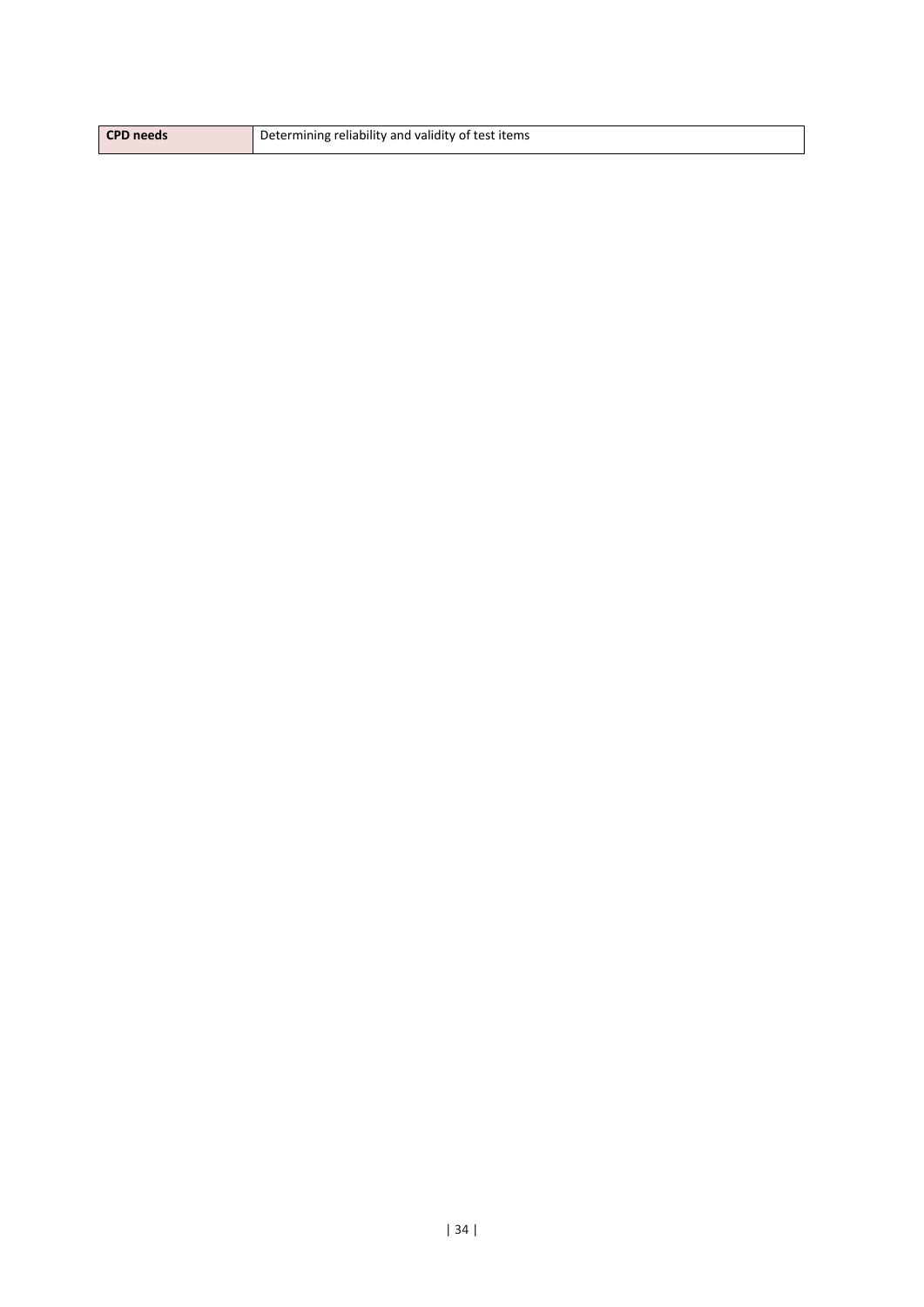| <b>CPD</b> needs | Determining reliability and validity of test items |
|------------------|----------------------------------------------------|
|                  |                                                    |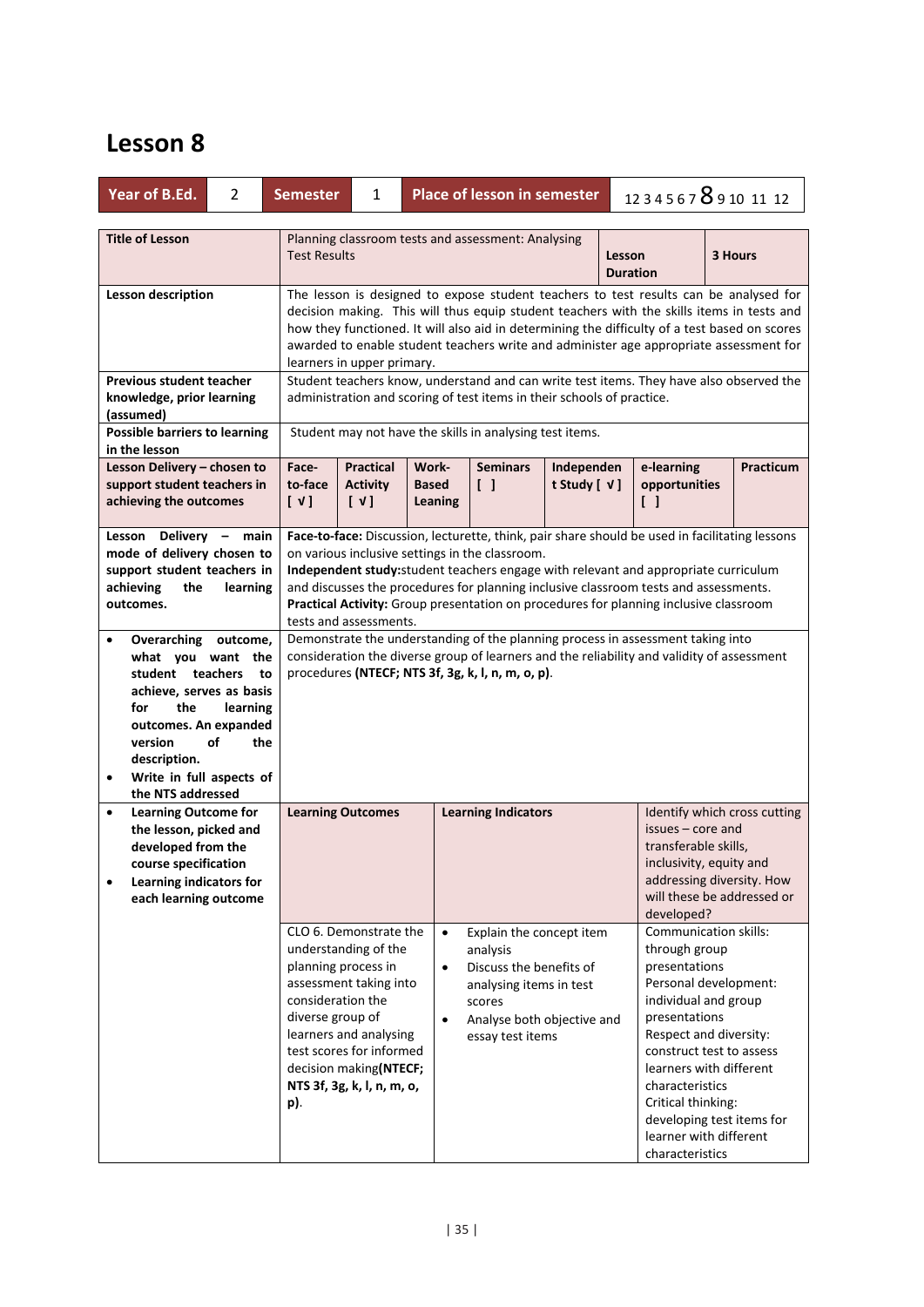| Year of B.Ed.                                                                                                                                                                                                                   | 2               | <b>Semester</b>                              | <b>Place of lesson in semester</b><br>1234567 8910 11 12<br>1                                                                                                                                                                                                                                                                                                                                                                                       |                                     |                                                                                                                                                        |  |  |                                                                                                                                                                                                                                                                                                                               |  |                                                                                         |  |  |
|---------------------------------------------------------------------------------------------------------------------------------------------------------------------------------------------------------------------------------|-----------------|----------------------------------------------|-----------------------------------------------------------------------------------------------------------------------------------------------------------------------------------------------------------------------------------------------------------------------------------------------------------------------------------------------------------------------------------------------------------------------------------------------------|-------------------------------------|--------------------------------------------------------------------------------------------------------------------------------------------------------|--|--|-------------------------------------------------------------------------------------------------------------------------------------------------------------------------------------------------------------------------------------------------------------------------------------------------------------------------------|--|-----------------------------------------------------------------------------------------|--|--|
| <b>Title of Lesson</b>                                                                                                                                                                                                          |                 |                                              | Planning classroom tests and assessment: Analysing<br><b>Test Results</b><br>3 Hours<br>Lesson<br><b>Duration</b>                                                                                                                                                                                                                                                                                                                                   |                                     |                                                                                                                                                        |  |  |                                                                                                                                                                                                                                                                                                                               |  |                                                                                         |  |  |
| Lesson description                                                                                                                                                                                                              |                 |                                              | The lesson is designed to expose student teachers to test results can be analysed for<br>decision making. This will thus equip student teachers with the skills items in tests and<br>how they functioned. It will also aid in determining the difficulty of a test based on scores<br>awarded to enable student teachers write and administer age appropriate assessment for<br>learners in upper primary.                                         |                                     |                                                                                                                                                        |  |  |                                                                                                                                                                                                                                                                                                                               |  |                                                                                         |  |  |
| <b>Previous student teacher</b><br>knowledge, prior learning<br>(assumed)                                                                                                                                                       |                 |                                              | Student teachers know, understand and can write test items. They have also observed the<br>administration and scoring of test items in their schools of practice.                                                                                                                                                                                                                                                                                   |                                     |                                                                                                                                                        |  |  |                                                                                                                                                                                                                                                                                                                               |  |                                                                                         |  |  |
| <b>Possible barriers to learning</b><br>in the lesson<br>Lesson Delivery - chosen to<br>support student teachers in<br>achieving the outcomes                                                                                   |                 | Face-<br>to-face<br>$[\sqrt{1}]$             | Student may not have the skills in analysing test items.<br><b>Practical</b><br>Work-<br><b>Seminars</b><br>Independen<br>e-learning<br>$\begin{bmatrix} \end{bmatrix}$<br>t Study [ $V$ ]<br><b>Activity</b><br><b>Based</b><br>opportunities<br>$[\vee]$<br>Leaning<br>$\begin{smallmatrix} \end{smallmatrix}$                                                                                                                                    |                                     |                                                                                                                                                        |  |  |                                                                                                                                                                                                                                                                                                                               |  | Practicum                                                                               |  |  |
| Delivery - main<br>Lesson<br>mode of delivery chosen to<br>support student teachers in<br>achieving<br>the<br>outcomes.                                                                                                         | learning        |                                              | Face-to-face: Discussion, lecturette, think, pair share should be used in facilitating lessons<br>on various inclusive settings in the classroom.<br>Independent study: student teachers engage with relevant and appropriate curriculum<br>and discusses the procedures for planning inclusive classroom tests and assessments.<br>Practical Activity: Group presentation on procedures for planning inclusive classroom<br>tests and assessments. |                                     |                                                                                                                                                        |  |  |                                                                                                                                                                                                                                                                                                                               |  |                                                                                         |  |  |
| Overarching outcome,<br>what you want the<br>student teachers<br>achieve, serves as basis<br>the<br>for<br>outcomes. An expanded<br>version<br>οf<br>description.<br>Write in full aspects of<br>$\bullet$<br>the NTS addressed | learning<br>the | to                                           | Demonstrate the understanding of the planning process in assessment taking into<br>consideration the diverse group of learners and the reliability and validity of assessment<br>procedures (NTECF; NTS 3f, 3g, k, l, n, m, o, p).                                                                                                                                                                                                                  |                                     |                                                                                                                                                        |  |  |                                                                                                                                                                                                                                                                                                                               |  |                                                                                         |  |  |
| <b>Learning Outcome for</b><br>$\bullet$<br>the lesson, picked and<br>developed from the<br>course specification<br>Learning indicators for<br>$\bullet$<br>each learning outcome                                               |                 |                                              | <b>Learning Outcomes</b>                                                                                                                                                                                                                                                                                                                                                                                                                            |                                     | <b>Learning Indicators</b>                                                                                                                             |  |  | issues – core and<br>transferable skills,<br>inclusivity, equity and<br>developed?                                                                                                                                                                                                                                            |  | Identify which cross cutting<br>addressing diversity. How<br>will these be addressed or |  |  |
|                                                                                                                                                                                                                                 |                 | consideration the<br>diverse group of<br>p). | CLO 6. Demonstrate the<br>understanding of the<br>planning process in<br>assessment taking into<br>learners and analysing<br>test scores for informed<br>decision making(NTECF;<br>NTS 3f, 3g, k, l, n, m, o,                                                                                                                                                                                                                                       | $\bullet$<br>$\bullet$<br>$\bullet$ | Explain the concept item<br>analysis<br>Discuss the benefits of<br>analysing items in test<br>scores<br>Analyse both objective and<br>essay test items |  |  | Communication skills:<br>through group<br>presentations<br>Personal development:<br>individual and group<br>presentations<br>Respect and diversity:<br>construct test to assess<br>learners with different<br>characteristics<br>Critical thinking:<br>developing test items for<br>learner with different<br>characteristics |  |                                                                                         |  |  |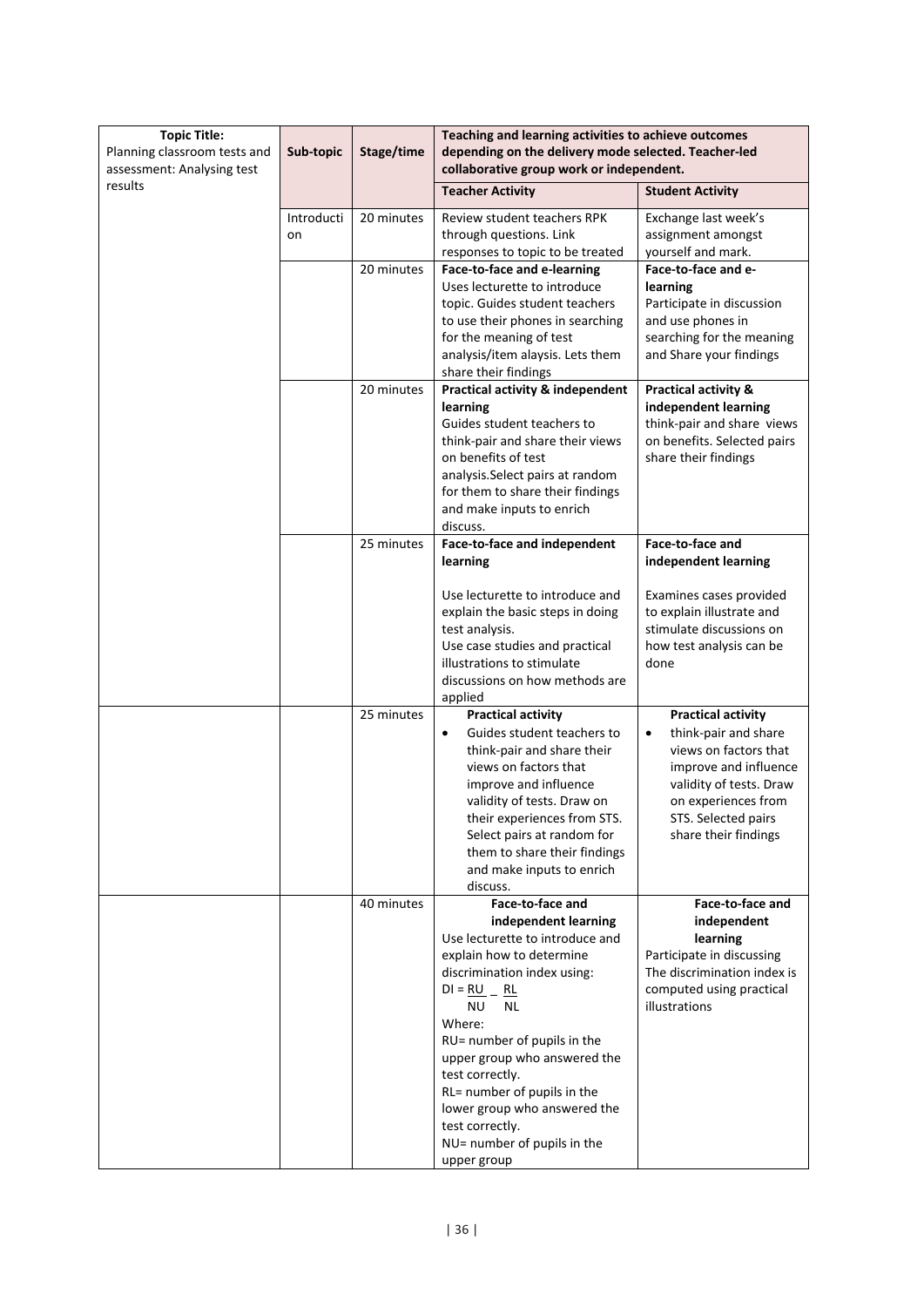| <b>Topic Title:</b><br>Planning classroom tests and<br>assessment: Analysing test | Sub-topic        | Stage/time | Teaching and learning activities to achieve outcomes<br>depending on the delivery mode selected. Teacher-led<br>collaborative group work or independent.                                                                                                                                                                                                                                                |                                                                                                                                                                                                                   |  |  |
|-----------------------------------------------------------------------------------|------------------|------------|---------------------------------------------------------------------------------------------------------------------------------------------------------------------------------------------------------------------------------------------------------------------------------------------------------------------------------------------------------------------------------------------------------|-------------------------------------------------------------------------------------------------------------------------------------------------------------------------------------------------------------------|--|--|
| results                                                                           |                  |            | <b>Teacher Activity</b>                                                                                                                                                                                                                                                                                                                                                                                 | <b>Student Activity</b>                                                                                                                                                                                           |  |  |
|                                                                                   | Introducti<br>on | 20 minutes | Review student teachers RPK<br>through questions. Link<br>responses to topic to be treated                                                                                                                                                                                                                                                                                                              | Exchange last week's<br>assignment amongst<br>yourself and mark.                                                                                                                                                  |  |  |
|                                                                                   |                  | 20 minutes | Face-to-face and e-learning<br>Uses lecturette to introduce<br>topic. Guides student teachers<br>to use their phones in searching<br>for the meaning of test<br>analysis/item alaysis. Lets them<br>share their findings                                                                                                                                                                                | Face-to-face and e-<br>learning<br>Participate in discussion<br>and use phones in<br>searching for the meaning<br>and Share your findings                                                                         |  |  |
|                                                                                   |                  | 20 minutes | <b>Practical activity &amp; independent</b><br>learning<br>Guides student teachers to<br>think-pair and share their views<br>on benefits of test<br>analysis. Select pairs at random<br>for them to share their findings<br>and make inputs to enrich<br>discuss.                                                                                                                                       | <b>Practical activity &amp;</b><br>independent learning<br>think-pair and share views<br>on benefits. Selected pairs<br>share their findings                                                                      |  |  |
|                                                                                   |                  | 25 minutes | Face-to-face and independent<br>learning                                                                                                                                                                                                                                                                                                                                                                | Face-to-face and<br>independent learning                                                                                                                                                                          |  |  |
|                                                                                   |                  |            | Use lecturette to introduce and<br>explain the basic steps in doing<br>test analysis.<br>Use case studies and practical<br>illustrations to stimulate<br>discussions on how methods are<br>applied                                                                                                                                                                                                      | Examines cases provided<br>to explain illustrate and<br>stimulate discussions on<br>how test analysis can be<br>done                                                                                              |  |  |
|                                                                                   |                  | 25 minutes | <b>Practical activity</b><br>Guides student teachers to<br>$\bullet$<br>think-pair and share their<br>views on factors that<br>improve and influence<br>validity of tests. Draw on<br>their experiences from STS.<br>Select pairs at random for<br>them to share their findings<br>and make inputs to enrich<br>discuss.                                                                                | <b>Practical activity</b><br>think-pair and share<br>$\bullet$<br>views on factors that<br>improve and influence<br>validity of tests. Draw<br>on experiences from<br>STS. Selected pairs<br>share their findings |  |  |
|                                                                                   |                  | 40 minutes | Face-to-face and<br>independent learning<br>Use lecturette to introduce and<br>explain how to determine<br>discrimination index using:<br>$DI = RU$ _ RL<br>ΝU<br><b>NL</b><br>Where:<br>RU= number of pupils in the<br>upper group who answered the<br>test correctly.<br>RL= number of pupils in the<br>lower group who answered the<br>test correctly.<br>NU= number of pupils in the<br>upper group | Face-to-face and<br>independent<br>learning<br>Participate in discussing<br>The discrimination index is<br>computed using practical<br>illustrations                                                              |  |  |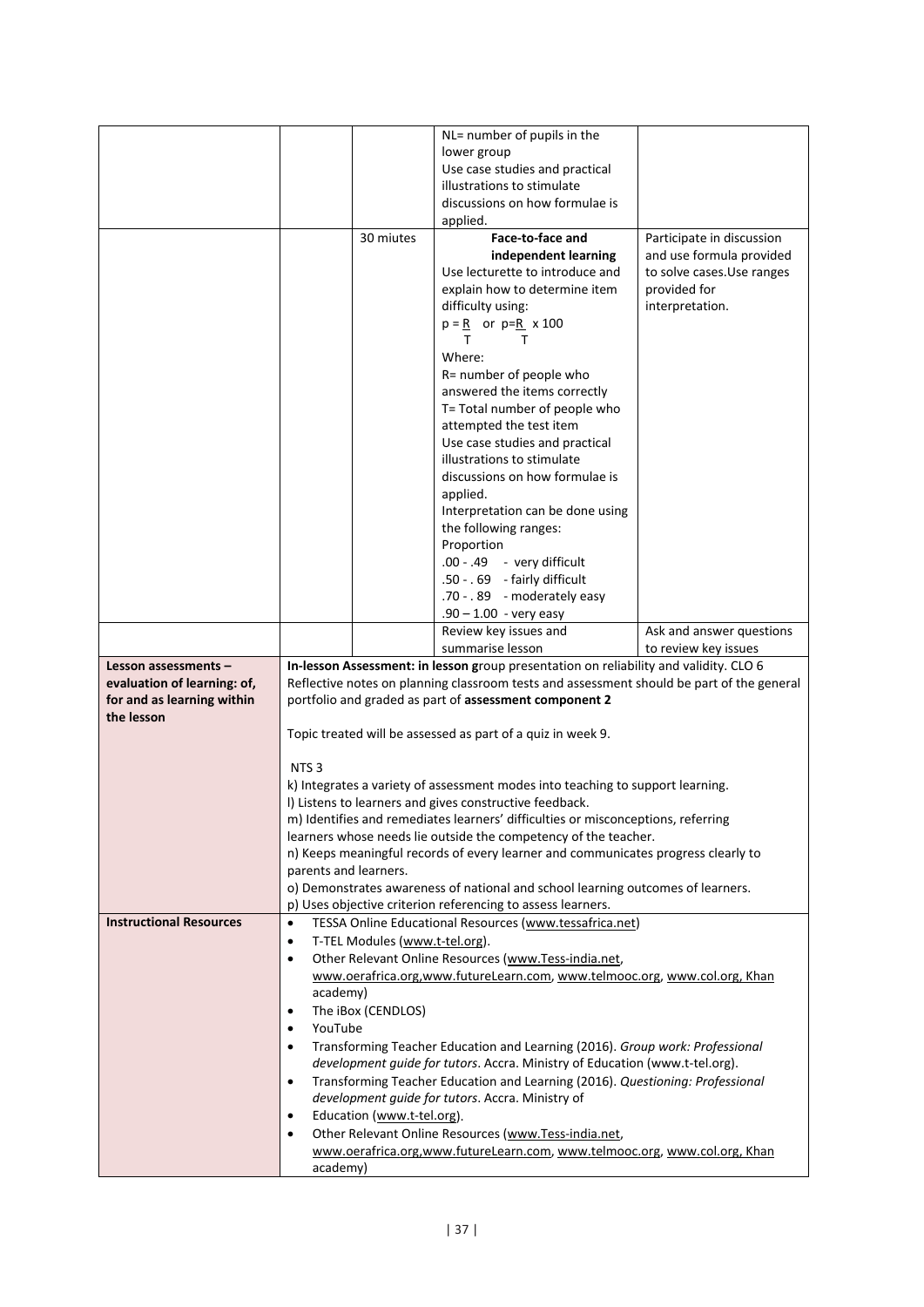|                                                     |                       |                                | NL= number of pupils in the                                                                                                                                                        |                            |
|-----------------------------------------------------|-----------------------|--------------------------------|------------------------------------------------------------------------------------------------------------------------------------------------------------------------------------|----------------------------|
|                                                     |                       |                                | lower group                                                                                                                                                                        |                            |
|                                                     |                       |                                | Use case studies and practical                                                                                                                                                     |                            |
|                                                     |                       |                                | illustrations to stimulate                                                                                                                                                         |                            |
|                                                     |                       |                                | discussions on how formulae is                                                                                                                                                     |                            |
|                                                     |                       |                                | applied.                                                                                                                                                                           |                            |
|                                                     |                       | 30 miutes                      | Face-to-face and                                                                                                                                                                   | Participate in discussion  |
|                                                     |                       |                                | independent learning                                                                                                                                                               | and use formula provided   |
|                                                     |                       |                                | Use lecturette to introduce and                                                                                                                                                    | to solve cases. Use ranges |
|                                                     |                       |                                | explain how to determine item                                                                                                                                                      | provided for               |
|                                                     |                       |                                | difficulty using:                                                                                                                                                                  | interpretation.            |
|                                                     |                       |                                | $p = R$ or $p=R \times 100$                                                                                                                                                        |                            |
|                                                     |                       |                                | т<br>т                                                                                                                                                                             |                            |
|                                                     |                       |                                | Where:                                                                                                                                                                             |                            |
|                                                     |                       |                                | R= number of people who                                                                                                                                                            |                            |
|                                                     |                       |                                | answered the items correctly                                                                                                                                                       |                            |
|                                                     |                       |                                | T= Total number of people who                                                                                                                                                      |                            |
|                                                     |                       |                                | attempted the test item                                                                                                                                                            |                            |
|                                                     |                       |                                | Use case studies and practical                                                                                                                                                     |                            |
|                                                     |                       |                                | illustrations to stimulate                                                                                                                                                         |                            |
|                                                     |                       |                                | discussions on how formulae is                                                                                                                                                     |                            |
|                                                     |                       |                                | applied.                                                                                                                                                                           |                            |
|                                                     |                       |                                | Interpretation can be done using                                                                                                                                                   |                            |
|                                                     |                       |                                | the following ranges:                                                                                                                                                              |                            |
|                                                     |                       |                                | Proportion                                                                                                                                                                         |                            |
|                                                     |                       |                                | .00 - .49 - very difficult                                                                                                                                                         |                            |
|                                                     |                       |                                | .50 - . 69 - fairly difficult                                                                                                                                                      |                            |
|                                                     |                       |                                | .70 - . 89 - moderately easy                                                                                                                                                       |                            |
|                                                     |                       |                                | $.90 - 1.00 - very easy$                                                                                                                                                           |                            |
|                                                     |                       |                                | Review key issues and                                                                                                                                                              | Ask and answer questions   |
|                                                     |                       |                                | summarise lesson                                                                                                                                                                   | to review key issues       |
| Lesson assessments -<br>evaluation of learning: of, |                       |                                | In-lesson Assessment: in lesson group presentation on reliability and validity. CLO 6<br>Reflective notes on planning classroom tests and assessment should be part of the general |                            |
| for and as learning within                          |                       |                                | portfolio and graded as part of assessment component 2                                                                                                                             |                            |
| the lesson                                          |                       |                                |                                                                                                                                                                                    |                            |
|                                                     |                       |                                | Topic treated will be assessed as part of a quiz in week 9.                                                                                                                        |                            |
|                                                     |                       |                                |                                                                                                                                                                                    |                            |
|                                                     | NTS <sub>3</sub>      |                                |                                                                                                                                                                                    |                            |
|                                                     |                       |                                | k) Integrates a variety of assessment modes into teaching to support learning.                                                                                                     |                            |
|                                                     |                       |                                | I) Listens to learners and gives constructive feedback.                                                                                                                            |                            |
|                                                     |                       |                                | m) Identifies and remediates learners' difficulties or misconceptions, referring                                                                                                   |                            |
|                                                     |                       |                                | learners whose needs lie outside the competency of the teacher.                                                                                                                    |                            |
|                                                     |                       |                                | n) Keeps meaningful records of every learner and communicates progress clearly to                                                                                                  |                            |
|                                                     | parents and learners. |                                |                                                                                                                                                                                    |                            |
|                                                     |                       |                                | o) Demonstrates awareness of national and school learning outcomes of learners.<br>p) Uses objective criterion referencing to assess learners.                                     |                            |
| <b>Instructional Resources</b>                      | $\bullet$             |                                | TESSA Online Educational Resources (www.tessafrica.net)                                                                                                                            |                            |
|                                                     | $\bullet$             | T-TEL Modules (www.t-tel.org). |                                                                                                                                                                                    |                            |
|                                                     | $\bullet$             |                                | Other Relevant Online Resources (www.Tess-india.net,                                                                                                                               |                            |
|                                                     |                       |                                | www.oerafrica.org, www.futureLearn.com, www.telmooc.org, www.col.org, Khan                                                                                                         |                            |
|                                                     | academy)              |                                |                                                                                                                                                                                    |                            |
|                                                     | $\bullet$             | The iBox (CENDLOS)             |                                                                                                                                                                                    |                            |
|                                                     | YouTube<br>$\bullet$  |                                |                                                                                                                                                                                    |                            |
|                                                     | ٠                     |                                | Transforming Teacher Education and Learning (2016). Group work: Professional                                                                                                       |                            |
|                                                     |                       |                                | development guide for tutors. Accra. Ministry of Education (www.t-tel.org).                                                                                                        |                            |
|                                                     |                       |                                | Transforming Teacher Education and Learning (2016). Questioning: Professional                                                                                                      |                            |
|                                                     | $\bullet$             |                                |                                                                                                                                                                                    |                            |
|                                                     |                       |                                | development guide for tutors. Accra. Ministry of                                                                                                                                   |                            |
|                                                     | $\bullet$             | Education (www.t-tel.org).     |                                                                                                                                                                                    |                            |
|                                                     | $\bullet$             |                                | Other Relevant Online Resources (www.Tess-india.net,                                                                                                                               |                            |
|                                                     | academy)              |                                | www.oerafrica.org,www.futureLearn.com, www.telmooc.org, www.col.org, Khan                                                                                                          |                            |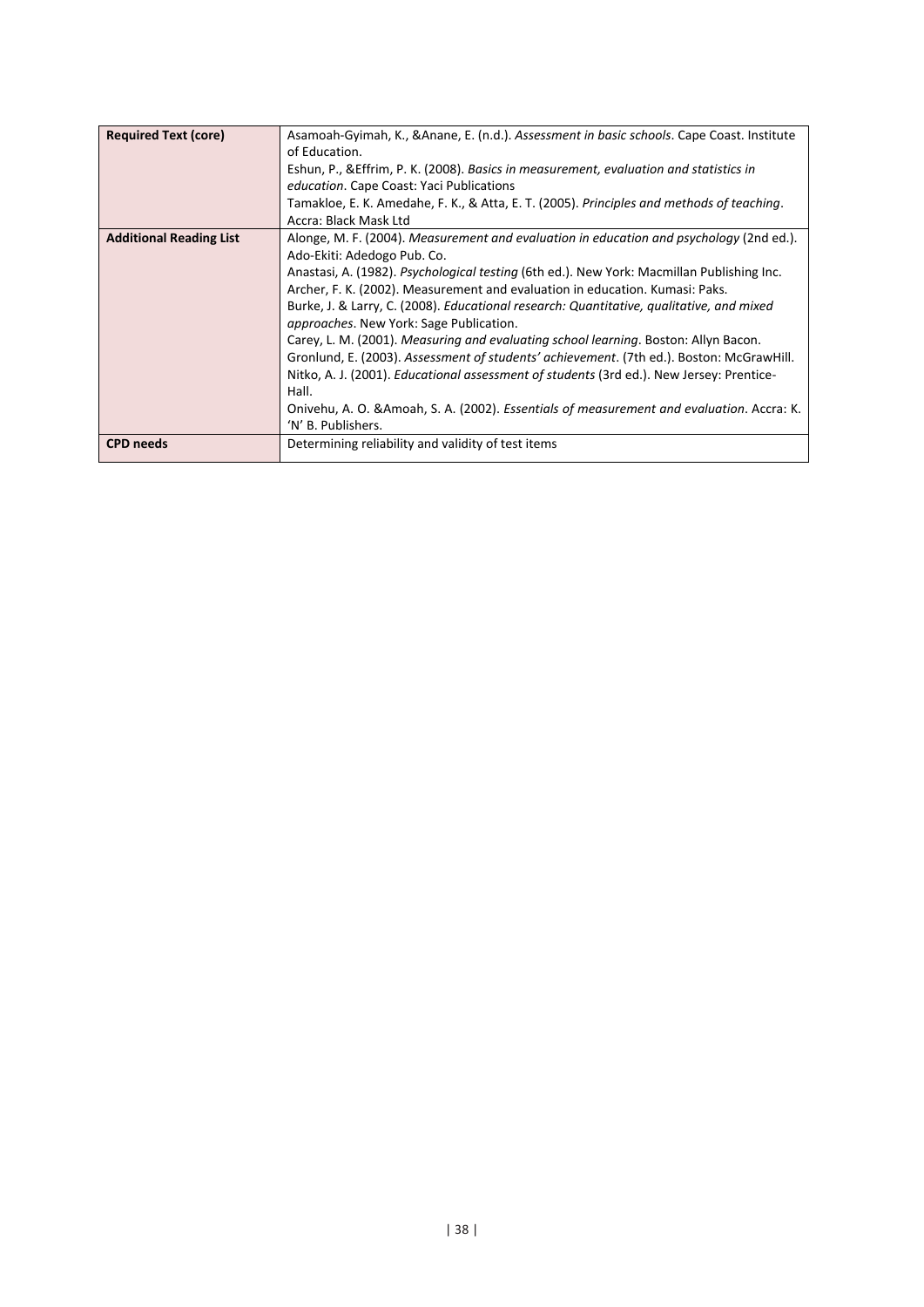| <b>Required Text (core)</b>    | Asamoah-Gyimah, K., & Anane, E. (n.d.). Assessment in basic schools. Cape Coast. Institute<br>of Education.<br>Eshun, P., & Effrim, P. K. (2008). Basics in measurement, evaluation and statistics in<br>education. Cape Coast: Yaci Publications<br>Tamakloe, E. K. Amedahe, F. K., & Atta, E. T. (2005). Principles and methods of teaching.<br>Accra: Black Mask Ltd                                                                                                                                                                                                                                                                                                                                                                                                                                                                                             |
|--------------------------------|---------------------------------------------------------------------------------------------------------------------------------------------------------------------------------------------------------------------------------------------------------------------------------------------------------------------------------------------------------------------------------------------------------------------------------------------------------------------------------------------------------------------------------------------------------------------------------------------------------------------------------------------------------------------------------------------------------------------------------------------------------------------------------------------------------------------------------------------------------------------|
| <b>Additional Reading List</b> | Alonge, M. F. (2004). Measurement and evaluation in education and psychology (2nd ed.).<br>Ado-Ekiti: Adedogo Pub. Co.<br>Anastasi, A. (1982). Psychological testing (6th ed.). New York: Macmillan Publishing Inc.<br>Archer, F. K. (2002). Measurement and evaluation in education. Kumasi: Paks.<br>Burke, J. & Larry, C. (2008). Educational research: Quantitative, qualitative, and mixed<br><i>approaches.</i> New York: Sage Publication.<br>Carey, L. M. (2001). Measuring and evaluating school learning. Boston: Allyn Bacon.<br>Gronlund, E. (2003). Assessment of students' achievement. (7th ed.). Boston: McGrawHill.<br>Nitko, A. J. (2001). <i>Educational assessment of students</i> (3rd ed.). New Jersey: Prentice-<br>Hall.<br>Onivehu, A. O. & Amoah, S. A. (2002). Essentials of measurement and evaluation. Accra: K.<br>'N' B. Publishers. |
| <b>CPD</b> needs               | Determining reliability and validity of test items                                                                                                                                                                                                                                                                                                                                                                                                                                                                                                                                                                                                                                                                                                                                                                                                                  |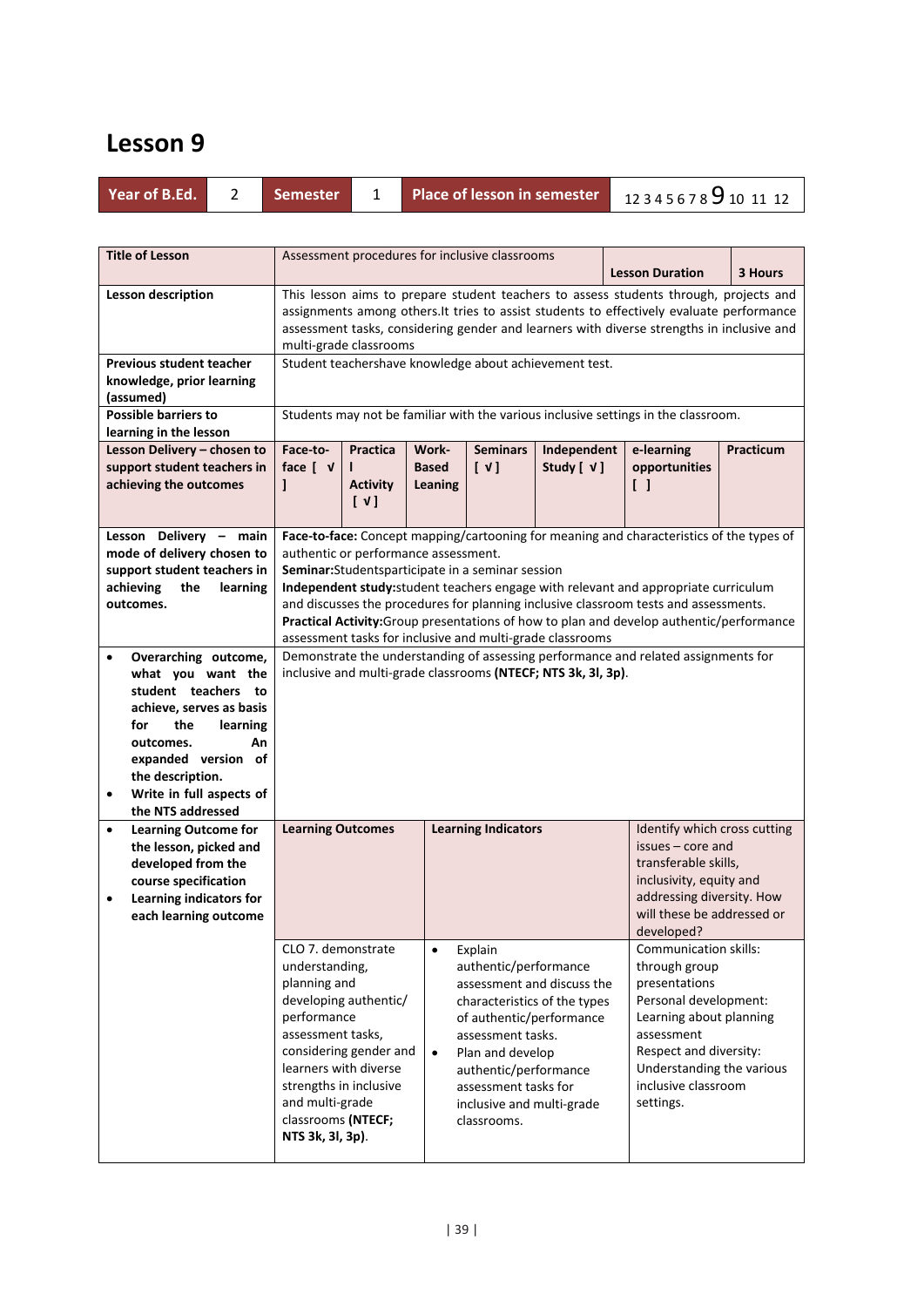|  | Year of B.Ed. |  | <b>Semester</b> |  | Place of lesson in semester 12345678 9 10 11 12 |  |
|--|---------------|--|-----------------|--|-------------------------------------------------|--|
|--|---------------|--|-----------------|--|-------------------------------------------------|--|

| <b>Title of Lesson</b>                                                                                                                                                                                                                                                                                                                                                 |                                                                                                                                                                                                                                      |                                                                                                                                                                                                                                                                                                           |                                         | Assessment procedures for inclusive classrooms                                                                                                                                                                                                                                                 |                              |  | <b>Lesson Duration</b>                                                                                                                                                                                                                                                                                                                                                                                                                                    | 3 Hours   |  |  |  |
|------------------------------------------------------------------------------------------------------------------------------------------------------------------------------------------------------------------------------------------------------------------------------------------------------------------------------------------------------------------------|--------------------------------------------------------------------------------------------------------------------------------------------------------------------------------------------------------------------------------------|-----------------------------------------------------------------------------------------------------------------------------------------------------------------------------------------------------------------------------------------------------------------------------------------------------------|-----------------------------------------|------------------------------------------------------------------------------------------------------------------------------------------------------------------------------------------------------------------------------------------------------------------------------------------------|------------------------------|--|-----------------------------------------------------------------------------------------------------------------------------------------------------------------------------------------------------------------------------------------------------------------------------------------------------------------------------------------------------------------------------------------------------------------------------------------------------------|-----------|--|--|--|
| Lesson description                                                                                                                                                                                                                                                                                                                                                     |                                                                                                                                                                                                                                      | This lesson aims to prepare student teachers to assess students through, projects and<br>assignments among others. It tries to assist students to effectively evaluate performance<br>assessment tasks, considering gender and learners with diverse strengths in inclusive and<br>multi-grade classrooms |                                         |                                                                                                                                                                                                                                                                                                |                              |  |                                                                                                                                                                                                                                                                                                                                                                                                                                                           |           |  |  |  |
| <b>Previous student teacher</b><br>knowledge, prior learning<br>(assumed)                                                                                                                                                                                                                                                                                              |                                                                                                                                                                                                                                      | Student teachershave knowledge about achievement test.                                                                                                                                                                                                                                                    |                                         |                                                                                                                                                                                                                                                                                                |                              |  |                                                                                                                                                                                                                                                                                                                                                                                                                                                           |           |  |  |  |
| <b>Possible barriers to</b><br>learning in the lesson                                                                                                                                                                                                                                                                                                                  |                                                                                                                                                                                                                                      |                                                                                                                                                                                                                                                                                                           |                                         |                                                                                                                                                                                                                                                                                                |                              |  | Students may not be familiar with the various inclusive settings in the classroom.                                                                                                                                                                                                                                                                                                                                                                        |           |  |  |  |
| Lesson Delivery - chosen to<br>support student teachers in<br>achieving the outcomes                                                                                                                                                                                                                                                                                   | Face-to-<br>face $[ \nabla$<br>1                                                                                                                                                                                                     | <b>Practica</b><br><b>Activity</b><br>$\lceil \sqrt{1} \rceil$                                                                                                                                                                                                                                            | Work-<br><b>Based</b><br><b>Leaning</b> | <b>Seminars</b><br>$[\sqrt{1}]$                                                                                                                                                                                                                                                                | Independent<br>Study [ $V$ ] |  | e-learning<br>opportunities<br>$\begin{smallmatrix} \end{smallmatrix}$                                                                                                                                                                                                                                                                                                                                                                                    | Practicum |  |  |  |
| Lesson Delivery - main<br>mode of delivery chosen to<br>support student teachers in<br>achieving<br>the<br>learning<br>outcomes.<br>Overarching outcome,<br>$\bullet$<br>what you want the<br>student teachers to<br>achieve, serves as basis<br>for<br>the<br>learning<br>outcomes.<br>An<br>expanded version of<br>the description.<br>Write in full aspects of<br>٠ |                                                                                                                                                                                                                                      | authentic or performance assessment.                                                                                                                                                                                                                                                                      |                                         | Seminar: Studentsparticipate in a seminar session<br>assessment tasks for inclusive and multi-grade classrooms<br>inclusive and multi-grade classrooms (NTECF; NTS 3k, 3l, 3p).                                                                                                                |                              |  | Face-to-face: Concept mapping/cartooning for meaning and characteristics of the types of<br>Independent study: student teachers engage with relevant and appropriate curriculum<br>and discusses the procedures for planning inclusive classroom tests and assessments.<br>Practical Activity: Group presentations of how to plan and develop authentic/performance<br>Demonstrate the understanding of assessing performance and related assignments for |           |  |  |  |
| the NTS addressed<br><b>Learning Outcome for</b><br>the lesson, picked and<br>developed from the<br>course specification<br>Learning indicators for<br>$\bullet$<br>each learning outcome                                                                                                                                                                              | <b>Learning Outcomes</b><br>CLO 7. demonstrate<br>understanding,<br>planning and<br>performance<br>assessment tasks,<br>learners with diverse<br>strengths in inclusive<br>and multi-grade<br>classrooms (NTECF;<br>NTS 3k, 3l, 3p). | developing authentic/<br>considering gender and                                                                                                                                                                                                                                                           | $\bullet$<br>$\bullet$                  | <b>Learning Indicators</b><br>Explain<br>authentic/performance<br>assessment and discuss the<br>characteristics of the types<br>of authentic/performance<br>assessment tasks.<br>Plan and develop<br>authentic/performance<br>assessment tasks for<br>inclusive and multi-grade<br>classrooms. |                              |  | Identify which cross cutting<br>issues – core and<br>transferable skills,<br>inclusivity, equity and<br>addressing diversity. How<br>will these be addressed or<br>developed?<br>Communication skills:<br>through group<br>presentations<br>Personal development:<br>Learning about planning<br>assessment<br>Respect and diversity:<br>Understanding the various<br>inclusive classroom<br>settings.                                                     |           |  |  |  |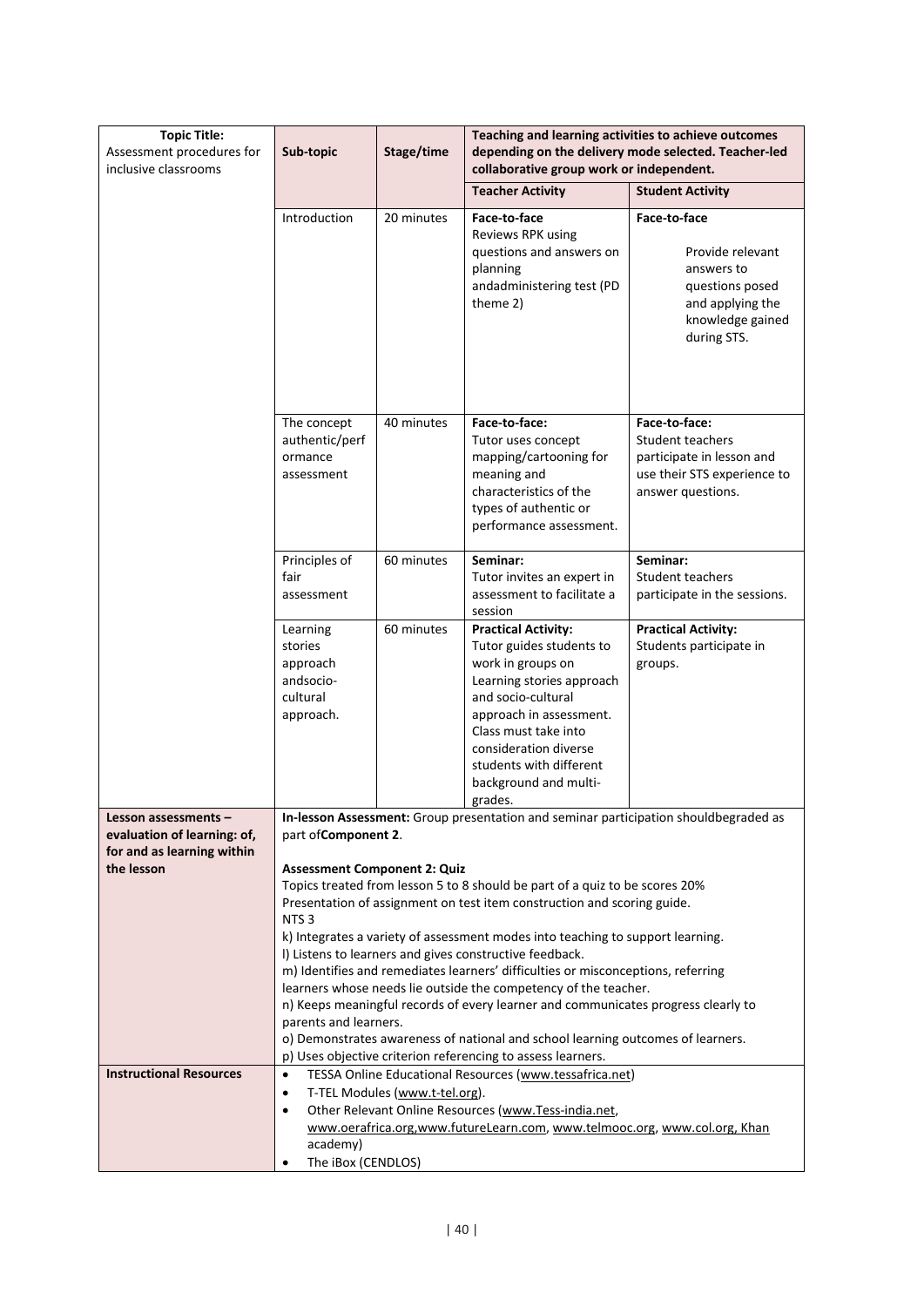| <b>Topic Title:</b><br>Assessment procedures for<br>inclusive classrooms | Teaching and learning activities to achieve outcomes<br>Stage/time<br>depending on the delivery mode selected. Teacher-led<br>Sub-topic<br>collaborative group work or independent. |                                                                                                                                                                                                                                          |                                                                                                                                                                                                                                                                           |                                                                                                                           |  |  |
|--------------------------------------------------------------------------|-------------------------------------------------------------------------------------------------------------------------------------------------------------------------------------|------------------------------------------------------------------------------------------------------------------------------------------------------------------------------------------------------------------------------------------|---------------------------------------------------------------------------------------------------------------------------------------------------------------------------------------------------------------------------------------------------------------------------|---------------------------------------------------------------------------------------------------------------------------|--|--|
|                                                                          |                                                                                                                                                                                     |                                                                                                                                                                                                                                          | <b>Teacher Activity</b>                                                                                                                                                                                                                                                   | <b>Student Activity</b>                                                                                                   |  |  |
|                                                                          | Introduction                                                                                                                                                                        | 20 minutes                                                                                                                                                                                                                               | Face-to-face<br>Reviews RPK using<br>questions and answers on<br>planning<br>andadministering test (PD<br>theme 2)                                                                                                                                                        | Face-to-face<br>Provide relevant<br>answers to<br>questions posed<br>and applying the<br>knowledge gained<br>during STS.  |  |  |
|                                                                          | The concept<br>authentic/perf<br>ormance<br>assessment                                                                                                                              | 40 minutes                                                                                                                                                                                                                               | Face-to-face:<br>Tutor uses concept<br>mapping/cartooning for<br>meaning and<br>characteristics of the<br>types of authentic or<br>performance assessment.                                                                                                                | Face-to-face:<br><b>Student teachers</b><br>participate in lesson and<br>use their STS experience to<br>answer questions. |  |  |
|                                                                          | Principles of<br>fair<br>assessment                                                                                                                                                 | 60 minutes                                                                                                                                                                                                                               | Seminar:<br>Tutor invites an expert in<br>assessment to facilitate a<br>session                                                                                                                                                                                           | Seminar:<br><b>Student teachers</b><br>participate in the sessions.                                                       |  |  |
|                                                                          | Learning<br>stories<br>approach<br>andsocio-<br>cultural<br>approach.                                                                                                               | 60 minutes                                                                                                                                                                                                                               | <b>Practical Activity:</b><br>Tutor guides students to<br>work in groups on<br>Learning stories approach<br>and socio-cultural<br>approach in assessment.<br>Class must take into<br>consideration diverse<br>students with different<br>background and multi-<br>grades. | <b>Practical Activity:</b><br>Students participate in<br>groups.                                                          |  |  |
| Lesson assessments –                                                     |                                                                                                                                                                                     |                                                                                                                                                                                                                                          | In-lesson Assessment: Group presentation and seminar participation shouldbegraded as                                                                                                                                                                                      |                                                                                                                           |  |  |
| evaluation of learning: of,<br>for and as learning within<br>the lesson  | part of Component 2.<br><b>Assessment Component 2: Quiz</b>                                                                                                                         |                                                                                                                                                                                                                                          |                                                                                                                                                                                                                                                                           |                                                                                                                           |  |  |
|                                                                          | NTS <sub>3</sub>                                                                                                                                                                    | Topics treated from lesson 5 to 8 should be part of a quiz to be scores 20%<br>Presentation of assignment on test item construction and scoring guide.<br>k) Integrates a variety of assessment modes into teaching to support learning. |                                                                                                                                                                                                                                                                           |                                                                                                                           |  |  |
|                                                                          |                                                                                                                                                                                     | I) Listens to learners and gives constructive feedback.<br>m) Identifies and remediates learners' difficulties or misconceptions, referring<br>learners whose needs lie outside the competency of the teacher.                           |                                                                                                                                                                                                                                                                           |                                                                                                                           |  |  |
|                                                                          | parents and learners.                                                                                                                                                               |                                                                                                                                                                                                                                          | n) Keeps meaningful records of every learner and communicates progress clearly to<br>o) Demonstrates awareness of national and school learning outcomes of learners.<br>p) Uses objective criterion referencing to assess learners.                                       |                                                                                                                           |  |  |
| <b>Instructional Resources</b>                                           | $\bullet$<br>$\bullet$<br>$\bullet$                                                                                                                                                 | T-TEL Modules (www.t-tel.org).                                                                                                                                                                                                           | TESSA Online Educational Resources (www.tessafrica.net)<br>Other Relevant Online Resources (www.Tess-india.net,                                                                                                                                                           |                                                                                                                           |  |  |
|                                                                          | academy)<br>The iBox (CENDLOS)                                                                                                                                                      |                                                                                                                                                                                                                                          | www.oerafrica.org,www.futureLearn.com, www.telmooc.org, www.col.org, Khan                                                                                                                                                                                                 |                                                                                                                           |  |  |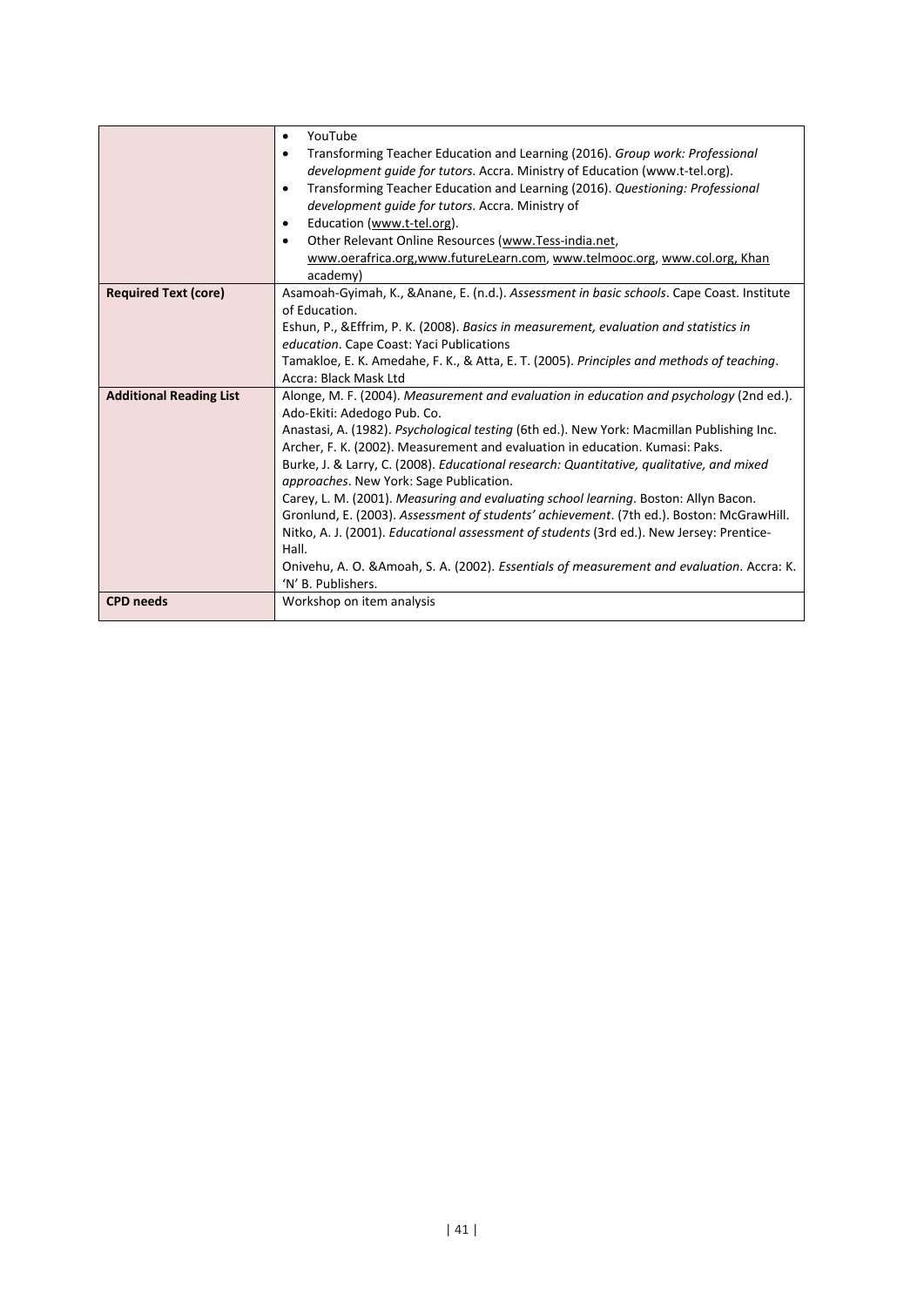|                                | YouTube<br>$\bullet$                                                                                                                |
|--------------------------------|-------------------------------------------------------------------------------------------------------------------------------------|
|                                | Transforming Teacher Education and Learning (2016). Group work: Professional<br>٠                                                   |
|                                | development quide for tutors. Accra. Ministry of Education (www.t-tel.org).                                                         |
|                                | Transforming Teacher Education and Learning (2016). Questioning: Professional<br>٠                                                  |
|                                | development quide for tutors. Accra. Ministry of                                                                                    |
|                                | Education (www.t-tel.org).<br>٠                                                                                                     |
|                                | Other Relevant Online Resources (www.Tess-india.net,<br>$\bullet$                                                                   |
|                                | www.oerafrica.org,www.futureLearn.com, www.telmooc.org, www.col.org, Khan                                                           |
|                                | academy)                                                                                                                            |
| <b>Required Text (core)</b>    | Asamoah-Gyimah, K., & Anane, E. (n.d.). Assessment in basic schools. Cape Coast. Institute                                          |
|                                | of Education.                                                                                                                       |
|                                | Eshun, P., & Effrim, P. K. (2008). Basics in measurement, evaluation and statistics in                                              |
|                                | education. Cape Coast: Yaci Publications                                                                                            |
|                                | Tamakloe, E. K. Amedahe, F. K., & Atta, E. T. (2005). Principles and methods of teaching.                                           |
|                                | Accra: Black Mask Ltd                                                                                                               |
| <b>Additional Reading List</b> | Alonge, M. F. (2004). Measurement and evaluation in education and psychology (2nd ed.).                                             |
|                                | Ado-Ekiti: Adedogo Pub. Co.                                                                                                         |
|                                | Anastasi, A. (1982). Psychological testing (6th ed.). New York: Macmillan Publishing Inc.                                           |
|                                | Archer, F. K. (2002). Measurement and evaluation in education. Kumasi: Paks.                                                        |
|                                | Burke, J. & Larry, C. (2008). Educational research: Quantitative, qualitative, and mixed<br>approaches. New York: Sage Publication. |
|                                | Carey, L. M. (2001). Measuring and evaluating school learning. Boston: Allyn Bacon.                                                 |
|                                | Gronlund, E. (2003). Assessment of students' achievement. (7th ed.). Boston: McGrawHill.                                            |
|                                | Nitko, A. J. (2001). Educational assessment of students (3rd ed.). New Jersey: Prentice-                                            |
|                                | Hall.                                                                                                                               |
|                                | Onivehu, A. O. & Amoah, S. A. (2002). Essentials of measurement and evaluation. Accra: K.                                           |
|                                | 'N' B. Publishers.                                                                                                                  |
| <b>CPD</b> needs               | Workshop on item analysis                                                                                                           |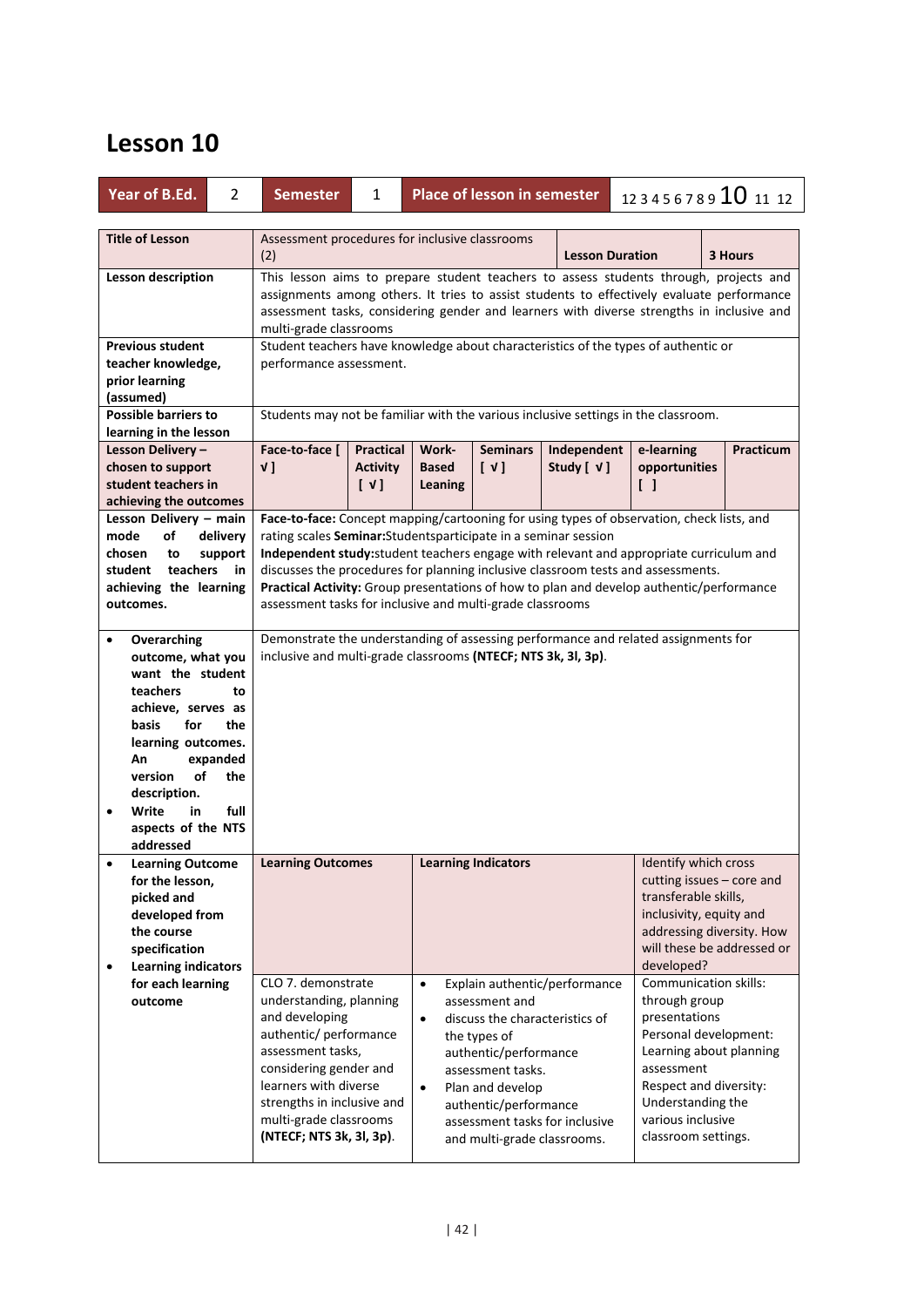| Year of B.Ed.<br>$\overline{2}$                                                                                                                                                                                                                                            | <b>Semester</b>                                                                                                                                                                                                                                                                                                                                                                                                                                                                                       | $\mathbf{1}$                | <b>Place of lesson in semester</b><br>123456789 10 11 12 |                                                                                                                                                                                            |                                                                 |                                                                                                                                                                                                                      |           |
|----------------------------------------------------------------------------------------------------------------------------------------------------------------------------------------------------------------------------------------------------------------------------|-------------------------------------------------------------------------------------------------------------------------------------------------------------------------------------------------------------------------------------------------------------------------------------------------------------------------------------------------------------------------------------------------------------------------------------------------------------------------------------------------------|-----------------------------|----------------------------------------------------------|--------------------------------------------------------------------------------------------------------------------------------------------------------------------------------------------|-----------------------------------------------------------------|----------------------------------------------------------------------------------------------------------------------------------------------------------------------------------------------------------------------|-----------|
| <b>Title of Lesson</b>                                                                                                                                                                                                                                                     | Assessment procedures for inclusive classrooms<br>(2)<br><b>Lesson Duration</b><br>3 Hours                                                                                                                                                                                                                                                                                                                                                                                                            |                             |                                                          |                                                                                                                                                                                            |                                                                 |                                                                                                                                                                                                                      |           |
| <b>Lesson description</b>                                                                                                                                                                                                                                                  | This lesson aims to prepare student teachers to assess students through, projects and<br>assignments among others. It tries to assist students to effectively evaluate performance<br>assessment tasks, considering gender and learners with diverse strengths in inclusive and<br>multi-grade classrooms                                                                                                                                                                                             |                             |                                                          |                                                                                                                                                                                            |                                                                 |                                                                                                                                                                                                                      |           |
| <b>Previous student</b><br>teacher knowledge,<br>prior learning<br>(assumed)                                                                                                                                                                                               | Student teachers have knowledge about characteristics of the types of authentic or<br>performance assessment.                                                                                                                                                                                                                                                                                                                                                                                         |                             |                                                          |                                                                                                                                                                                            |                                                                 |                                                                                                                                                                                                                      |           |
| <b>Possible barriers to</b>                                                                                                                                                                                                                                                |                                                                                                                                                                                                                                                                                                                                                                                                                                                                                                       |                             |                                                          |                                                                                                                                                                                            |                                                                 | Students may not be familiar with the various inclusive settings in the classroom.                                                                                                                                   |           |
| learning in the lesson<br>Lesson Delivery-                                                                                                                                                                                                                                 | Face-to-face [                                                                                                                                                                                                                                                                                                                                                                                                                                                                                        | <b>Practical</b>            | Work-                                                    | <b>Seminars</b>                                                                                                                                                                            | Independent                                                     | e-learning                                                                                                                                                                                                           | Practicum |
| chosen to support<br>student teachers in<br>achieving the outcomes                                                                                                                                                                                                         | v ]                                                                                                                                                                                                                                                                                                                                                                                                                                                                                                   | <b>Activity</b><br>$[\vee]$ | <b>Based</b><br>Leaning                                  | $\begin{bmatrix} \vee \end{bmatrix}$                                                                                                                                                       | Study [ √ ]                                                     | opportunities<br>ΙI                                                                                                                                                                                                  |           |
| Lesson Delivery - main<br>delivery<br>mode<br>of<br>chosen<br>to<br>support<br>student teachers<br>in<br>achieving the learning<br>outcomes.                                                                                                                               | Face-to-face: Concept mapping/cartooning for using types of observation, check lists, and<br>rating scales Seminar: Students participate in a seminar session<br>Independent study: student teachers engage with relevant and appropriate curriculum and<br>discusses the procedures for planning inclusive classroom tests and assessments.<br>Practical Activity: Group presentations of how to plan and develop authentic/performance<br>assessment tasks for inclusive and multi-grade classrooms |                             |                                                          |                                                                                                                                                                                            |                                                                 |                                                                                                                                                                                                                      |           |
| Overarching<br>$\bullet$<br>outcome, what you<br>want the student<br>teachers<br>to<br>achieve, serves as<br>for<br>the<br>basis<br>learning outcomes.<br>expanded<br>An<br>of<br>the<br>version<br>description.<br>Write<br>full<br>in<br>aspects of the NTS<br>addressed | Demonstrate the understanding of assessing performance and related assignments for<br>inclusive and multi-grade classrooms (NTECF; NTS 3k, 3l, 3p).                                                                                                                                                                                                                                                                                                                                                   |                             |                                                          |                                                                                                                                                                                            |                                                                 |                                                                                                                                                                                                                      |           |
| <b>Learning Outcome</b><br>$\bullet$<br>for the lesson,<br>picked and<br>developed from<br>the course<br>specification<br><b>Learning indicators</b><br>$\bullet$                                                                                                          | <b>Learning Outcomes</b>                                                                                                                                                                                                                                                                                                                                                                                                                                                                              |                             |                                                          | <b>Learning Indicators</b>                                                                                                                                                                 |                                                                 | Identify which cross<br>cutting issues - core and<br>transferable skills,<br>inclusivity, equity and<br>addressing diversity. How<br>will these be addressed or<br>developed?                                        |           |
| for each learning<br>outcome                                                                                                                                                                                                                                               | CLO 7. demonstrate<br>understanding, planning<br>and developing<br>authentic/ performance<br>assessment tasks,<br>considering gender and<br>learners with diverse<br>strengths in inclusive and<br>multi-grade classrooms<br>(NTECF; NTS 3k, 3l, 3p).                                                                                                                                                                                                                                                 |                             | $\bullet$<br>$\bullet$<br>$\bullet$                      | assessment and<br>discuss the characteristics of<br>the types of<br>authentic/performance<br>assessment tasks.<br>Plan and develop<br>authentic/performance<br>and multi-grade classrooms. | Explain authentic/performance<br>assessment tasks for inclusive | Communication skills:<br>through group<br>presentations<br>Personal development:<br>Learning about planning<br>assessment<br>Respect and diversity:<br>Understanding the<br>various inclusive<br>classroom settings. |           |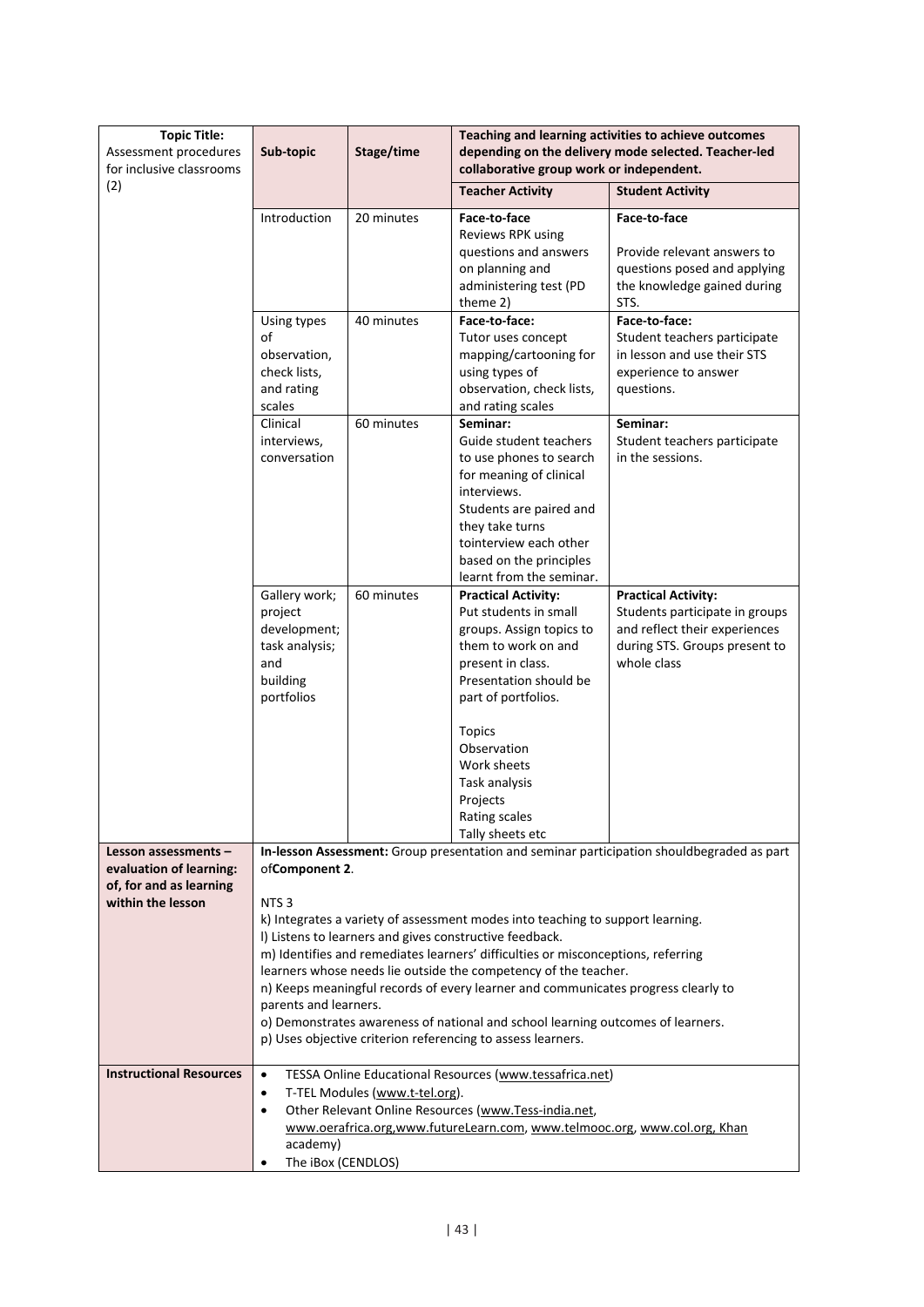| <b>Topic Title:</b>                               | Sub-topic                                                                                        | Stage/time                     |                                                                                                                                           | Teaching and learning activities to achieve outcomes                                      |  |  |  |  |
|---------------------------------------------------|--------------------------------------------------------------------------------------------------|--------------------------------|-------------------------------------------------------------------------------------------------------------------------------------------|-------------------------------------------------------------------------------------------|--|--|--|--|
| Assessment procedures<br>for inclusive classrooms | depending on the delivery mode selected. Teacher-led<br>collaborative group work or independent. |                                |                                                                                                                                           |                                                                                           |  |  |  |  |
| (2)                                               |                                                                                                  |                                | <b>Teacher Activity</b>                                                                                                                   | <b>Student Activity</b>                                                                   |  |  |  |  |
|                                                   | Introduction                                                                                     | 20 minutes                     | Face-to-face                                                                                                                              | Face-to-face                                                                              |  |  |  |  |
|                                                   |                                                                                                  |                                | Reviews RPK using<br>questions and answers                                                                                                | Provide relevant answers to                                                               |  |  |  |  |
|                                                   |                                                                                                  |                                | on planning and                                                                                                                           | questions posed and applying                                                              |  |  |  |  |
|                                                   |                                                                                                  |                                | administering test (PD<br>theme 2)                                                                                                        | the knowledge gained during<br>STS.                                                       |  |  |  |  |
|                                                   | Using types                                                                                      | 40 minutes                     | Face-to-face:                                                                                                                             | Face-to-face:                                                                             |  |  |  |  |
|                                                   | of                                                                                               |                                | Tutor uses concept                                                                                                                        | Student teachers participate                                                              |  |  |  |  |
|                                                   | observation,<br>check lists,                                                                     |                                | mapping/cartooning for                                                                                                                    | in lesson and use their STS                                                               |  |  |  |  |
|                                                   | and rating                                                                                       |                                | using types of<br>observation, check lists,                                                                                               | experience to answer<br>questions.                                                        |  |  |  |  |
|                                                   | scales                                                                                           |                                | and rating scales                                                                                                                         |                                                                                           |  |  |  |  |
|                                                   | Clinical                                                                                         | 60 minutes                     | Seminar:                                                                                                                                  | Seminar:                                                                                  |  |  |  |  |
|                                                   | interviews,<br>conversation                                                                      |                                | Guide student teachers<br>to use phones to search                                                                                         | Student teachers participate<br>in the sessions.                                          |  |  |  |  |
|                                                   |                                                                                                  |                                | for meaning of clinical                                                                                                                   |                                                                                           |  |  |  |  |
|                                                   |                                                                                                  |                                | interviews.                                                                                                                               |                                                                                           |  |  |  |  |
|                                                   |                                                                                                  |                                | Students are paired and<br>they take turns                                                                                                |                                                                                           |  |  |  |  |
|                                                   |                                                                                                  |                                | tointerview each other                                                                                                                    |                                                                                           |  |  |  |  |
|                                                   |                                                                                                  |                                | based on the principles                                                                                                                   |                                                                                           |  |  |  |  |
|                                                   | Gallery work;                                                                                    | 60 minutes                     | learnt from the seminar.<br><b>Practical Activity:</b>                                                                                    | <b>Practical Activity:</b>                                                                |  |  |  |  |
|                                                   | project                                                                                          |                                | Put students in small                                                                                                                     | Students participate in groups                                                            |  |  |  |  |
|                                                   | development;                                                                                     |                                | groups. Assign topics to                                                                                                                  | and reflect their experiences                                                             |  |  |  |  |
|                                                   | task analysis;<br>and                                                                            |                                | them to work on and<br>present in class.                                                                                                  | during STS. Groups present to<br>whole class                                              |  |  |  |  |
|                                                   | building                                                                                         |                                | Presentation should be                                                                                                                    |                                                                                           |  |  |  |  |
|                                                   | portfolios                                                                                       |                                | part of portfolios.                                                                                                                       |                                                                                           |  |  |  |  |
|                                                   |                                                                                                  |                                | <b>Topics</b>                                                                                                                             |                                                                                           |  |  |  |  |
|                                                   |                                                                                                  |                                | Observation                                                                                                                               |                                                                                           |  |  |  |  |
|                                                   |                                                                                                  |                                | Work sheets                                                                                                                               |                                                                                           |  |  |  |  |
|                                                   |                                                                                                  |                                | Task analysis<br>Projects                                                                                                                 |                                                                                           |  |  |  |  |
|                                                   |                                                                                                  |                                | Rating scales                                                                                                                             |                                                                                           |  |  |  |  |
|                                                   |                                                                                                  |                                | Tally sheets etc                                                                                                                          |                                                                                           |  |  |  |  |
| Lesson assessments -<br>evaluation of learning:   | ofComponent 2.                                                                                   |                                |                                                                                                                                           | In-lesson Assessment: Group presentation and seminar participation shouldbegraded as part |  |  |  |  |
| of, for and as learning                           |                                                                                                  |                                |                                                                                                                                           |                                                                                           |  |  |  |  |
| within the lesson                                 | NTS <sub>3</sub>                                                                                 |                                |                                                                                                                                           |                                                                                           |  |  |  |  |
|                                                   |                                                                                                  |                                | k) Integrates a variety of assessment modes into teaching to support learning.<br>I) Listens to learners and gives constructive feedback. |                                                                                           |  |  |  |  |
|                                                   |                                                                                                  |                                | m) Identifies and remediates learners' difficulties or misconceptions, referring                                                          |                                                                                           |  |  |  |  |
|                                                   |                                                                                                  |                                | learners whose needs lie outside the competency of the teacher.                                                                           |                                                                                           |  |  |  |  |
|                                                   | parents and learners.                                                                            |                                | n) Keeps meaningful records of every learner and communicates progress clearly to                                                         |                                                                                           |  |  |  |  |
|                                                   |                                                                                                  |                                | o) Demonstrates awareness of national and school learning outcomes of learners.                                                           |                                                                                           |  |  |  |  |
|                                                   |                                                                                                  |                                | p) Uses objective criterion referencing to assess learners.                                                                               |                                                                                           |  |  |  |  |
| <b>Instructional Resources</b>                    | $\bullet$                                                                                        |                                | TESSA Online Educational Resources (www.tessafrica.net)                                                                                   |                                                                                           |  |  |  |  |
|                                                   | $\bullet$                                                                                        | T-TEL Modules (www.t-tel.org). |                                                                                                                                           |                                                                                           |  |  |  |  |
|                                                   | $\bullet$                                                                                        |                                | Other Relevant Online Resources (www.Tess-india.net,                                                                                      |                                                                                           |  |  |  |  |
|                                                   |                                                                                                  |                                | www.oerafrica.org,www.futureLearn.com, www.telmooc.org, www.col.org, Khan                                                                 |                                                                                           |  |  |  |  |
|                                                   |                                                                                                  | academy)<br>The iBox (CENDLOS) |                                                                                                                                           |                                                                                           |  |  |  |  |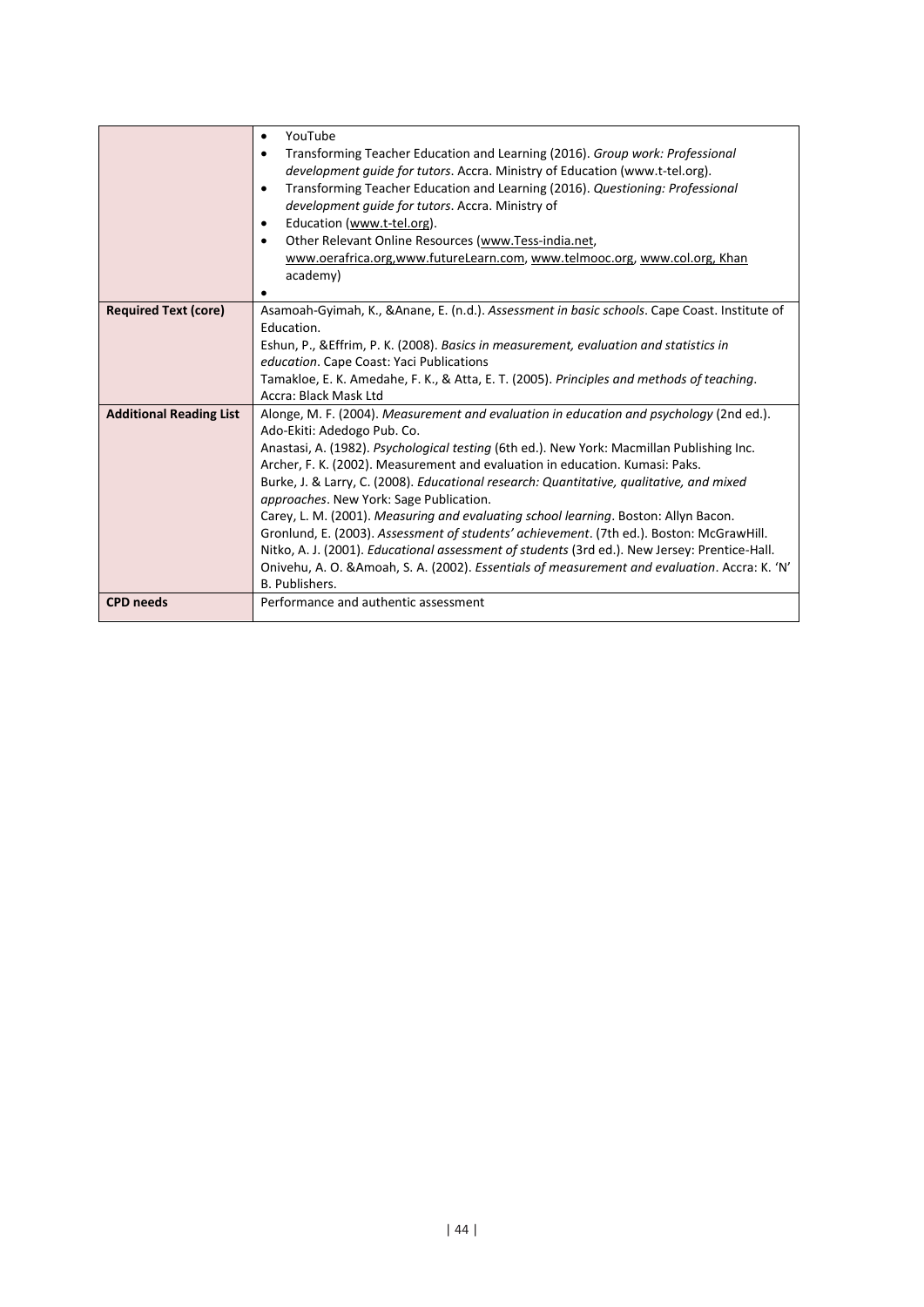|                                | YouTube<br>$\bullet$<br>Transforming Teacher Education and Learning (2016). Group work: Professional<br>٠<br>development quide for tutors. Accra. Ministry of Education (www.t-tel.org).<br>Transforming Teacher Education and Learning (2016). Questioning: Professional<br>$\bullet$<br>development quide for tutors. Accra. Ministry of<br>Education (www.t-tel.org).<br>٠<br>Other Relevant Online Resources (www.Tess-india.net,<br>٠<br>www.oerafrica.org,www.futureLearn.com, www.telmooc.org, www.col.org, Khan<br>academy)                                                                                                                                                                                                                                                                                                               |
|--------------------------------|---------------------------------------------------------------------------------------------------------------------------------------------------------------------------------------------------------------------------------------------------------------------------------------------------------------------------------------------------------------------------------------------------------------------------------------------------------------------------------------------------------------------------------------------------------------------------------------------------------------------------------------------------------------------------------------------------------------------------------------------------------------------------------------------------------------------------------------------------|
|                                |                                                                                                                                                                                                                                                                                                                                                                                                                                                                                                                                                                                                                                                                                                                                                                                                                                                   |
| <b>Required Text (core)</b>    | Asamoah-Gyimah, K., & Anane, E. (n.d.). Assessment in basic schools. Cape Coast. Institute of<br>Education.<br>Eshun, P., & Effrim, P. K. (2008). Basics in measurement, evaluation and statistics in<br>education. Cape Coast: Yaci Publications<br>Tamakloe, E. K. Amedahe, F. K., & Atta, E. T. (2005). Principles and methods of teaching.<br>Accra: Black Mask Ltd                                                                                                                                                                                                                                                                                                                                                                                                                                                                           |
| <b>Additional Reading List</b> | Alonge, M. F. (2004). Measurement and evaluation in education and psychology (2nd ed.).<br>Ado-Ekiti: Adedogo Pub. Co.<br>Anastasi, A. (1982). Psychological testing (6th ed.). New York: Macmillan Publishing Inc.<br>Archer, F. K. (2002). Measurement and evaluation in education. Kumasi: Paks.<br>Burke, J. & Larry, C. (2008). Educational research: Quantitative, qualitative, and mixed<br>approaches. New York: Sage Publication.<br>Carey, L. M. (2001). Measuring and evaluating school learning. Boston: Allyn Bacon.<br>Gronlund, E. (2003). Assessment of students' achievement. (7th ed.). Boston: McGrawHill.<br>Nitko, A. J. (2001). Educational assessment of students (3rd ed.). New Jersey: Prentice-Hall.<br>Onivehu, A. O. & Amoah, S. A. (2002). Essentials of measurement and evaluation. Accra: K. 'N'<br>B. Publishers. |
| <b>CPD</b> needs               | Performance and authentic assessment                                                                                                                                                                                                                                                                                                                                                                                                                                                                                                                                                                                                                                                                                                                                                                                                              |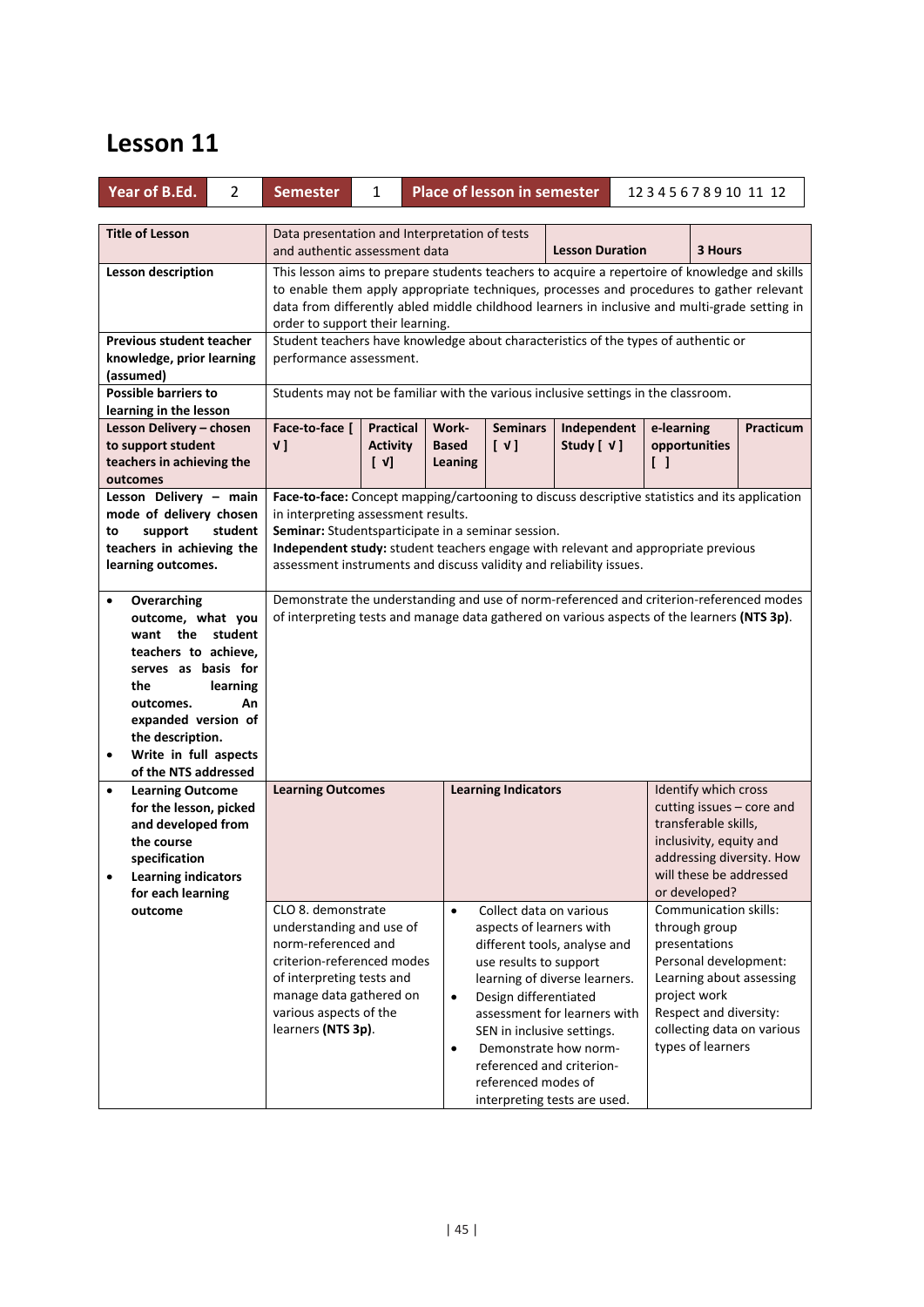| Year of B.Ed.                                                                                                                                                                                                                                                                 | 2              | <b>Place of lesson in semester</b><br><b>Semester</b><br>$\mathbf{1}$                                                                                                                                                                                                                                                                                                                                                                                                                                                                                                                                                                                                                                                                                                                                                                                                                                |                                                                                                                                                                                                                                                                                                                                                                                                                                                    |                                     |                                                                                                                                                                                                                   | 123456789101112                                                                                                               |  |                                                                                                                                                                                                                  |  |
|-------------------------------------------------------------------------------------------------------------------------------------------------------------------------------------------------------------------------------------------------------------------------------|----------------|------------------------------------------------------------------------------------------------------------------------------------------------------------------------------------------------------------------------------------------------------------------------------------------------------------------------------------------------------------------------------------------------------------------------------------------------------------------------------------------------------------------------------------------------------------------------------------------------------------------------------------------------------------------------------------------------------------------------------------------------------------------------------------------------------------------------------------------------------------------------------------------------------|----------------------------------------------------------------------------------------------------------------------------------------------------------------------------------------------------------------------------------------------------------------------------------------------------------------------------------------------------------------------------------------------------------------------------------------------------|-------------------------------------|-------------------------------------------------------------------------------------------------------------------------------------------------------------------------------------------------------------------|-------------------------------------------------------------------------------------------------------------------------------|--|------------------------------------------------------------------------------------------------------------------------------------------------------------------------------------------------------------------|--|
| <b>Title of Lesson</b><br>Lesson description<br><b>Previous student teacher</b><br>knowledge, prior learning<br>(assumed)<br><b>Possible barriers to</b><br>learning in the lesson<br>Lesson Delivery – chosen<br>to support student<br>teachers in achieving the<br>outcomes |                | Data presentation and Interpretation of tests<br>and authentic assessment data<br><b>Lesson Duration</b><br>3 Hours<br>This lesson aims to prepare students teachers to acquire a repertoire of knowledge and skills<br>to enable them apply appropriate techniques, processes and procedures to gather relevant<br>data from differently abled middle childhood learners in inclusive and multi-grade setting in<br>order to support their learning.<br>Student teachers have knowledge about characteristics of the types of authentic or<br>performance assessment.<br>Students may not be familiar with the various inclusive settings in the classroom.<br>Face-to-face [<br>Practical<br>Work-<br><b>Seminars</b><br>Independent<br>e-learning<br>[V]<br>Study [ $V$ ]<br>v ]<br><b>Activity</b><br><b>Based</b><br>opportunities<br>[V]<br>Leaning<br>$\begin{smallmatrix} \end{smallmatrix}$ |                                                                                                                                                                                                                                                                                                                                                                                                                                                    |                                     |                                                                                                                                                                                                                   |                                                                                                                               |  | Practicum                                                                                                                                                                                                        |  |
| Lesson Delivery - main<br>mode of delivery chosen<br>support<br>to<br>teachers in achieving the<br>learning outcomes.<br>Overarching<br>$\bullet$                                                                                                                             | student        |                                                                                                                                                                                                                                                                                                                                                                                                                                                                                                                                                                                                                                                                                                                                                                                                                                                                                                      | Face-to-face: Concept mapping/cartooning to discuss descriptive statistics and its application<br>in interpreting assessment results.<br>Seminar: Studentsparticipate in a seminar session.<br>Independent study: student teachers engage with relevant and appropriate previous<br>assessment instruments and discuss validity and reliability issues.<br>Demonstrate the understanding and use of norm-referenced and criterion-referenced modes |                                     |                                                                                                                                                                                                                   |                                                                                                                               |  |                                                                                                                                                                                                                  |  |
| outcome, what you<br>want the student<br>teachers to achieve,<br>serves as basis for<br>the<br>outcomes.<br>expanded version of<br>the description.<br>Write in full aspects<br>٠<br>of the NTS addressed                                                                     | learning<br>An |                                                                                                                                                                                                                                                                                                                                                                                                                                                                                                                                                                                                                                                                                                                                                                                                                                                                                                      | of interpreting tests and manage data gathered on various aspects of the learners (NTS 3p).                                                                                                                                                                                                                                                                                                                                                        |                                     |                                                                                                                                                                                                                   |                                                                                                                               |  |                                                                                                                                                                                                                  |  |
| <b>Learning Outcome</b><br>$\bullet$<br>for the lesson, picked<br>and developed from<br>the course<br>specification<br><b>Learning indicators</b><br>٠<br>for each learning                                                                                                   |                | <b>Learning Outcomes</b>                                                                                                                                                                                                                                                                                                                                                                                                                                                                                                                                                                                                                                                                                                                                                                                                                                                                             |                                                                                                                                                                                                                                                                                                                                                                                                                                                    |                                     | <b>Learning Indicators</b>                                                                                                                                                                                        |                                                                                                                               |  | Identify which cross<br>cutting issues - core and<br>transferable skills,<br>inclusivity, equity and<br>addressing diversity. How<br>will these be addressed<br>or developed?                                    |  |
| outcome                                                                                                                                                                                                                                                                       |                | CLO 8. demonstrate<br>understanding and use of<br>norm-referenced and<br>criterion-referenced modes<br>of interpreting tests and<br>manage data gathered on<br>various aspects of the<br>learners (NTS 3p).                                                                                                                                                                                                                                                                                                                                                                                                                                                                                                                                                                                                                                                                                          |                                                                                                                                                                                                                                                                                                                                                                                                                                                    | $\bullet$<br>$\bullet$<br>$\bullet$ | Collect data on various<br>aspects of learners with<br>use results to support<br>Design differentiated<br>SEN in inclusive settings.<br>Demonstrate how norm-<br>referenced and criterion-<br>referenced modes of | different tools, analyse and<br>learning of diverse learners.<br>assessment for learners with<br>interpreting tests are used. |  | <b>Communication skills:</b><br>through group<br>presentations<br>Personal development:<br>Learning about assessing<br>project work<br>Respect and diversity:<br>collecting data on various<br>types of learners |  |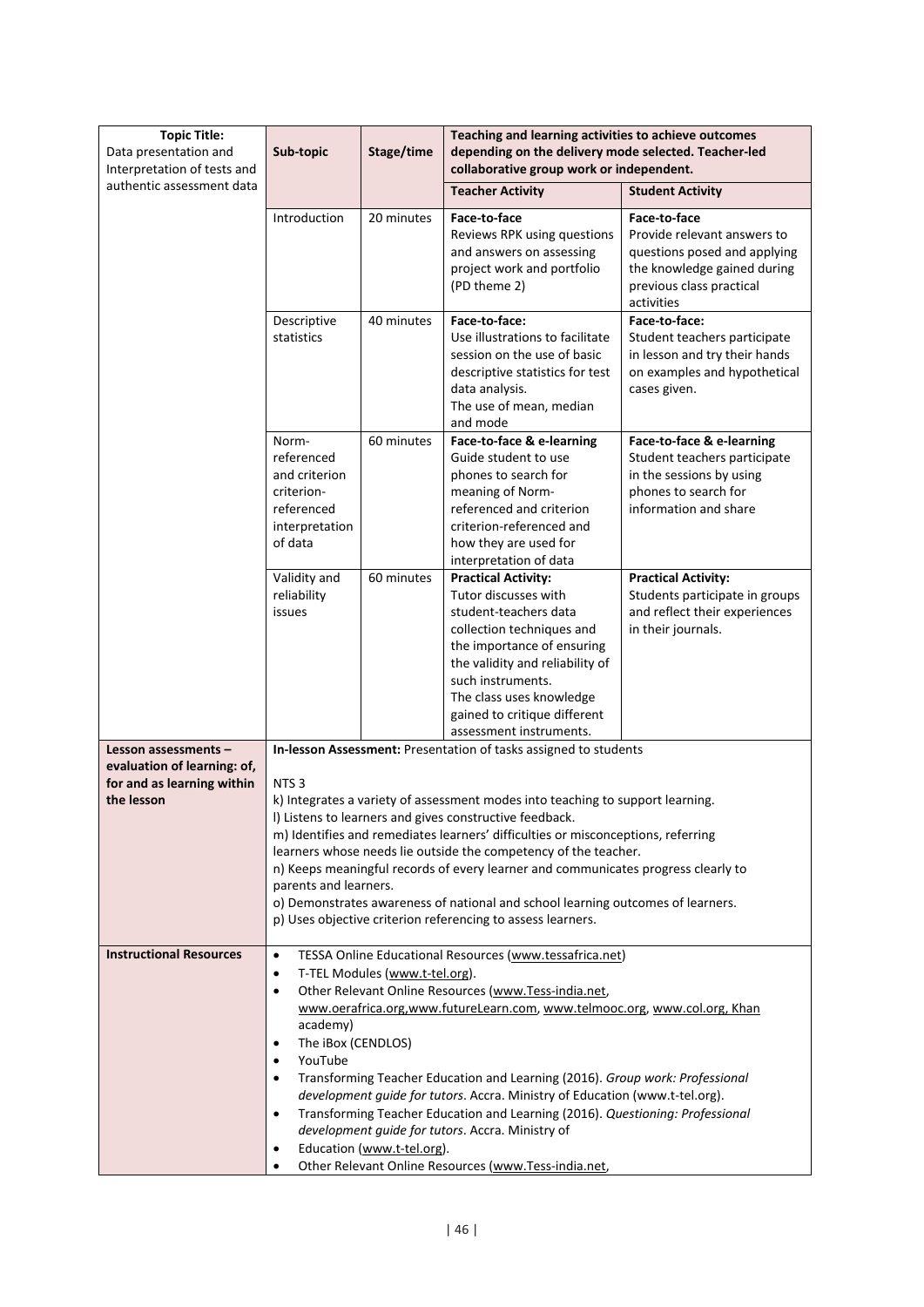| <b>Topic Title:</b><br>Data presentation and                                                    | Teaching and learning activities to achieve outcomes<br>Stage/time<br>depending on the delivery mode selected. Teacher-led<br>Sub-topic                                                                                                                                                                                                                                                                                                                                                                                                                                                                                                                                                                           |            |                                                                                                                                                                                                                                                                                                                                                                                                                                                                                                                                                                                                             |                                                                                                                                                      |
|-------------------------------------------------------------------------------------------------|-------------------------------------------------------------------------------------------------------------------------------------------------------------------------------------------------------------------------------------------------------------------------------------------------------------------------------------------------------------------------------------------------------------------------------------------------------------------------------------------------------------------------------------------------------------------------------------------------------------------------------------------------------------------------------------------------------------------|------------|-------------------------------------------------------------------------------------------------------------------------------------------------------------------------------------------------------------------------------------------------------------------------------------------------------------------------------------------------------------------------------------------------------------------------------------------------------------------------------------------------------------------------------------------------------------------------------------------------------------|------------------------------------------------------------------------------------------------------------------------------------------------------|
| Interpretation of tests and<br>authentic assessment data                                        |                                                                                                                                                                                                                                                                                                                                                                                                                                                                                                                                                                                                                                                                                                                   |            | collaborative group work or independent.<br><b>Teacher Activity</b>                                                                                                                                                                                                                                                                                                                                                                                                                                                                                                                                         | <b>Student Activity</b>                                                                                                                              |
|                                                                                                 | Introduction                                                                                                                                                                                                                                                                                                                                                                                                                                                                                                                                                                                                                                                                                                      | 20 minutes | Face-to-face<br>Reviews RPK using questions<br>and answers on assessing<br>project work and portfolio<br>(PD theme 2)                                                                                                                                                                                                                                                                                                                                                                                                                                                                                       | Face-to-face<br>Provide relevant answers to<br>questions posed and applying<br>the knowledge gained during<br>previous class practical<br>activities |
|                                                                                                 | Descriptive<br>statistics                                                                                                                                                                                                                                                                                                                                                                                                                                                                                                                                                                                                                                                                                         | 40 minutes | Face-to-face:<br>Use illustrations to facilitate<br>session on the use of basic<br>descriptive statistics for test<br>data analysis.<br>The use of mean, median<br>and mode                                                                                                                                                                                                                                                                                                                                                                                                                                 | Face-to-face:<br>Student teachers participate<br>in lesson and try their hands<br>on examples and hypothetical<br>cases given.                       |
|                                                                                                 | Norm-<br>referenced<br>and criterion<br>criterion-<br>referenced<br>interpretation<br>of data                                                                                                                                                                                                                                                                                                                                                                                                                                                                                                                                                                                                                     | 60 minutes | Face-to-face & e-learning<br>Guide student to use<br>phones to search for<br>meaning of Norm-<br>referenced and criterion<br>criterion-referenced and<br>how they are used for<br>interpretation of data                                                                                                                                                                                                                                                                                                                                                                                                    | Face-to-face & e-learning<br>Student teachers participate<br>in the sessions by using<br>phones to search for<br>information and share               |
|                                                                                                 | Validity and<br>reliability<br>issues                                                                                                                                                                                                                                                                                                                                                                                                                                                                                                                                                                                                                                                                             | 60 minutes | <b>Practical Activity:</b><br>Tutor discusses with<br>student-teachers data<br>collection techniques and<br>the importance of ensuring<br>the validity and reliability of<br>such instruments.<br>The class uses knowledge<br>gained to critique different<br>assessment instruments.                                                                                                                                                                                                                                                                                                                       | <b>Practical Activity:</b><br>Students participate in groups<br>and reflect their experiences<br>in their journals.                                  |
| Lesson assessments -<br>evaluation of learning: of,<br>for and as learning within<br>the lesson | NTS <sub>3</sub><br>parents and learners.                                                                                                                                                                                                                                                                                                                                                                                                                                                                                                                                                                                                                                                                         |            | In-lesson Assessment: Presentation of tasks assigned to students<br>k) Integrates a variety of assessment modes into teaching to support learning.<br>I) Listens to learners and gives constructive feedback.<br>m) Identifies and remediates learners' difficulties or misconceptions, referring<br>learners whose needs lie outside the competency of the teacher.<br>n) Keeps meaningful records of every learner and communicates progress clearly to<br>o) Demonstrates awareness of national and school learning outcomes of learners.<br>p) Uses objective criterion referencing to assess learners. |                                                                                                                                                      |
| <b>Instructional Resources</b>                                                                  | TESSA Online Educational Resources (www.tessafrica.net)<br>$\bullet$<br>T-TEL Modules (www.t-tel.org).<br>$\bullet$<br>Other Relevant Online Resources (www.Tess-india.net,<br>$\bullet$<br>www.oerafrica.org,www.futureLearn.com, www.telmooc.org, www.col.org, Khan<br>academy)<br>The iBox (CENDLOS)<br>YouTube<br>Transforming Teacher Education and Learning (2016). Group work: Professional<br>development guide for tutors. Accra. Ministry of Education (www.t-tel.org).<br>Transforming Teacher Education and Learning (2016). Questioning: Professional<br>development guide for tutors. Accra. Ministry of<br>Education (www.t-tel.org).<br>٠<br>Other Relevant Online Resources (www.Tess-india.net, |            |                                                                                                                                                                                                                                                                                                                                                                                                                                                                                                                                                                                                             |                                                                                                                                                      |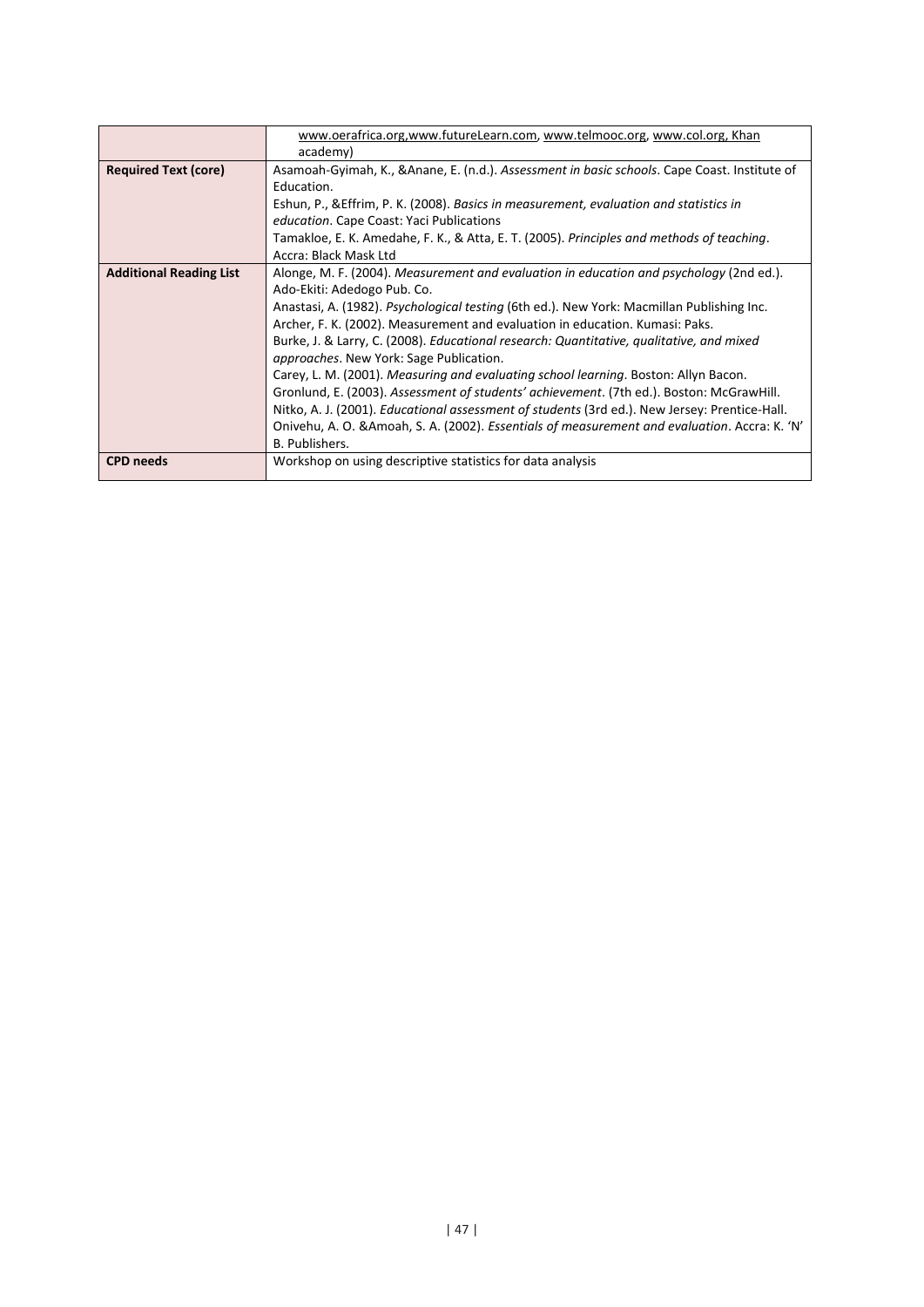|                                | www.oerafrica.org,www.futureLearn.com, www.telmooc.org, www.col.org, Khan                            |
|--------------------------------|------------------------------------------------------------------------------------------------------|
|                                | academy)                                                                                             |
| <b>Required Text (core)</b>    | Asamoah-Gyimah, K., & Anane, E. (n.d.). Assessment in basic schools. Cape Coast. Institute of        |
|                                | Education.                                                                                           |
|                                | Eshun, P., & Effrim, P. K. (2008). Basics in measurement, evaluation and statistics in               |
|                                | education. Cape Coast: Yaci Publications                                                             |
|                                | Tamakloe, E. K. Amedahe, F. K., & Atta, E. T. (2005). Principles and methods of teaching.            |
|                                | Accra: Black Mask Ltd                                                                                |
| <b>Additional Reading List</b> | Alonge, M. F. (2004). Measurement and evaluation in education and psychology (2nd ed.).              |
|                                | Ado-Ekiti: Adedogo Pub. Co.                                                                          |
|                                | Anastasi, A. (1982). Psychological testing (6th ed.). New York: Macmillan Publishing Inc.            |
|                                | Archer, F. K. (2002). Measurement and evaluation in education. Kumasi: Paks.                         |
|                                | Burke, J. & Larry, C. (2008). Educational research: Quantitative, qualitative, and mixed             |
|                                | <i>approaches.</i> New York: Sage Publication.                                                       |
|                                | Carey, L. M. (2001). Measuring and evaluating school learning. Boston: Allyn Bacon.                  |
|                                | Gronlund, E. (2003). Assessment of students' achievement. (7th ed.). Boston: McGrawHill.             |
|                                | Nitko, A. J. (2001). <i>Educational assessment of students</i> (3rd ed.). New Jersey: Prentice-Hall. |
|                                | Onivehu, A. O. & Amoah, S. A. (2002). Essentials of measurement and evaluation. Accra: K. 'N'        |
|                                | B. Publishers.                                                                                       |
| <b>CPD</b> needs               | Workshop on using descriptive statistics for data analysis                                           |
|                                |                                                                                                      |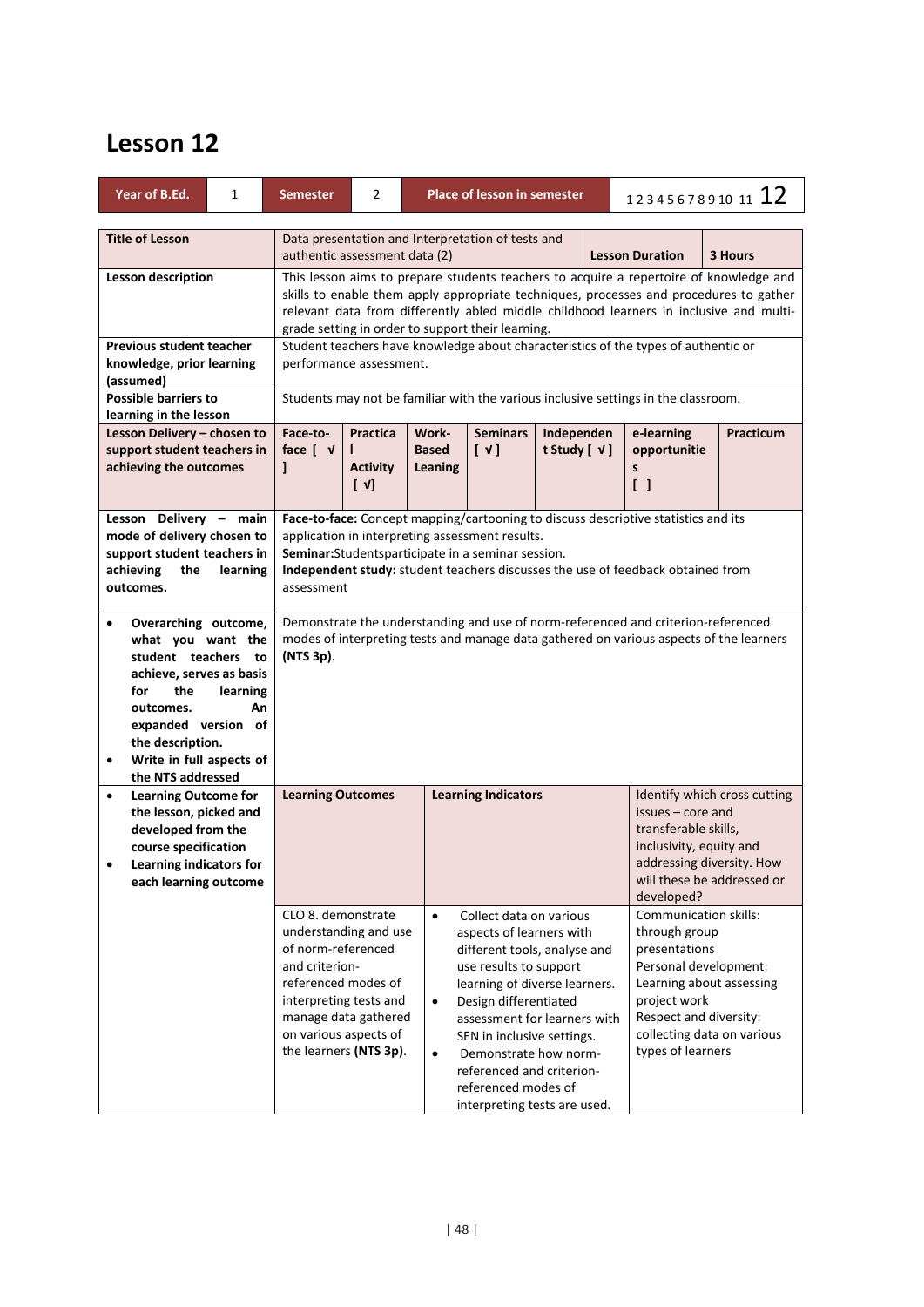| Year of B.Ed.                                                                                                                                                                                                                    | 1              | <b>Semester</b>                                                                                                                                                                                                 | $\overline{2}$                                                                                                                                                                                                                                                                                                                  |                                     | <b>Place of lesson in semester</b>                                                                                                                                                                                                                                                                                                                 |                 |                                                                                         | 12345678910 11 12                                                                                                                               |                                                        |  |
|----------------------------------------------------------------------------------------------------------------------------------------------------------------------------------------------------------------------------------|----------------|-----------------------------------------------------------------------------------------------------------------------------------------------------------------------------------------------------------------|---------------------------------------------------------------------------------------------------------------------------------------------------------------------------------------------------------------------------------------------------------------------------------------------------------------------------------|-------------------------------------|----------------------------------------------------------------------------------------------------------------------------------------------------------------------------------------------------------------------------------------------------------------------------------------------------------------------------------------------------|-----------------|-----------------------------------------------------------------------------------------|-------------------------------------------------------------------------------------------------------------------------------------------------|--------------------------------------------------------|--|
| <b>Title of Lesson</b>                                                                                                                                                                                                           |                |                                                                                                                                                                                                                 | Data presentation and Interpretation of tests and<br>3 Hours<br>authentic assessment data (2)<br><b>Lesson Duration</b>                                                                                                                                                                                                         |                                     |                                                                                                                                                                                                                                                                                                                                                    |                 |                                                                                         |                                                                                                                                                 |                                                        |  |
| <b>Lesson description</b>                                                                                                                                                                                                        |                |                                                                                                                                                                                                                 | This lesson aims to prepare students teachers to acquire a repertoire of knowledge and<br>skills to enable them apply appropriate techniques, processes and procedures to gather<br>relevant data from differently abled middle childhood learners in inclusive and multi-<br>grade setting in order to support their learning. |                                     |                                                                                                                                                                                                                                                                                                                                                    |                 |                                                                                         |                                                                                                                                                 |                                                        |  |
| <b>Previous student teacher</b><br>knowledge, prior learning<br>(assumed)<br><b>Possible barriers to</b>                                                                                                                         |                |                                                                                                                                                                                                                 | Student teachers have knowledge about characteristics of the types of authentic or<br>performance assessment.<br>Students may not be familiar with the various inclusive settings in the classroom.                                                                                                                             |                                     |                                                                                                                                                                                                                                                                                                                                                    |                 |                                                                                         |                                                                                                                                                 |                                                        |  |
| learning in the lesson<br>Lesson Delivery - chosen to                                                                                                                                                                            |                | Face-to-                                                                                                                                                                                                        | <b>Practica</b>                                                                                                                                                                                                                                                                                                                 | Work-                               | <b>Seminars</b>                                                                                                                                                                                                                                                                                                                                    | Independen      |                                                                                         | e-learning                                                                                                                                      | <b>Practicum</b>                                       |  |
| support student teachers in<br>achieving the outcomes                                                                                                                                                                            |                | face $\begin{bmatrix} \nu \end{bmatrix}$<br>1                                                                                                                                                                   | <b>Activity</b><br>$\begin{bmatrix} \nu \end{bmatrix}$                                                                                                                                                                                                                                                                          | <b>Based</b><br>Leaning             | $[\vee]$                                                                                                                                                                                                                                                                                                                                           | t Study [ $V$ ] |                                                                                         | opportunitie<br>s<br>$\begin{bmatrix} \end{bmatrix}$                                                                                            |                                                        |  |
| Lesson Delivery - main<br>mode of delivery chosen to<br>support student teachers in<br>achieving<br>the<br>outcomes.                                                                                                             | learning       |                                                                                                                                                                                                                 | Face-to-face: Concept mapping/cartooning to discuss descriptive statistics and its<br>application in interpreting assessment results.<br>Seminar:Studentsparticipate in a seminar session.<br>Independent study: student teachers discusses the use of feedback obtained from<br>assessment                                     |                                     |                                                                                                                                                                                                                                                                                                                                                    |                 |                                                                                         |                                                                                                                                                 |                                                        |  |
| Overarching outcome,<br>what you want the<br>student teachers to<br>achieve, serves as basis<br>the<br>for<br>outcomes.<br>expanded version of<br>the description.<br>Write in full aspects of<br>$\bullet$<br>the NTS addressed | learning<br>An | (NTS 3p).                                                                                                                                                                                                       | Demonstrate the understanding and use of norm-referenced and criterion-referenced<br>modes of interpreting tests and manage data gathered on various aspects of the learners                                                                                                                                                    |                                     |                                                                                                                                                                                                                                                                                                                                                    |                 |                                                                                         |                                                                                                                                                 |                                                        |  |
| <b>Learning Outcome for</b><br>$\bullet$<br>the lesson, picked and<br>developed from the<br>course specification<br>Learning indicators for<br>$\bullet$<br>each learning outcome                                                |                |                                                                                                                                                                                                                 | <b>Learning Outcomes</b><br><b>Learning Indicators</b><br>issues - core and<br>transferable skills,<br>inclusivity, equity and<br>developed?                                                                                                                                                                                    |                                     |                                                                                                                                                                                                                                                                                                                                                    |                 | Identify which cross cutting<br>addressing diversity. How<br>will these be addressed or |                                                                                                                                                 |                                                        |  |
|                                                                                                                                                                                                                                  |                | CLO 8. demonstrate<br>understanding and use<br>of norm-referenced<br>and criterion-<br>referenced modes of<br>interpreting tests and<br>manage data gathered<br>on various aspects of<br>the learners (NTS 3p). |                                                                                                                                                                                                                                                                                                                                 | $\bullet$<br>$\bullet$<br>$\bullet$ | Collect data on various<br>aspects of learners with<br>different tools, analyse and<br>use results to support<br>learning of diverse learners.<br>Design differentiated<br>assessment for learners with<br>SEN in inclusive settings.<br>Demonstrate how norm-<br>referenced and criterion-<br>referenced modes of<br>interpreting tests are used. |                 |                                                                                         | Communication skills:<br>through group<br>presentations<br>Personal development:<br>project work<br>Respect and diversity:<br>types of learners | Learning about assessing<br>collecting data on various |  |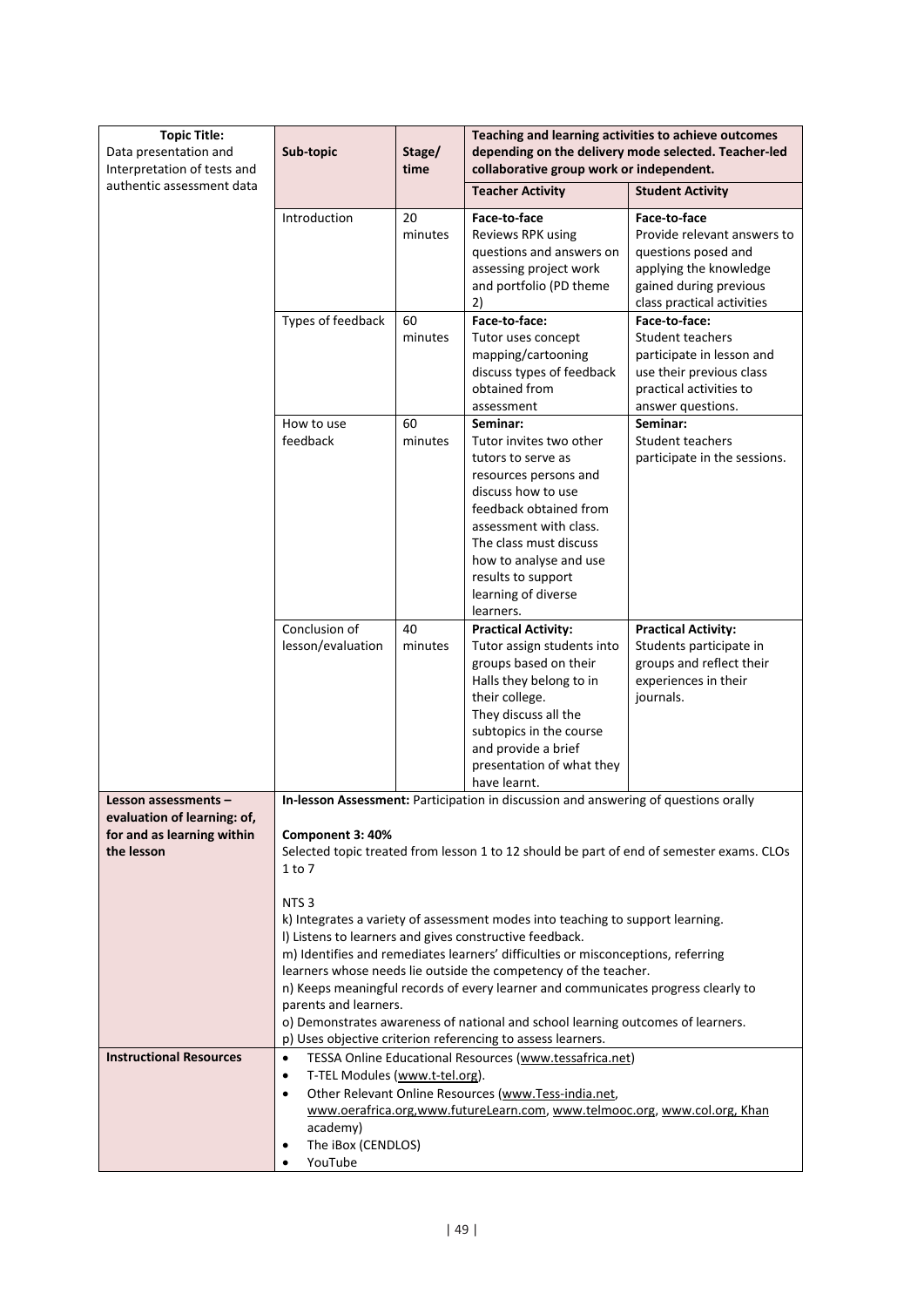| <b>Topic Title:</b><br>Data presentation and<br>Interpretation of tests and                     | Teaching and learning activities to achieve outcomes<br>depending on the delivery mode selected. Teacher-led<br>Sub-topic<br>Stage/<br>time<br>collaborative group work or independent.                                                                                                                                                                                                                                                                                                                                                                                                                                                                                                                                                                                                               |               |                                                                                                                                                                                                                                                                            |                                                                                                                                                                          |  |
|-------------------------------------------------------------------------------------------------|-------------------------------------------------------------------------------------------------------------------------------------------------------------------------------------------------------------------------------------------------------------------------------------------------------------------------------------------------------------------------------------------------------------------------------------------------------------------------------------------------------------------------------------------------------------------------------------------------------------------------------------------------------------------------------------------------------------------------------------------------------------------------------------------------------|---------------|----------------------------------------------------------------------------------------------------------------------------------------------------------------------------------------------------------------------------------------------------------------------------|--------------------------------------------------------------------------------------------------------------------------------------------------------------------------|--|
| authentic assessment data                                                                       |                                                                                                                                                                                                                                                                                                                                                                                                                                                                                                                                                                                                                                                                                                                                                                                                       |               | <b>Teacher Activity</b>                                                                                                                                                                                                                                                    | <b>Student Activity</b>                                                                                                                                                  |  |
|                                                                                                 | Introduction                                                                                                                                                                                                                                                                                                                                                                                                                                                                                                                                                                                                                                                                                                                                                                                          | 20<br>minutes | Face-to-face<br>Reviews RPK using<br>questions and answers on<br>assessing project work<br>and portfolio (PD theme                                                                                                                                                         | Face-to-face<br>Provide relevant answers to<br>questions posed and<br>applying the knowledge<br>gained during previous                                                   |  |
|                                                                                                 | Types of feedback                                                                                                                                                                                                                                                                                                                                                                                                                                                                                                                                                                                                                                                                                                                                                                                     | 60<br>minutes | 2)<br>Face-to-face:<br>Tutor uses concept<br>mapping/cartooning<br>discuss types of feedback<br>obtained from<br>assessment                                                                                                                                                | class practical activities<br>Face-to-face:<br>Student teachers<br>participate in lesson and<br>use their previous class<br>practical activities to<br>answer questions. |  |
|                                                                                                 | How to use<br>feedback                                                                                                                                                                                                                                                                                                                                                                                                                                                                                                                                                                                                                                                                                                                                                                                | 60<br>minutes | Seminar:<br>Tutor invites two other<br>tutors to serve as<br>resources persons and<br>discuss how to use<br>feedback obtained from<br>assessment with class.<br>The class must discuss<br>how to analyse and use<br>results to support<br>learning of diverse<br>learners. | Seminar:<br>Student teachers<br>participate in the sessions.                                                                                                             |  |
|                                                                                                 | Conclusion of<br>lesson/evaluation                                                                                                                                                                                                                                                                                                                                                                                                                                                                                                                                                                                                                                                                                                                                                                    | 40<br>minutes | <b>Practical Activity:</b><br>Tutor assign students into<br>groups based on their<br>Halls they belong to in<br>their college.<br>They discuss all the<br>subtopics in the course<br>and provide a brief<br>presentation of what they<br>have learnt.                      | <b>Practical Activity:</b><br>Students participate in<br>groups and reflect their<br>experiences in their<br>journals.                                                   |  |
| Lesson assessments -<br>evaluation of learning: of,<br>for and as learning within<br>the lesson | In-lesson Assessment: Participation in discussion and answering of questions orally<br>Component 3: 40%<br>Selected topic treated from lesson 1 to 12 should be part of end of semester exams. CLOs<br>1 to 7<br>NTS <sub>3</sub><br>k) Integrates a variety of assessment modes into teaching to support learning.<br>I) Listens to learners and gives constructive feedback.<br>m) Identifies and remediates learners' difficulties or misconceptions, referring<br>learners whose needs lie outside the competency of the teacher.<br>n) Keeps meaningful records of every learner and communicates progress clearly to<br>parents and learners.<br>o) Demonstrates awareness of national and school learning outcomes of learners.<br>p) Uses objective criterion referencing to assess learners. |               |                                                                                                                                                                                                                                                                            |                                                                                                                                                                          |  |
|                                                                                                 |                                                                                                                                                                                                                                                                                                                                                                                                                                                                                                                                                                                                                                                                                                                                                                                                       |               |                                                                                                                                                                                                                                                                            |                                                                                                                                                                          |  |
| <b>Instructional Resources</b>                                                                  | $\bullet$<br>T-TEL Modules (www.t-tel.org).<br>$\bullet$<br>$\bullet$<br>academy)<br>The iBox (CENDLOS)<br>YouTube                                                                                                                                                                                                                                                                                                                                                                                                                                                                                                                                                                                                                                                                                    |               | TESSA Online Educational Resources (www.tessafrica.net)<br>Other Relevant Online Resources (www.Tess-india.net,<br>www.oerafrica.org,www.futureLearn.com, www.telmooc.org, www.col.org, Khan                                                                               |                                                                                                                                                                          |  |